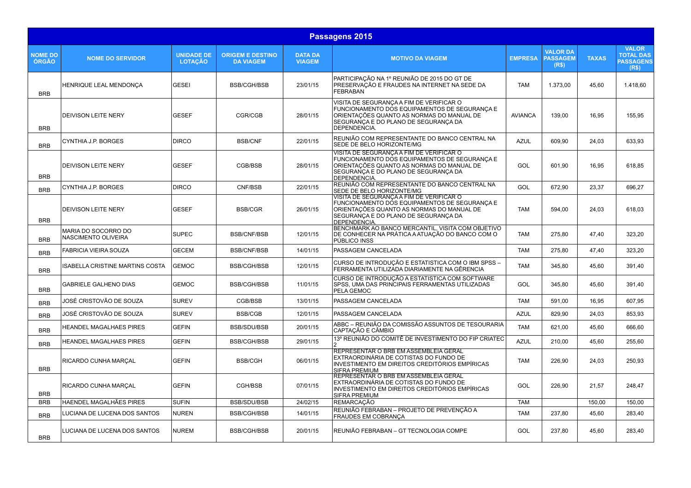|                                | Passagens 2015                             |                                     |                                             |                                 |                                                                                                                                                                                                |                |                                             |              |                                                               |  |  |
|--------------------------------|--------------------------------------------|-------------------------------------|---------------------------------------------|---------------------------------|------------------------------------------------------------------------------------------------------------------------------------------------------------------------------------------------|----------------|---------------------------------------------|--------------|---------------------------------------------------------------|--|--|
| <b>NOME DO</b><br><b>ÓRGÃO</b> | <b>NOME DO SERVIDOR</b>                    | <b>UNIDADE DE</b><br><b>LOTACÃO</b> | <b>ORIGEM E DESTINO</b><br><b>DA VIAGEM</b> | <b>DATA DA</b><br><b>VIAGEM</b> | <b>MOTIVO DA VIAGEM</b>                                                                                                                                                                        | <b>EMPRESA</b> | <b>VALOR DA</b><br><b>PASSAGEM</b><br>(R\$) | <b>TAXAS</b> | <b>VALOR</b><br><b>TOTAL DAS</b><br><b>PASSAGENS</b><br>(R\$) |  |  |
| <b>BRB</b>                     | HENRIQUE LEAL MENDONÇA                     | <b>GESEI</b>                        | <b>BSB/CGH/BSB</b>                          | 23/01/15                        | PARTICIPAÇÃO NA 1º REUNIÃO DE 2015 DO GT DE<br>PRESERVAÇÃO E FRAUDES NA INTERNET NA SEDE DA<br><b>FEBRABAN</b>                                                                                 | <b>TAM</b>     | 1.373,00                                    | 45,60        | 1.418,60                                                      |  |  |
| <b>BRB</b>                     | <b>DEIVISON LEITE NERY</b>                 | <b>GESEF</b>                        | <b>CGR/CGB</b>                              | 28/01/15                        | VISITA DE SEGURANÇA A FIM DE VERIFICAR O<br>FUNCIONAMENTO DOS EQUIPAMENTOS DE SEGURANCA E<br>ORIENTAÇÕES QUANTO AS NORMAS DO MANUAL DE<br>SEGURANCA E DO PLANO DE SEGURANCA DA<br>DEPENDENCIA. | <b>AVIANCA</b> | 139.00                                      | 16,95        | 155,95                                                        |  |  |
| <b>BRB</b>                     | <b>CYNTHIA J.P. BORGES</b>                 | <b>DIRCO</b>                        | <b>BSB/CNF</b>                              | 22/01/15                        | REUNIÃO COM REPRESENTANTE DO BANCO CENTRAL NA<br>SEDE DE BELO HORIZONTE/MG                                                                                                                     | <b>AZUL</b>    | 609,90                                      | 24,03        | 633,93                                                        |  |  |
| <b>BRB</b>                     | <b>DEIVISON LEITE NERY</b>                 | <b>GESEF</b>                        | CGB/BSB                                     | 28/01/15                        | VISITA DE SEGURANÇA A FIM DE VERIFICAR O<br>FUNCIONAMENTO DOS EQUIPAMENTOS DE SEGURANCA E<br>ORIENTAÇÕES QUANTO AS NORMAS DO MANUAL DE<br>SEGURANÇA E DO PLANO DE SEGURANCA DA<br>DEPENDENCIA. | GOL            | 601,90                                      | 16,95        | 618,85                                                        |  |  |
| <b>BRB</b>                     | CYNTHIA J.P. BORGES                        | <b>DIRCO</b>                        | CNF/BSB                                     | 22/01/15                        | REUNIÃO COM REPRESENTANTE DO BANCO CENTRAL NA<br>SEDE DE BELO HORIZONTE/MG                                                                                                                     | GOL            | 672.90                                      | 23,37        | 696.27                                                        |  |  |
| <b>BRB</b>                     | <b>DEIVISON LEITE NERY</b>                 | <b>GESEF</b>                        | <b>BSB/CGR</b>                              | 26/01/15                        | VISITA DE SEGURANÇA A FIM DE VERIFICAR O<br>FUNCIONAMENTO DOS EQUIPAMENTOS DE SEGURANCA E<br>ORIENTAÇÕES QUANTO AS NORMAS DO MANUAL DE<br>SEGURANCA E DO PLANO DE SEGURANCA DA<br>DEPENDENCIA. | <b>TAM</b>     | 594,00                                      | 24,03        | 618,03                                                        |  |  |
| <b>BRB</b>                     | MARIA DO SOCORRO DO<br>NASCIMENTO OLIVEIRA | <b>SUPEC</b>                        | <b>BSB/CNF/BSB</b>                          | 12/01/15                        | BENCHMARK AO BANCO MERCANTIL, VISITA COM OBJETIVO<br>DE CONHECER NA PRÁTICA A ATUAÇÃO DO BANCO COM O<br>PÚBLICO INSS                                                                           | <b>TAM</b>     | 275,80                                      | 47,40        | 323,20                                                        |  |  |
| <b>BRB</b>                     | <b>FABRICIA VIEIRA SOUZA</b>               | <b>GECEM</b>                        | <b>BSB/CNF/BSB</b>                          | 14/01/15                        | PASSAGEM CANCELADA                                                                                                                                                                             | <b>TAM</b>     | 275.80                                      | 47.40        | 323,20                                                        |  |  |
| <b>BRB</b>                     | ISABELLA CRISTINE MARTINS COSTA            | <b>GEMOC</b>                        | <b>BSB/CGH/BSB</b>                          | 12/01/15                        | CURSO DE INTRODUÇÃO E ESTATISTICA COM O IBM SPSS –<br>FERRAMENTA UTILIZADA DIARIAMENTE NA GÊRENCIA                                                                                             | <b>TAM</b>     | 345,80                                      | 45,60        | 391,40                                                        |  |  |
| <b>BRB</b>                     | <b>GABRIELE GALHENO DIAS</b>               | <b>GEMOC</b>                        | <b>BSB/CGH/BSB</b>                          | 11/01/15                        | CURSO DE INTRODUCÃO A ESTATISTICA COM SOFTWARE<br>SPSS, UMA DAS PRINCIPAIS FERRAMENTAS UTILIZADAS<br>PELA GEMOC                                                                                | GOL            | 345,80                                      | 45,60        | 391,40                                                        |  |  |
| <b>BRB</b>                     | JOSÉ CRISTOVÃO DE SOUZA                    | <b>SUREV</b>                        | CGB/BSB                                     | 13/01/15                        | PASSAGEM CANCELADA                                                                                                                                                                             | <b>TAM</b>     | 591.00                                      | 16.95        | 607.95                                                        |  |  |
| <b>BRB</b>                     | JOSÉ CRISTOVÃO DE SOUZA                    | <b>SUREV</b>                        | <b>BSB/CGB</b>                              | 12/01/15                        | PASSAGEM CANCELADA                                                                                                                                                                             | <b>AZUL</b>    | 829,90                                      | 24,03        | 853,93                                                        |  |  |
| <b>BRB</b>                     | <b>HEANDEL MAGALHAES PIRES</b>             | <b>GEFIN</b>                        | <b>BSB/SDU/BSB</b>                          | 20/01/15                        | ABBC – REUNIÃO DA COMISSÃO ASSUNTOS DE TESOURARIA<br>CAPTAÇÃO E CÂMBIO                                                                                                                         | <b>TAM</b>     | 621,00                                      | 45,60        | 666,60                                                        |  |  |
| <b>BRB</b>                     | <b>HEANDEL MAGALHAES PIRES</b>             | <b>GEFIN</b>                        | <b>BSB/CGH/BSB</b>                          | 29/01/15                        | 13º REUNIÃO DO COMITÊ DE INVESTIMENTO DO FIP CRIATEC<br>2                                                                                                                                      | <b>AZUL</b>    | 210,00                                      | 45,60        | 255,60                                                        |  |  |
| <b>BRB</b>                     | RICARDO CUNHA MARCAL                       | <b>GEFIN</b>                        | <b>BSB/CGH</b>                              | 06/01/15                        | REPRESENTAR O BRB EM ASSEMBLEIA GERAL<br>EXTRAORDINÁRIA DE COTISTAS DO FUNDO DE<br>INVESTIMENTO EM DIREITOS CREDITÓRIOS EMPÍRICAS<br><b>SIFRA PREMIUM</b>                                      | TAM            | 226.90                                      | 24.03        | 250,93                                                        |  |  |
| <b>BRB</b>                     | RICARDO CUNHA MARÇAL                       | <b>GEFIN</b>                        | CGH/BSB                                     | 07/01/15                        | REPRESENTAR O BRB EM ASSEMBLEIA GERAL<br>EXTRAORDINÁRIA DE COTISTAS DO FUNDO DE<br>INVESTIMENTO EM DIREITOS CREDITÓRIOS EMPÍRICAS<br><b>SIFRA PREMIUM</b>                                      | GOL            | 226,90                                      | 21,57        | 248,47                                                        |  |  |
| <b>BRB</b>                     | <b>HAENDEL MAGALHÃES PIRES</b>             | <b>SUFIN</b>                        | <b>BSB/SDU/BSB</b>                          | 24/02/15                        | REMARCAÇÃO<br>REUNIÃO FEBRABAN – PROJETO DE PREVENÇÃO A                                                                                                                                        | <b>TAM</b>     |                                             | 150,00       | 150,00                                                        |  |  |
| <b>BRB</b>                     | LUCIANA DE LUCENA DOS SANTOS               | <b>NUREN</b>                        | <b>BSB/CGH/BSB</b>                          | 14/01/15                        | FRAUDES EM COBRANCA                                                                                                                                                                            | <b>TAM</b>     | 237,80                                      | 45,60        | 283,40                                                        |  |  |
| <b>BRB</b>                     | LUCIANA DE LUCENA DOS SANTOS               | <b>NUREM</b>                        | <b>BSB/CGH/BSB</b>                          | 20/01/15                        | REUNIÃO FEBRABAN – GT TECNOLOGIA COMPE                                                                                                                                                         | GOL            | 237,80                                      | 45,60        | 283,40                                                        |  |  |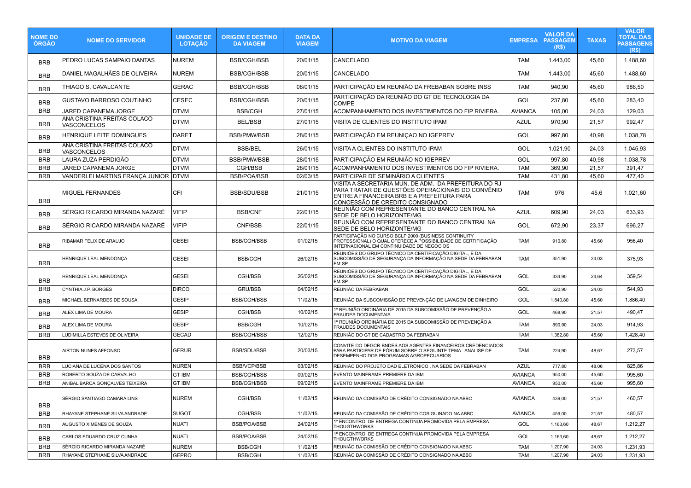| <b>NOME DO</b><br>ÓRGÃO | <b>NOME DO SERVIDOR</b>                           | <b>UNIDADE DE</b><br><b>LOTAÇÃO</b> | <b>ORIGEM E DESTINO</b><br><b>DA VIAGEM</b> | <b>DATA DA</b><br><b>VIAGEM</b> | <b>MOTIVO DA VIAGEM</b>                                                                                                                                                                   | <b>EMPRESA</b> | VALOR DA<br><b>PASSAGEM</b><br>(R\$) | <b>TAXAS</b> | <b>VALOR</b><br>TOTAL DAS<br><b>PASSAGENS</b><br>(R\$) |
|-------------------------|---------------------------------------------------|-------------------------------------|---------------------------------------------|---------------------------------|-------------------------------------------------------------------------------------------------------------------------------------------------------------------------------------------|----------------|--------------------------------------|--------------|--------------------------------------------------------|
| <b>BRB</b>              | PEDRO LUCAS SAMPAIO DANTAS                        | NUREM                               | BSB/CGH/BSB                                 | 20/01/15                        | <b>CANCELADO</b>                                                                                                                                                                          | <b>TAM</b>     | 1.443,00                             | 45,60        | 1.488,60                                               |
| <b>BRB</b>              | DANIEL MAGALHÃES DE OLIVEIRA                      | NUREM                               | <b>BSB/CGH/BSB</b>                          | 20/01/15                        | CANCELADO                                                                                                                                                                                 | <b>TAM</b>     | 1.443,00                             | 45,60        | 1.488,60                                               |
| <b>BRB</b>              | THIAGO S. CAVALCANTE                              | <b>GERAC</b>                        | <b>BSB/CGH/BSB</b>                          | 08/01/15                        | PARTICIPAÇÃO EM REUNIÃO DA FREBABAN SOBRE INSS                                                                                                                                            | <b>TAM</b>     | 940,90                               | 45,60        | 986,50                                                 |
| <b>BRB</b>              | GUSTAVO BARROSO COUTINHO                          | CESEC                               | <b>BSB/CGH/BSB</b>                          | 20/01/15                        | PARTICIPAÇÃO DA REUNIÃO DO GT DE TECNOLOGIA DA<br><b>COMPE</b>                                                                                                                            | GOL            | 237,80                               | 45,60        | 283,40                                                 |
| <b>BRB</b>              | JARED CAPANEMA JORGE                              | <b>DTVM</b>                         | <b>BSB/CGH</b>                              | 27/01/15                        | ACOMPANHAMENTO DOS INVESTIMENTOS DO FIP RIVIERA                                                                                                                                           | <b>AVIANCA</b> | 105,00                               | 24,03        | 129,03                                                 |
| <b>BRB</b>              | ANA CRISTINA FREITAS COLACO<br><b>VASCONCELOS</b> | <b>DTVM</b>                         | <b>BEL/BSB</b>                              | 27/01/15                        | VISITA DE CLIENTES DO INSTITUTO IPAM                                                                                                                                                      | <b>AZUL</b>    | 970,90                               | 21,57        | 992,47                                                 |
| <b>BRB</b>              | <b>HENRIQUE LEITE DOMINGUES</b>                   | DARET                               | BSB/PMW/BSB                                 | 28/01/15                        | PARTICIPAÇÃO EM REUNIÇAO NO IGEPREV                                                                                                                                                       | GOL            | 997,80                               | 40,98        | 1.038,78                                               |
| <b>BRB</b>              | ANA CRISTINA FREITAS COLACO<br>VASCONCELOS        | <b>DTVM</b>                         | <b>BSB/BEL</b>                              | 26/01/15                        | VISITA A CLIENTES DO INSTITUTO IPAM                                                                                                                                                       | GOL            | 1.021,90                             | 24,03        | 1.045,93                                               |
| <b>BRB</b>              | LAURA ZUZA PERDIGÃO                               | <b>DTVM</b>                         | <b>BSB/PMW/BSB</b>                          | 28/01/15                        | PARTICIPAÇÃO EM REUNIÃO NO IGEPREV                                                                                                                                                        | GOL            | 997,80                               | 40,98        | 1.038,78                                               |
| <b>BRB</b>              | JARED CAPANEMA JORGE                              | <b>DTVM</b>                         | CGH/BSB                                     | 28/01/15                        | ACOMPANHAMENTO DOS INVESTIMENTOS DO FIP RIVIERA.                                                                                                                                          | <b>TAM</b>     | 369,90                               | 21,57        | 391,47                                                 |
| <b>BRB</b>              | VANDERLEI MARTINS FRANÇA JUNIOR DTVM              |                                     | <b>BSB/POA/BSB</b>                          | 02/03/15                        | PARTICIPAR DE SEMINÁRIO A CLIENTES                                                                                                                                                        | <b>TAM</b>     | 431,80                               | 45,60        | 477,40                                                 |
| <b>BRB</b>              | <b>MIGUEL FERNANDES</b>                           | CFI                                 | BSB/SDU/BSB                                 | 21/01/15                        | VISITA A SECRETARIA MUN. DE ADM. DA PREFEITURA DO RJ<br>PARA TRATAR DE QUESTÕES OPERACIONAIS DO CONVÊNIO<br>ENTRE A FINANCEIRA BRB E A PREFEITURA PARA<br>CONCESSÃO DE CREDITO CONSIGNADO | <b>TAM</b>     | 976                                  | 45,6         | 1.021,60                                               |
| <b>BRB</b>              | SÉRGIO RICARDO MIRANDA NAZARÉ                     | <b>VIFIP</b>                        | <b>BSB/CNF</b>                              | 22/01/15                        | REUNIÃO COM REPRESENTANTE DO BANCO CENTRAL NA<br>SEDE DE BELO HORIZONTE/MG                                                                                                                | <b>AZUL</b>    | 609,90                               | 24,03        | 633,93                                                 |
| <b>BRB</b>              | SÉRGIO RICARDO MIRANDA NAZARÉ                     | <b>VIFIP</b>                        | CNF/BSB                                     | 22/01/15                        | REUNIÃO COM REPRESENTANTE DO BANCO CENTRAL NA<br>SEDE DE BELO HORIZONTE/MG                                                                                                                | GOL            | 672,90                               | 23,37        | 696,27                                                 |
| BRB                     | RIBAMAR FELIX DE ARAUJO                           | <b>GESEI</b>                        | <b>BSB/CGH/BSB</b>                          | 01/02/15                        | PARTICIPAÇÃO NO CURSO BCLP 2000 (BUSINESS CONTINUITY<br>PROFESSIÓNAL) O QUAL OFERECE A POSSIBILIDADE DE CERTIFICAÇÃO<br>INTERNACIONAL EM CONTINUIDADE DE NEGOCIOS                         | <b>TAM</b>     | 910,80                               | 45,60        | 956,40                                                 |
| <b>BRB</b>              | HENRIQUE LEAL MENDONÇA                            | <b>GESEI</b>                        | BSB/CGH                                     | 26/02/15                        | REUNIÕES DO GRUPO TÉCNICO DA CERTIFICAÇÃO DIGITAL, E DA<br>SUBCOMISSÃO DE SEGURANÇA DA INFORMAÇÃO NA SEDE DA FEBRABAN<br>EM SP                                                            | <b>TAM</b>     | 351,90                               | 24,03        | 375,93                                                 |
| <b>BRB</b>              | HENRIQUE LEAL MENDONÇA                            | <b>GESEI</b>                        | CGH/BSB                                     | 26/02/15                        | REUNIÕES DO GRUPO TÉCNICO DA CERTIFICAÇÃO DIGITAL, E DA<br>SUBCOMISSÃO DE SEGURANÇA DA INFORMAÇÃO NA SEDE DA FEBRABAN<br>EM SP                                                            | GOL            | 334,90                               | 24,64        | 359,54                                                 |
| <b>BRB</b>              | CYNTHIA J.P. BORGES                               | <b>DIRCO</b>                        | <b>GRU/BSB</b>                              | 04/02/15                        | REUNIÃO DA FEBRABAN                                                                                                                                                                       | GOL            | 520,90                               | 24,03        | 544,93                                                 |
| <b>BRB</b>              | MICHAEL BERNARDES DE SOUSA                        | GESIP                               | <b>BSB/CGH/BSB</b>                          | 11/02/15                        | REUNIÃO DA SUBCOMISSÃO DE PREVENÇÃO DE LAVAGEM DE DINHEIRO                                                                                                                                | GOL            | 1.840,80                             | 45,60        | 1.886,40                                               |
| <b>BRB</b>              | ALEX LIMA DE MOURA                                | GESIP                               | CGH/BSB                                     | 10/02/15                        | 1º REUNIÃO ORDINÁRIA DE 2015 DA SUBCOMISSÃO DE PREVENÇÃO A<br><b>FRAUDES DOCUMENTAIS</b>                                                                                                  | GOL            | 468,90                               | 21,57        | 490,47                                                 |
| <b>BRB</b>              | ALEX LIMA DE MOURA                                | <b>GESIP</b>                        | <b>BSB/CGH</b>                              | 10/02/15                        | 1º REUNIÃO ORDINÁRIA DE 2015 DA SUBCOMISSÃO DE PREVENÇÃO A<br><b>FRAUDES DOCUMENTAIS</b>                                                                                                  | <b>TAM</b>     | 890,90                               | 24,03        | 914,93                                                 |
| <b>BRB</b>              | LUDIMILLA ESTEVES DE OLIVEIRA                     | <b>GECAD</b>                        | <b>BSB/CGH/BSB</b>                          | 12/02/15                        | REUNIÃO DO GT DE CADASTRO DA FEBRABAN                                                                                                                                                     | <b>TAM</b>     | 1.382,80                             | 45,60        | 1.428,40                                               |
| <b>BRB</b>              | AIRTON NUNES AFFONSO                              | <b>GERUR</b>                        | BSB/SDU/BSB                                 | 20/03/15                        | CONVITE DO DEGCR-BNDES AOS AGENTES FINANCEIROS CREDENCIADOS<br>PARA PARTICIPAR DE FÓRUM SOBRE O SEGUINTE TEMA : ANALISE DE<br>DESEMPENHO DOS PROGRAMAS AGROPECUARIOS                      | <b>TAM</b>     | 224,90                               | 48,67        | 273,57                                                 |
| <b>BRB</b>              | LUCIANA DE LUCENA DOS SANTOS                      | <b>NUREN</b>                        | <b>BSB/VCP/BSB</b>                          | 03/02/15                        | REUNIÃO DO PROJETO DAD ELETRÔNICO, NA SEDE DA FEBRABAN                                                                                                                                    | <b>AZUL</b>    | 777,80                               | 48,06        | 825,86                                                 |
| <b>BRB</b>              | ROBERTO SOUZA DE CARVALHO                         | <b>GT IBM</b>                       | <b>BSB/CGH/BSB</b>                          | 09/02/15                        | EVENTO MAINFRAME PREMIERE DA IBM                                                                                                                                                          | <b>AVIANCA</b> | 950,00                               | 45,60        | 995,60                                                 |
| <b>BRB</b>              | ANIBAL BARCA GONÇALVES TEIXEIRA                   | <b>GT IBM</b>                       | <b>BSB/CGH/BSB</b>                          | 09/02/15                        | EVENTO MAINFRAME PREMIERE DA IBM                                                                                                                                                          | <b>AVIANCA</b> | 950,00                               | 45,60        | 995,60                                                 |
| <b>BRB</b>              | SÉRGIO SANTIAGO CAMARA LINS                       | <b>NUREM</b>                        | CGH/BSB                                     | 11/02/15                        | REUNIÃO DA COMISSÃO DE CRÉDITO CONSIGNADO NA ABBC                                                                                                                                         | <b>AVIANCA</b> | 439,00                               | 21,57        | 460,57                                                 |
| <b>BRB</b>              | RHAYANE STEPHANE SILVA ANDRADE                    | <b>SUGOT</b>                        | CGH/BSB                                     | 11/02/15                        | REUNIÃO DA COMISSÃO DE CRÉDITO COSIGUINADO NA ABBC                                                                                                                                        | <b>AVIANCA</b> | 459,00                               | 21,57        | 480,57                                                 |
| <b>BRB</b>              | AUGUSTO XIMENES DE SOUZA                          | <b>NUATI</b>                        | <b>BSB/POA/BSB</b>                          | 24/02/15                        | 1º ENCONTRO DE ENTREGA CONTINUA PROMOVIDA PELA EMPRESA<br><b>THOUGTHWORKS</b>                                                                                                             | GOL            | 1.163,60                             | 48,67        | 1.212,27                                               |
| <b>BRB</b>              | CARLOS EDUARDO CRUZ CUNHA                         | NUATI                               | <b>BSB/POA/BSB</b>                          | 24/02/15                        | 1º ENCONTRO DE ENTREGA CONTINUA PROMOVIDA PELA EMPRESA<br><b>THOUGTHWORKS</b>                                                                                                             | GOL            | 1.163,60                             | 48,67        | 1.212,27                                               |
| <b>BRB</b>              | SÉRGIO RICARDO MIRANDA NAZARÉ                     | <b>NUREM</b>                        | <b>BSB/CGH</b>                              | 11/02/15                        | REUNIÃO DA COMISSÃO DE CRÉDITO CONSIGNADO NA ABBC                                                                                                                                         | <b>TAM</b>     | 1.207,90                             | 24,03        | 1.231,93                                               |
| <b>BRB</b>              | RHAYANE STEPHANE SILVA ANDRADE                    | GEPRO                               | <b>BSB/CGH</b>                              | 11/02/15                        | REUNIÃO DA COMISSÃO DE CRÉDITO CONSIGNADO NA ABBC                                                                                                                                         | <b>TAM</b>     | 1.207,90                             | 24,03        | 1.231,93                                               |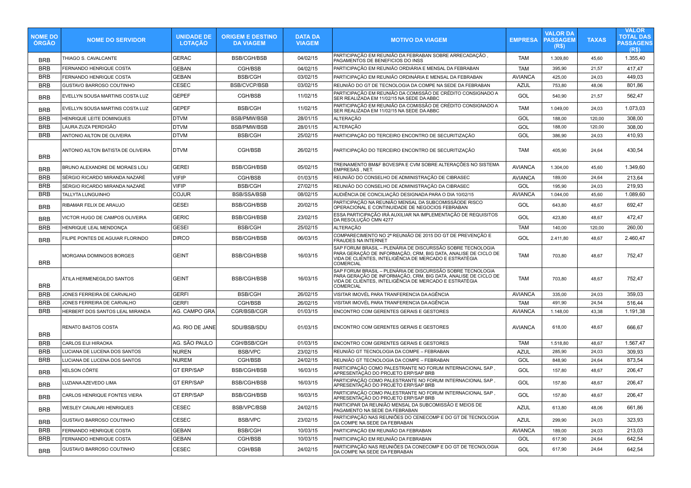| <b>NOME DO</b><br><b>ORGAO</b> | <b>NOME DO SERVIDOR</b>            | <b>UNIDADE DE</b><br><b>LOTAÇÃO</b> | <b>ORIGEM E DESTINO</b><br><b>DA VIAGEM</b> | <b>DATA DA</b><br><b>VIAGEM</b> | <b>MOTIVO DA VIAGEM</b>                                                                                                                                                                                    | <b>EMPRESA</b> | <b>VALOR DA</b><br><b>PASSAGEM</b><br>(R\$) | <b>TAXAS</b> | <b>VALOR</b><br><b>TOTAL DAS</b><br><b>PASSAGENS</b><br>(R <sub>s</sub> ) |
|--------------------------------|------------------------------------|-------------------------------------|---------------------------------------------|---------------------------------|------------------------------------------------------------------------------------------------------------------------------------------------------------------------------------------------------------|----------------|---------------------------------------------|--------------|---------------------------------------------------------------------------|
| <b>BRB</b>                     | THIAGO S. CAVALCANTE               | <b>GERAC</b>                        | <b>BSB/CGH/BSB</b>                          | 04/02/15                        | PARTICIPACÃO EM REUNIÃO DA FEBRABAN SOBRE ARRECADACÃO .<br>PAGAMENTOS DE BENEFICIOS DO INSS                                                                                                                | <b>TAM</b>     | 1.309,80                                    | 45,60        | 1.355,40                                                                  |
| <b>BRB</b>                     | FERNANDO HENRIQUE COSTA            | <b>GEBAN</b>                        | CGH/BSB                                     | 04/02/15                        | PARTICIPAÇÃO EM REUNIÃO ORDIÁRIA E MENSAL DA FEBRABAN                                                                                                                                                      | <b>TAM</b>     | 395,90                                      | 21,57        | 417,47                                                                    |
| <b>BRB</b>                     | FERNANDO HENRIQUE COSTA            | <b>GEBAN</b>                        | <b>BSB/CGH</b>                              | 03/02/15                        | PARTICIPAÇÃO EM REUNIÃO ORDINÁRIA E MENSAL DA FEBRABAN                                                                                                                                                     | <b>AVIANCA</b> | 425,00                                      | 24,03        | 449,03                                                                    |
| <b>BRB</b>                     | GUSTAVO BARROSO COUTINHO           | <b>CESEC</b>                        | <b>BSB/CVCP/BSB</b>                         | 03/02/15                        | REUNIÃO DO GT DE TECNOLOGIA DA COMPE NA SEDE DA FEBRABAN                                                                                                                                                   | <b>AZUL</b>    | 753,80                                      | 48,06        | 801,86                                                                    |
| <b>BRB</b>                     | EVELLYN SOUSA MARTINS COSTA LUZ    | <b>GEPEF</b>                        | CGH/BSB                                     | 11/02/15                        | PARTICIPAÇÃO EM REUNIÃO DA COMISSÃO DE CRÉDITO CONSIGNADO A<br>SER REALIZADA EM 11/02/15 NA SEDE DA ABBC                                                                                                   | GOL            | 540,90                                      | 21,57        | 562,47                                                                    |
| <b>BRB</b>                     | EVELLYN SOUSA MARTINS COSTA LUZ    | <b>GEPEF</b>                        | <b>BSB/CGH</b>                              | 11/02/15                        | PARTICIPAÇÃO EM REUNIÃO DA COMISSÃO DE CRÉDITO CONSIGNADO A<br>SER REALIŽADA EM 11/02/15 NA SEDE DA ABBC                                                                                                   | <b>TAM</b>     | 1.049,00                                    | 24,03        | 1.073,03                                                                  |
| <b>BRB</b>                     | HENRIQUE LEITE DOMINGUES           | DTVM                                | <b>BSB/PMW/BSB</b>                          | 28/01/15                        | <b>ALTERACÃO</b>                                                                                                                                                                                           | GOL            | 188,00                                      | 120,00       | 308,00                                                                    |
| <b>BRB</b>                     | LAURA ZUZA PERDIGÃO                | DTVM                                | <b>BSB/PMW/BSB</b>                          | 28/01/15                        | <b>ALTERACÃO</b>                                                                                                                                                                                           | GOL            | 188,00                                      | 120,00       | 308,00                                                                    |
| <b>BRB</b>                     | ANTONIO AILTON DE OLIVEIRA         | DTVM                                | <b>BSB/CGH</b>                              | 25/02/15                        | PARTICIPACÃO DO TERCEIRO ENCONTRO DE SECURITIZAÇÃO                                                                                                                                                         | GOL            | 386,90                                      | 24,03        | 410,93                                                                    |
| <b>BRB</b>                     | ANTONIO AILTON BATISTA DE OLIVEIRA | DTVM                                | CGH/BSB                                     | 26/02/15                        | PARTICIPAÇÃO DO TERCEIRO ENCONTRO DE SECURITIZAÇÃO                                                                                                                                                         | <b>TAM</b>     | 405,90                                      | 24,64        | 430,54                                                                    |
| <b>BRB</b>                     | BRUNO ALEXANDRE DE MORAES LOLI     | <b>GEREI</b>                        | <b>BSB/CGH/BSB</b>                          | 05/02/15                        | TREINAMENTO BM&F BOVESPA E CVM SOBRE ALTERAÇÕES NO SISTEMA<br>EMPRESAS, NET.                                                                                                                               | <b>AVIANCA</b> | 1.304,00                                    | 45,60        | 1.349,60                                                                  |
| <b>BRB</b>                     | SÉRGIO RICARDO MIRANDA NAZARÉ      | <b>VIFIP</b>                        | CGH/BSB                                     | 01/03/15                        | REUNIÃO DO CONSELHO DE ADMINISTRAÇÃO DE CIBRASEC                                                                                                                                                           | <b>AVIANCA</b> | 189,00                                      | 24,64        | 213,64                                                                    |
| <b>BRB</b>                     | SÉRGIO RICARDO MIRANDA NAZARÉ      | <b>VIFIP</b>                        | <b>BSB/CGH</b>                              | 27/02/15                        | REUNIÃO DO CONSELHO DE ADMINISTRAÇÃO DA CIBRASEC                                                                                                                                                           | GOL            | 195,90                                      | 24,03        | 219,93                                                                    |
| <b>BRB</b>                     | <b>TALLYTA LUNGUINHO</b>           | <b>COJUR</b>                        | <b>BSB/SSA/BSB</b>                          | 08/02/15                        | AUDIÊNCIA DE CONCILIAÇÃO DESIGNADA PARA O DIA 10/02/15                                                                                                                                                     | <b>AVIANCA</b> | 1.044,00                                    | 45,60        | 1.089,60                                                                  |
| <b>BRB</b>                     | RIBAMAR FELIX DE ARAUJO            | <b>GESEI</b>                        | <b>BSB/CGH/BSB</b>                          | 20/02/15                        | PARTICIPAÇÃO NA REUNIÃO MENSAL DA SUBCOMISSÃODE RISCO<br>OPERACIONAL E CONTINUIDADE DE NEGOCIOS FEBRABAN                                                                                                   | GOL            | 643,80                                      | 48,67        | 692,47                                                                    |
| <b>BRB</b>                     | VICTOR HUGO DE CAMPOS OLIVEIRA     | <b>GERIC</b>                        | <b>BSB/CGH/BSB</b>                          | 23/02/15                        | ESSA PARTICIPAÇÃO IRÁ AUXILIAR NA IMPLEMENTAÇÃO DE REQUISITOS<br>DA RESOLUÇÃO CMN 4277                                                                                                                     | GOL            | 423,80                                      | 48,67        | 472,47                                                                    |
| <b>BRB</b>                     | HENRIQUE LEAL MENDONCA             | <b>GESEI</b>                        | <b>BSB/CGH</b>                              | 25/02/15                        | ALTERAÇÃO                                                                                                                                                                                                  | TAM            | 140,00                                      | 120,00       | 260,00                                                                    |
| <b>BRB</b>                     | FILIPE PONTES DE AGUIAR FLORINDO   | <b>DIRCO</b>                        | <b>BSB/CGH/BSB</b>                          | 06/03/15                        | COMPARECIMENTO NO 2ª REUNIÃO DE 2015 DO GT DE PREVENÇÃO E<br>FRAUDES NA INTERNET                                                                                                                           | GOL            | 2.411,80                                    | 48,67        | 2.460,47                                                                  |
| <b>BRB</b>                     | MORGANA DOMINGOS BORGES            | <b>GEINT</b>                        | <b>BSB/CGH/BSB</b>                          | 16/03/15                        | SAP FORUM BRASIL - PLENÁRIA DE DISCURSSÃO SOBRE TECNOLOGIA<br>PARA GERAÇÃO DE INFORMAÇÃO, CRM, BIG DATA, ANALISE DE CICLO DE<br>VIDA DE CLIÉNTES, INTELIGÊNCIA DE MERCADO E ESTRATÉGIA<br><b>COMERCIAL</b> | <b>TAM</b>     | 703,80                                      | 48,67        | 752,47                                                                    |
| <b>BRB</b>                     | ÁTILA HERMENEGILDO SANTOS          | <b>GEINT</b>                        | <b>BSB/CGH/BSB</b>                          | 16/03/15                        | SAP FORUM BRASIL – PLENÁRIA DE DISCURSSÃO SOBRE TECNOLOGIA<br>PARA GERAÇÃO DE INFORMAÇÃO, CRM, BIG DATA, ANALISE DE CICLO DE<br>VIDA DE CLIÉNTES, INTELIGÊNCIA DE MERCADO E ESTRATÉGIA<br><b>COMERCIAL</b> | TAM            | 703,80                                      | 48,67        | 752,47                                                                    |
| <b>BRB</b>                     | JONES FERREIRA DE CARVALHO         | <b>GERFI</b>                        | <b>BSB/CGH</b>                              | 26/02/15                        | VISITAR IMOVÉL PARA TRANFERENCIA DA AGÊNCIA                                                                                                                                                                | <b>AVIANCA</b> | 335,00                                      | 24,03        | 359,03                                                                    |
| <b>BRB</b>                     | JONES FERREIRA DE CARVALHO         | <b>GERFI</b>                        | CGH/BSB                                     | 26/02/15                        | VISITAR IMOVÉL PARA TRANFERENCIA DA AGÊNCIA                                                                                                                                                                | <b>TAM</b>     | 491,90                                      | 24,54        | 516,44                                                                    |
| <b>BRB</b>                     | HERBERT DOS SANTOS LEAL MIRANDA    | AG. CAMPO GRA                       | CGR/BSB/CGR                                 | 01/03/15                        | ENCONTRO COM GERENTES GERAIS E GESTORES                                                                                                                                                                    | <b>AVIANCA</b> | 1.148,00                                    | 43,38        | 1.191,38                                                                  |
| <b>BRB</b>                     | RENATO BASTOS COSTA                | AG. RIO DE JANE                     | SDU/BSB/SDU                                 | 01/03/15                        | ENCONTRO COM GERENTES GERAIS E GESTORES                                                                                                                                                                    | <b>AVIANCA</b> | 618,00                                      | 48,67        | 666,67                                                                    |
| <b>BRB</b>                     | CARLOS EIJI HIRAOKA                | AG. SÃO PAULO                       | CGH/BSB/CGH                                 | 01/03/15                        | ENCONTRO COM GERENTES GERAIS E GESTORES                                                                                                                                                                    | <b>TAM</b>     | 1.518,80                                    | 48,67        | 1.567,47                                                                  |
| <b>BRB</b>                     | LUCIANA DE LUCENA DOS SANTOS       | <b>NUREN</b>                        | <b>BSB/VPC</b>                              | 23/02/15                        | REUNIÃO GT TECNOLOGIA DA COMPE - FEBRABAN                                                                                                                                                                  | <b>AZUL</b>    | 285,90                                      | 24,03        | 309,93                                                                    |
| <b>BRB</b>                     | LUCIANA DE LUCENA DOS SANTOS       | <b>NUREM</b>                        | CGH/BSB                                     | 24/02/15                        | REUNIÃO GT TECNOLOGIA DA COMPE - FEBRABAN                                                                                                                                                                  | GOL            | 848,90                                      | 24,64        | 873,54                                                                    |
| <b>BRB</b>                     | <b>KELSON CÔRTE</b>                | <b>GT ERP/SAP</b>                   | <b>BSB/CGH/BSB</b>                          | 16/03/15                        | PARTICIPAÇÃO COMO PALESTRANTE NO FORUM INTERNACIONAL SAP,<br>APRESENTAÇÃO DO PROJETO ERP/SAP BRB                                                                                                           | GOL            | 157,80                                      | 48,67        | 206,47                                                                    |
| <b>BRB</b>                     | LUZIANA AZEVEDO LIMA               | <b>GT ERP/SAP</b>                   | <b>BSB/CGH/BSB</b>                          | 16/03/15                        | PARTICIPACÃO COMO PALESTRANTE NO FORUM INTERNACIONAL SAP .<br>APRESENTAÇÃO DO PROJETO ERP/SAP BRB                                                                                                          | GOL            | 157,80                                      | 48.67        | 206,47                                                                    |
| <b>BRB</b>                     | CARLOS HENRIQUE FONTES VIERA       | <b>GT ERP/SAP</b>                   | <b>BSB/CGH/BSB</b>                          | 16/03/15                        | PARTICIPAÇÃO COMO PALESTRANTE NO FORUM INTERNACIONAL SAP<br>APRESENTAÇÃO DO PROJETO ERP/SAP BRB                                                                                                            | GOL            | 157,80                                      | 48,67        | 206,47                                                                    |
| <b>BRB</b>                     | WESLEY CAVALARI HENRIQUES          | CESEC                               | BSB/VPC/BSB                                 | 24/02/15                        | PARTICIPAR DA REUNIÃO MENSAL DA SUBCOMISSÃO E MEIOS DE<br>PAGAMENTO NA SEDE DA FEBRABAN                                                                                                                    | <b>AZUL</b>    | 613,80                                      | 48,06        | 661,86                                                                    |
| <b>BRB</b>                     | GUSTAVO BARROSO COUTINHO           | CESEC                               | <b>BSB/VPC</b>                              | 23/02/15                        | PARTICIPAÇÃO NAS REUNIÕES DO CENECOMP E DO GT DE TECNOLOGIA DA COMPE NA SEDE DA FEBRABAN                                                                                                                   | <b>AZUL</b>    | 299,90                                      | 24,03        | 323,93                                                                    |
| <b>BRB</b>                     | FERNANDO HENRIQUE COSTA            | <b>GEBAN</b>                        | <b>BSB/CGH</b>                              | 10/03/15                        | PARTICIPAÇÃO EM REUNIÃO DA FEBRABAN                                                                                                                                                                        | <b>AVIANCA</b> | 189,00                                      | 24,03        | 213,03                                                                    |
| <b>BRB</b>                     | FERNANDO HENRIQUE COSTA            | <b>GEBAN</b>                        | CGH/BSB                                     | 10/03/15                        | PARTICIPAÇÃO EM REUNIÃO DA FEBRABAN                                                                                                                                                                        | GOL            | 617,90                                      | 24,64        | 642,54                                                                    |
| <b>BRB</b>                     | GUSTAVO BARROSO COUTINHO           | CESEC                               | CGH/BSB                                     | 24/02/15                        | PARTICIPAÇÃO NAS REUNIÕES DA CONECOMP E DO GT DE TECNOLOGIA<br>DA COMPE NA SEDE DA FEBRABAN                                                                                                                | GOL            | 617,90                                      | 24,64        | 642,54                                                                    |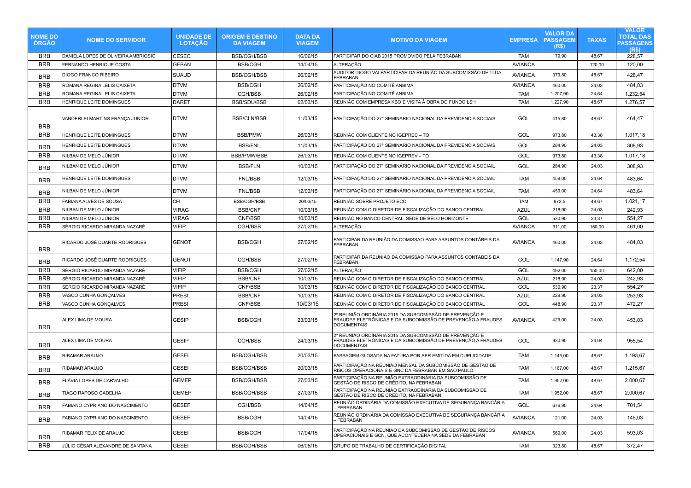| <b>NOME DO</b><br><b>ÓRGÃO</b> | <b>NOME DO SERVIDOR</b>             | <b>UNIDADE DE</b><br><b>LOTACAO</b> | <b>ORIGEM E DESTINO</b><br><b>DA VIAGEM</b> | <b>DATA DA</b><br><b>VIAGEM</b> | <b>MOTIVO DA VIAGEM</b>                                                                                                                      | <b>EMPRESA</b> | <b>VALOR DA</b><br><b>PASSAGEM</b><br>(R\$) | <b>TAXAS</b> | <b>VALOR</b><br><b>TOTAL DAS</b><br><b>PASSAGENS</b><br>(R\$) |
|--------------------------------|-------------------------------------|-------------------------------------|---------------------------------------------|---------------------------------|----------------------------------------------------------------------------------------------------------------------------------------------|----------------|---------------------------------------------|--------------|---------------------------------------------------------------|
| <b>BRB</b>                     | DANIELA LOPES DE OLIVEIRA AMBRIOSIO | <b>CESEC</b>                        | <b>BSB/CGH/BSB</b>                          | 16/06/15                        | PARTICIPAR DO CIAB 2015 PROMOVIDO PELA FEBRABAN                                                                                              | <b>TAM</b>     | 179.90                                      | 48.67        | 228.57                                                        |
| <b>BRB</b>                     | FERNANDO HENRIQUE COSTA             | <b>GEBAN</b>                        | <b>BSB/CGH</b>                              | 14/04/15                        | ALTERAÇÃO                                                                                                                                    | <b>AVIANCA</b> |                                             | 120,00       | 120,00                                                        |
| <b>BRB</b>                     | DIOGO FRANCO RIBEIRO                | <b>SUAUD</b>                        | <b>BSB/CGH/BSB</b>                          | 26/02/15                        | AUDITOR DIOGO VAI PARTICIPAR DA REUNIÃO DA SUBCOMISSÃO DE TI DA<br>FEBRABAN                                                                  | <b>AVIANCA</b> | 379,80                                      | 48,67        | 428,47                                                        |
| <b>BRB</b>                     | ROMANA REGINA LELIS CAIXETA         | <b>DTVM</b>                         | <b>BSB/CGH</b>                              | 26/02/15                        | PARTICIPAÇÃO NO COMITÊ ANBIMA                                                                                                                | <b>AVIANCA</b> | 460,00                                      | 24,03        | 484,03                                                        |
| <b>BRB</b>                     | ROMANA REGINA LELIS CAIXETA         | <b>DTVM</b>                         | CGH/BSB                                     | 26/02/15                        | PARTICIPAÇÃO NO COMITÊ ANBIMA                                                                                                                | <b>TAM</b>     | 1.207,90                                    | 24,64        | 1.232,54                                                      |
| <b>BRB</b>                     | HENRIQUE LEITE DOMINGUES            | <b>DARET</b>                        | <b>BSB/SDU/BSB</b>                          | 02/03/15                        | REUNIÃO COM EMPRESA KBO E VISITA À OBRA DO FUNDO LSH                                                                                         | <b>TAM</b>     | 1.227,90                                    | 48,67        | 1.276,57                                                      |
| <b>BRB</b>                     | VANDERLEI MARTINS FRANÇA JUNIOR     | <b>DTVM</b>                         | <b>BSB/CLN/BSB</b>                          | 11/03/15                        | PARTICIPAÇÃO DO 27° SEMINÁRIO NACIONAL DA PREVIDENCIA SOCIAIS                                                                                | GOL            | 415,80                                      | 48,67        | 464.47                                                        |
| <b>BRB</b>                     | HENRIQUE LEITE DOMINGUES            | <b>DTVM</b>                         | <b>BSB/PMW</b>                              | 26/03/15                        | REUNIÃO COM CLIENTE NO IGEPREC - TO                                                                                                          | GOL            | 973,80                                      | 43,38        | 1.017,18                                                      |
| <b>BRB</b>                     | HENRIQUE LEITE DOMINGUES            | <b>DTVM</b>                         | <b>BSB/FNL</b>                              | 11/03/15                        | PARTICIPAÇÃO DO 27° SEMINÁRIO NACIONAL DA PREVIDENCIA SOCIAIS                                                                                | GOL            | 284,90                                      | 24,03        | 308,93                                                        |
| <b>BRB</b>                     | NILBAN DE MELO JÚNIOR               | <b>DTVM</b>                         | <b>BSB/PMW/BSB</b>                          | 26/03/15                        | REUNIÃO COM CLIENTE NO IGEPREV - TO                                                                                                          | GOL            | 973,80                                      | 43,38        | 1.017,18                                                      |
| <b>BRB</b>                     | NILBAN DE MELO JÚNIOR               | <b>DTVM</b>                         | <b>BSB/FLN</b>                              | 10/03/15                        | PARTICIPAÇÃO DO 27° SEMINÁRIO NACIONAL DA PREVIDENCIA SOCIAIL                                                                                | GOL            | 284,90                                      | 24,03        | 308,93                                                        |
| <b>BRB</b>                     | HENRIQUE LEITE DOMINGUES            | <b>DTVM</b>                         | <b>FNL/BSB</b>                              | 12/03/15                        | PARTICIPAÇÃO DO 27° SEMINÁRIO NACIONAL DA PREVIDENCIA SOCIAIL                                                                                | <b>TAM</b>     | 459,00                                      | 24,64        | 483,64                                                        |
| <b>BRB</b>                     | NILBAN DE MELO JÚNIOR               | <b>DTVM</b>                         | <b>FNL/BSB</b>                              | 12/03/15                        | PARTICIPAÇÃO DO 27° SEMINÁRIO NACIONAL DA PREVIDENCIA SOCIAIL                                                                                | <b>TAM</b>     | 459,00                                      | 24,64        | 483,64                                                        |
| <b>BRB</b>                     | <b>FABIANA ALVES DE SOUSA</b>       | CFI                                 | <b>BSB/CGH/BSB</b>                          | 20/03/15                        | REUNIÃO SOBRE PROJETO ECO                                                                                                                    | <b>TAM</b>     | 972,5                                       | 48,67        | 1.021,17                                                      |
| <b>BRB</b>                     | NILBAN DE MELO JÚNIOR               | <b>VIRAG</b>                        | <b>BSB/CNF</b>                              | 10/03/15                        | REUNIÃO COM O DIRETOR DE FISCALIZAÇÃO DO BANCO CENTRAL                                                                                       | <b>AZUL</b>    | 218,90                                      | 24,03        | 242,93                                                        |
| <b>BRB</b>                     | NILBAN DE MELO JÚNIOR               | VIRAG                               | CNF/BSB                                     | 10/03/15                        | REUNIÃO NO BANCO CENTRAL, SEDE DE BELO HORIZONTE                                                                                             | GOL            | 530,90                                      | 23.37        | 554.27                                                        |
| <b>BRB</b>                     | SÉRGIO RICARDO MIRANDA NAZARÉ       | <b>VIFIP</b>                        | CGH/BSB                                     | 27/02/15                        | ALTERAÇÃO                                                                                                                                    | <b>AVIANCA</b> | 311,00                                      | 150.00       | 461.00                                                        |
| <b>BRB</b>                     | RICARDO JOSÉ DUARTE RODRIGUES       | <b>GENOT</b>                        | <b>BSB/CGH</b>                              | 27/02/15                        | PARTICIPAR DA REUNIÃO DA COMISSAO PARA ASSUNTOS CONTÁBEIS DA<br>FEBRABAN                                                                     | <b>AVIANCA</b> | 460,00                                      | 24,03        | 484,03                                                        |
| <b>BRB</b>                     | RICARDO JOSÉ DUARTE RODRIGUES       | <b>GENOT</b>                        | CGH/BSB                                     | 27/02/15                        | PARTICIPAR DA REUNIÃO DA COMISSAO PARA ASSUNTOS CONTÁBEIS DA<br><b>FEBRABAN</b>                                                              | GOL            | 1.147,90                                    | 24,64        | 1.172,54                                                      |
| <b>BRB</b>                     | SÉRGIO RICARDO MIRANDA NAZARÉ       | <b>VIFIP</b>                        | <b>BSB/CGH</b>                              | 27/02/15                        | ALTERAÇÃO                                                                                                                                    | GOL            | 492,00                                      | 150,00       | 642.00                                                        |
| <b>BRB</b>                     | SÉRGIO RICARDO MIRANDA NAZARÉ       | <b>VIFIP</b>                        | <b>BSB/CNF</b>                              | 10/03/15                        | REUNIÃO COM O DIRETOR DE FISCALIZAÇÃO DO BANCO CENTRAL                                                                                       | <b>AZUL</b>    | 218,90                                      | 24,03        | 242,93                                                        |
| <b>BRB</b>                     | SÉRGIO RICARDO MIRANDA NAZARÉ       | <b>VIFIP</b>                        | CNF/BSB                                     | 10/03/15                        | REUNIÃO COM O DIRETOR DE FISCALIZAÇÃO DO BANCO CENTRAL                                                                                       | GOL            | 530,90                                      | 23,37        | 554,27                                                        |
| <b>BRB</b>                     | VASCO CUNHA GONÇALVES               | <b>PRESI</b>                        | <b>BSB/CNF</b>                              | 10/03/15                        | REUNIÃO COM O DIRETOR DE FISCALIZAÇÃO DO BANCO CENTRAL                                                                                       | <b>AZUL</b>    | 229,90                                      | 24,03        | 253,93                                                        |
| <b>BRB</b>                     | VASCO CUNHA GONÇALVES               | <b>PRESI</b>                        | CNF/BSB                                     | 10/03/15                        | REUNIÃO COM O DIRETOR DE FISCALIZAÇÃO DO BANCO CENTRAL                                                                                       | GOL            | 448,90                                      | 23,37        | 472.27                                                        |
| <b>BRB</b>                     | ALEX LIMA DE MOURA                  | <b>GESIP</b>                        | <b>BSB/CGH</b>                              | 23/03/15                        | 2º REUNIÃO ORDINÁRIA 2015 DA SUBCOMISSÃO DE PREVENÇÃO E<br>FRAUDES ELETRÔNICAS E DA SUBCOMISSÃO DE PREVENÇÃO A FRAUDES<br><b>DOCUMENTAIS</b> | <b>AVIANCA</b> | 429,00                                      | 24,03        | 453.03                                                        |
| <b>BRB</b>                     | ALEX LIMA DE MOURA                  | <b>GESIP</b>                        | CGH/BSB                                     | 24/03/15                        | 2º REUNIÃO ORDINÁRIA 2015 DA SUBCOMISSÃO DE PREVENÇÃO E<br>FRAUDES ELETRÔNICAS E DA SUBCOMISSÃO DE PREVENÇÃO A FRAUDES<br><b>DOCUMENTAIS</b> | GOL            | 930,90                                      | 24,64        | 955,54                                                        |
| <b>BRB</b>                     | RIBAMAR ARAUJO                      | <b>GESEI</b>                        | <b>BSB/CGH/BSB</b>                          | 20/03/15                        | PASSAGEM GLOSADA NA FATURA POR SER EMITIDA EM DUPLICIDADE                                                                                    | <b>TAM</b>     | 1.145,00                                    | 48,67        | 1.193,67                                                      |
| <b>BRB</b>                     | RIBAMAR ARAUJO                      | GESEI                               | <b>BSB/CGH/BSB</b>                          | 20/03/15                        | PARTICIPAÇÃO NA REUNIÃO MENSAL DA SUBCOMISSÃO DE GESTAO DE<br>RISCOS OPERACIONAIS E GNC DA FEBRABAN EM SAO PAULO                             | <b>TAM</b>     | 1.167,00                                    | 48,67        | 1.215,67                                                      |
| <b>BRB</b>                     | FLÁVIA LOPES DE CARVALHO            | <b>GEMEP</b>                        | <b>BSB/CGH/BSB</b>                          | 27/03/15                        | PARTICIPAÇÃO NA REUNIÃO EXTRAODINÁRIA DA SUBCOMISSÃO DE<br>GESTÃO DE RISCO DE CRÉDITO, NA FEBRABAN                                           | <b>TAM</b>     | 1.952,00                                    | 48,67        | 2.000,67                                                      |
| <b>BRB</b>                     | TIAGO RAPOSO GADELHA                | <b>GEMEP</b>                        | <b>BSB/CGH/BSB</b>                          | 27/03/15                        | PARTICIPAÇÃO NA REUNIÃO EXTRAODINÁRIA DA SUBCOMISSÃO DE<br>GESTÃO DE RISCO DE CRÉDITO, NA FEBRABAN                                           | <b>TAM</b>     | 1.952,00                                    | 48,67        | 2.000,67                                                      |
| <b>BRB</b>                     | FABIANO CYPRIANO DO NASCIMENTO      | <b>GESEF</b>                        | CGH/BSB                                     | 14/04/15                        | REUNIÃO ORDINÁRIA DA COMISSÃO EXECUTIVA DE SEGURANÇA BANCÁRIA<br>- FEBRABAN                                                                  | GOL            | 676.90                                      | 24.64        | 701.54                                                        |
| <b>BRB</b>                     | FABIANO CYPRIANO DO NASCIMENTO      | <b>GESEF</b>                        | <b>BSB/CGH</b>                              | 14/04/15                        | REUNIÃO ORDINÁRIA DA COMISSÃO EXECUTIVA DE SEGURANÇA BANCÁRIA<br>- FEBRABAN                                                                  | <b>AVIANCA</b> | 121,00                                      | 24,03        | 145,03                                                        |
| <b>BRB</b>                     | RIBAMAR FELIX DE ARAUJO             | <b>GESEI</b>                        | <b>BSB/CGH</b>                              | 17/04/15                        | PARTICIPAÇÃO NA REUNIAO DA SUBCOMISSÃO DE GESTÃO DE RISCOS<br>OPERACIONAIS E GCN, QUE ACONTECERA NA SEDE DA FEBRABAN                         | <b>AVIANCA</b> | 569,00                                      | 24,03        | 593,03                                                        |
| <b>BRB</b>                     | JÚLIO CÉSAR ALEXANDRE DE SANTANA    | <b>GESEI</b>                        | <b>BSB/CGH/BSB</b>                          | 06/05/15                        | GRUPO DE TRABALHO DE CERTIFICAÇÃO DIGITAL                                                                                                    | <b>TAM</b>     | 323,80                                      | 48,67        | 372,47                                                        |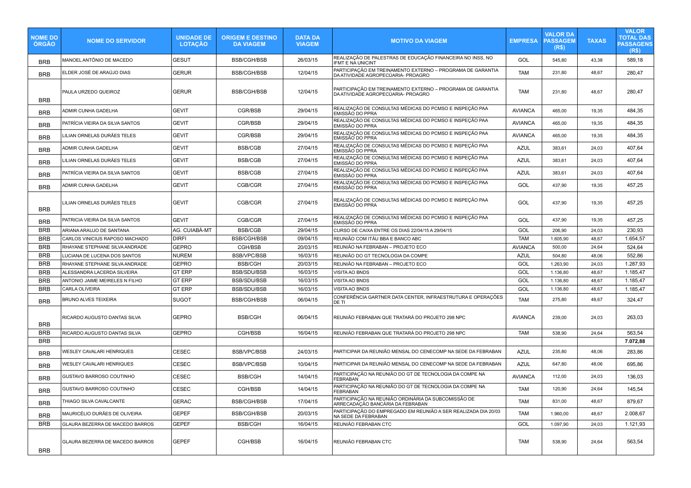| <b>NOME DO</b><br><b>ORGAO</b> | <b>NOME DO SERVIDOR</b>         | <b>UNIDADE DE</b><br><b>LOTAÇÃO</b> | <b>ORIGEM E DESTINO</b><br><b>DA VIAGEM</b> | <b>DATA DA</b><br><b>VIAGEM</b> | <b>MOTIVO DA VIAGEM</b>                                                                          | <b>EMPRESA</b> | VALOR DA<br><b>PASSAGEM</b><br>(R\$) | <b>TAXAS</b> | <b>VALOR</b><br>TOTAL DAS<br><b>PASSAGENS</b><br>(R\$) |
|--------------------------------|---------------------------------|-------------------------------------|---------------------------------------------|---------------------------------|--------------------------------------------------------------------------------------------------|----------------|--------------------------------------|--------------|--------------------------------------------------------|
| BRB                            | MANOEL ANTÔNIO DE MACEDO        | <b>GESUT</b>                        | <b>BSB/CGH/BSB</b>                          | 26/03/15                        | REALIZAÇÃO DE PALESTRAS DE EDUCAÇÃO FINANCEIRA NO INSS, NO<br><b>IFMT E NA UNICINT</b>           | GOL            | 545,80                               | 43,38        | 589,18                                                 |
| <b>BRB</b>                     | ELDER JOSÉ DE ARAÚJO DIAS       | <b>GERUR</b>                        | <b>BSB/CGH/BSB</b>                          | 12/04/15                        | PARTICIPAÇÃO EM TREINAMENTO EXTERNO – PROGRAMA DE GARANTIA<br>DA ATIVIDADE AGROPECÚARIA- PROAGRO | <b>TAM</b>     | 231,80                               | 48,67        | 280,47                                                 |
| <b>BRB</b>                     | PAULA URZEDO QUEIROZ            | <b>GERUR</b>                        | <b>BSB/CGH/BSB</b>                          | 12/04/15                        | PARTICIPAÇÃO EM TREINAMENTO EXTERNO - PROGRAMA DE GARANTIA<br>DA ATIVIDADE AGROPECÚARIA- PROAGRO | <b>TAM</b>     | 231,80                               | 48,67        | 280,47                                                 |
| <b>BRB</b>                     | ADMIR CUNHA GADELHA             | <b>GEVIT</b>                        | CGR/BSB                                     | 29/04/15                        | REALIZAÇÃO DE CONSULTAS MÉDICAS DO PCMSO E INSPEÇÃO PAA<br>EMISSÃO DO PPRA                       | <b>AVIANCA</b> | 465,00                               | 19,35        | 484,35                                                 |
| <b>BRB</b>                     | PATRÍCIA VIEIRA DA SILVA SANTOS | GEVIT                               | CGR/BSB                                     | 29/04/15                        | REALIZAÇÃO DE CONSULTAS MÉDICAS DO PCMSO E INSPEÇÃO PAA<br><b>EMISSÃO DO PPRA</b>                | <b>AVIANCA</b> | 465,00                               | 19,35        | 484,35                                                 |
| <b>BRB</b>                     | LILIAN ORNELAS DURÃES TELES     | <b>GEVIT</b>                        | CGR/BSB                                     | 29/04/15                        | REALIZAÇÃO DE CONSULTAS MÉDICAS DO PCMSO E INSPEÇÃO PAA<br><b>EMISSÃO DO PPRA</b>                | <b>AVIANCA</b> | 465,00                               | 19,35        | 484,35                                                 |
| <b>BRB</b>                     | ADMIR CUNHA GADELHA             | <b>GEVIT</b>                        | <b>BSB/CGB</b>                              | 27/04/15                        | REALIZACÃO DE CONSULTAS MÉDICAS DO PCMSO E INSPECÃO PAA<br>EMISSÃO DO PPRA                       | <b>AZUL</b>    | 383,61                               | 24,03        | 407,64                                                 |
| <b>BRB</b>                     | LILIAN ORNELAS DURÃES TELES     | <b>GEVIT</b>                        | <b>BSB/CGB</b>                              | 27/04/15                        | REALIZAÇÃO DE CONSULTAS MÉDICAS DO PCMSO E INSPEÇÃO PAA<br>EMISSÃO DO PPRA                       | <b>AZUL</b>    | 383,61                               | 24,03        | 407,64                                                 |
| <b>BRB</b>                     | PATRÍCIA VIEIRA DA SILVA SANTOS | <b>GEVIT</b>                        | <b>BSB/CGB</b>                              | 27/04/15                        | REALIZAÇÃO DE CONSULTAS MÉDICAS DO PCMSO E INSPEÇÃO PAA<br>EMISSÃO DO PPRA                       | <b>AZUL</b>    | 383,61                               | 24,03        | 407,64                                                 |
| <b>BRB</b>                     | ADMIR CUNHA GADELHA             | <b>GEVIT</b>                        | CGB/CGR                                     | 27/04/15                        | REALIZAÇÃO DE CONSULTAS MÉDICAS DO PCMSO E INSPEÇÃO PAA<br>EMISSÃO DO PPRA                       | GOL            | 437,90                               | 19,35        | 457,25                                                 |
| <b>BRB</b>                     | LILIAN ORNELAS DURÃES TELES     | <b>GEVIT</b>                        | CGB/CGR                                     | 27/04/15                        | REALIZAÇÃO DE CONSULTAS MÉDICAS DO PCMSO E INSPEÇÃO PAA<br>EMISSÃO DO PPRA                       | GOL            | 437,90                               | 19,35        | 457,25                                                 |
| <b>BRB</b>                     | PATRICIA VIEIRA DA SILVA SANTOS | <b>GEVIT</b>                        | CGB/CGR                                     | 27/04/15                        | REALIZAÇÃO DE CONSULTAS MÉDICAS DO PCMSO E INSPEÇÃO PAA<br>EMISSÃO DO PPRA                       | GOL            | 437,90                               | 19,35        | 457,25                                                 |
| <b>BRB</b>                     | ARIANA ARAUJO DE SANTANA        | AG. CUIABÁ-MT                       | <b>BSB/CGB</b>                              | 29/04/15                        | CURSO DE CAIXA ENTRE OS DIAS 22/04/15 A 29/04/15                                                 | GOL            | 206,90                               | 24,03        | 230,93                                                 |
| <b>BRB</b>                     | CARLOS VINICIUS RAPOSO MACHADO  | <b>DIRFI</b>                        | <b>BSB/CGH/BSB</b>                          | 09/04/15                        | REUNIÃO COM ITÁU BBA E BANCO ABC                                                                 | <b>TAM</b>     | 1.605,90                             | 48,67        | 1.654,57                                               |
| <b>BRB</b>                     | RHAYANE STEPHANE SILVA ANDRADE  | <b>GEPRO</b>                        | CGH/BSB                                     | 20/03/15                        | REUNIÃO NA FEBRABAN - PROJETO ECO                                                                | <b>AVIANCA</b> | 500,00                               | 24,64        | 524,64                                                 |
| <b>BRB</b>                     | LUCIANA DE LUCENA DOS SANTOS    | NUREM                               | <b>BSB/VPC/BSB</b>                          | 16/03/15                        | REUNIÃO DO GT TECNOLOGIA DA COMPE                                                                | <b>AZUL</b>    | 504,80                               | 48,06        | 552,86                                                 |
| <b>BRB</b>                     | RHAYANE STEPHANE SILVA ANDRADE  | GEPRO                               | <b>BSB/CGH</b>                              | 20/03/15                        | REUNIÃO NA FEBRABAN - PROJETO ECO                                                                | GOL            | 1.263,90                             | 24,03        | 1.287,93                                               |
| <b>BRB</b>                     | ALESSANDRA LACERDA SILVEIRA     | GT ERP                              | BSB/SDU/BSB                                 | 16/03/15                        | VISITA AO BNDS                                                                                   | GOL            | 1.136,80                             | 48,67        | 1.185,47                                               |
| <b>BRB</b>                     | ANTONIO JAIME MEIRELES N FILHO  | <b>GT ERP</b>                       | <b>BSB/SDU/BSB</b>                          | 16/03/15                        | VISITA AO BNDS                                                                                   | GOL            | 1.136,80                             | 48,67        | 1.185,47                                               |
| <b>BRB</b>                     | <b>CARLA OLIVEIRA</b>           | GT ERP                              | <b>BSB/SDU/BSB</b>                          | 16/03/15                        | VISITA AO BNDS                                                                                   | GOL            | 1.136,80                             | 48,67        | 1.185,47                                               |
| <b>BRB</b>                     | BRUNO ALVES TEIXEIRA            | SUGOT                               | <b>BSB/CGH/BSB</b>                          | 06/04/15                        | CONFERÊNCIA GARTNER DATA CENTER, INFRAESTRUTURA E OPERAÇÕES<br><b>DE TI</b>                      | <b>TAM</b>     | 275,80                               | 48,67        | 324,47                                                 |
| <b>BRB</b>                     | RICARDO AUGUSTO DANTAS SILVA    | <b>GEPRO</b>                        | <b>BSB/CGH</b>                              | 06/04/15                        | REUNIÃO FEBRABAN QUE TRATARÁ DO PROJETO 298 NPC                                                  | <b>AVIANCA</b> | 239,00                               | 24,03        | 263,03                                                 |
| <b>BRB</b>                     | RICARDO AUGUSTO DANTAS SILVA    | GEPRO                               | CGH/BSB                                     | 16/04/15                        | REUNIÃO FEBRABAN QUE TRATARÁ DO PROJETO 298 NPC                                                  | <b>TAM</b>     | 538,90                               | 24,64        | 563,54                                                 |
| <b>BRB</b>                     |                                 |                                     |                                             |                                 |                                                                                                  |                |                                      |              | 7.072,88                                               |
| <b>BRB</b>                     | WESLEY CAVALARI HENRIQUES       | <b>CESEC</b>                        | <b>BSB/VPC/BSB</b>                          | 24/03/15                        | PARTICIPAR DA REUNIÃO MENSAL DO CENECOMP NA SEDE DA FEBRABAN                                     | <b>AZUL</b>    | 235,80                               | 48,06        | 283,86                                                 |
| <b>BRB</b>                     | WESLEY CAVALARI HENRIQUES       | <b>CESEC</b>                        | <b>BSB/VPC/BSB</b>                          | 10/04/15                        | PARTICIPAR DA REUNIÃO MENSAL DO CENECOMP NA SEDE DA FEBRABAN                                     | <b>AZUL</b>    | 647,80                               | 48,06        | 695,86                                                 |
| <b>BRB</b>                     | GUSTAVO BARROSO COUTINHO        | CESEC                               | <b>BSB/CGH</b>                              | 14/04/15                        | PARTICIPAÇÃO NA REUNIÃO DO GT DE TECNOLOGIA DA COMPE NA<br><b>FEBRABAN</b>                       | <b>AVIANCA</b> | 112,00                               | 24,03        | 136,03                                                 |
| <b>BRB</b>                     | GUSTAVO BARROSO COUTINHO        | <b>CESEC</b>                        | CGH/BSB                                     | 14/04/15                        | PARTICIPAÇÃO NA REUNIÃO DO GT DE TECNOLOGIA DA COMPE NA<br><b>FEBRABAN</b>                       | <b>TAM</b>     | 120,90                               | 24,64        | 145,54                                                 |
| <b>BRB</b>                     | THIAGO SILVA CAVALCANTE         | <b>GERAC</b>                        | <b>BSB/CGH/BSB</b>                          | 17/04/15                        | PARTICIPACÃO NA REUNIÃO ORDINÁRIA DA SUBCOMISSÃO DE<br>ARRECADAÇÃO BANCÁRIA DA FEBRABAN          | <b>TAM</b>     | 831,00                               | 48,67        | 879,67                                                 |
| <b>BRB</b>                     | MAURICÉLIO DURÃES DE OLIVEIRA   | <b>GEPEF</b>                        | <b>BSB/CGH/BSB</b>                          | 20/03/15                        | PARTICIPAÇÃO DO EMPREGADO EM REUNIÃO A SER REALIZADA DIA 20/03<br>NA SEDE DA FEBRABAN            | <b>TAM</b>     | 1.960,00                             | 48,67        | 2.008,67                                               |
| <b>BRB</b>                     | GLAURA BEZERRA DE MACEDO BARROS | <b>GEPEF</b>                        | <b>BSB/CGH</b>                              | 16/04/15                        | REUNIÃO FEBRABAN CTC                                                                             | GOL            | 1.097,90                             | 24,03        | 1.121,93                                               |
| <b>BRB</b>                     | GLAURA BEZERRA DE MACEDO BARROS | <b>GEPEF</b>                        | CGH/BSB                                     | 16/04/15                        | REUNIÃO FEBRABAN CTC                                                                             | <b>TAM</b>     | 538,90                               | 24,64        | 563,54                                                 |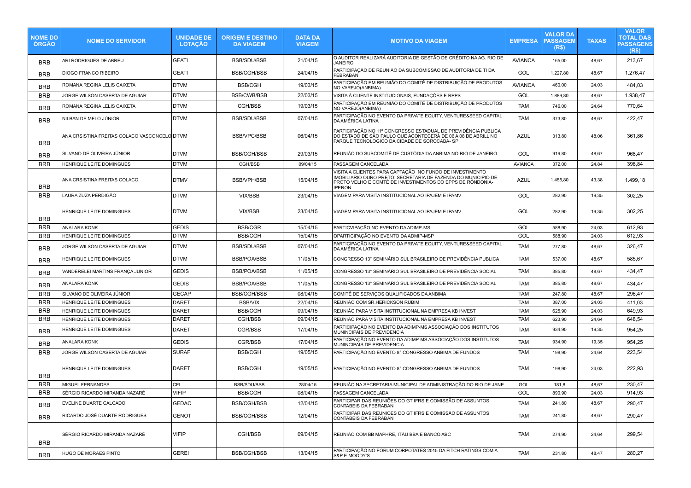| <b>NOME DO</b><br><b>ORGAO</b> | <b>NOME DO SERVIDOR</b>                      | <b>UNIDADE DE</b><br><b>LOTAÇÃO</b> | <b>ORIGEM E DESTINO</b><br><b>DA VIAGEM</b> | <b>DATA DA</b><br><b>VIAGEM</b> | <b>MOTIVO DA VIAGEM</b>                                                                                                                                                                                 | <b>EMPRESA</b> | VALOR DA<br><b>PASSAGEM</b><br>(R\$) | <b>TAXAS</b> | <b>VALOR</b><br>TOTAL DAS<br><b>PASSAGENS</b><br>(R\$) |
|--------------------------------|----------------------------------------------|-------------------------------------|---------------------------------------------|---------------------------------|---------------------------------------------------------------------------------------------------------------------------------------------------------------------------------------------------------|----------------|--------------------------------------|--------------|--------------------------------------------------------|
| <b>BRB</b>                     | ARI RODRIGUES DE ABREU                       | <b>GEATI</b>                        | <b>BSB/SDU/BSB</b>                          | 21/04/15                        | O AUDITOR REALIZARÁ AUDITORIA DE GESTÃO DE CRÉDITO NA AG. RIO DE<br><b>JANEIRO</b>                                                                                                                      | <b>AVIANCA</b> | 165,00                               | 48,67        | 213,67                                                 |
| <b>BRB</b>                     | <b>DIOGO FRANCO RIBEIRO</b>                  | <b>GEATI</b>                        | <b>BSB/CGH/BSB</b>                          | 24/04/15                        | PARTICIPAÇÃO DE REUNIÃO DA SUBCOMISSÃO DE AUDITORIA DE TI DA<br><b>FEBRABAN</b>                                                                                                                         | GOL            | 1.227,80                             | 48,67        | 1.276,47                                               |
| <b>BRB</b>                     | ROMANA REGINA LELIS CAIXETA                  | <b>DTVM</b>                         | <b>BSB/CGH</b>                              | 19/03/15                        | PARTICIPAÇÃO EM REUNIÃO DO COMITÊ DE DISTRIBUIÇÃO DE PRODUTOS<br>NO VAREJÓ(ANBIMA)                                                                                                                      | <b>AVIANCA</b> | 460,00                               | 24,03        | 484,03                                                 |
| <b>BRB</b>                     | JORGE WILSON CASERTA DE AGUIAR               | <b>DTVM</b>                         | <b>BSB/CWB/BSB</b>                          | 22/03/15                        | VISITA À CLIENTE INSTITUCIONAIS, FUNDAÇÕES E RPPS                                                                                                                                                       | GOL            | 1.889,80                             | 48,67        | 1.938,47                                               |
| <b>BRB</b>                     | ROMANA REGINA LELIS CAIXETA                  | <b>DTVM</b>                         | CGH/BSB                                     | 19/03/15                        | PARTICIPAÇÃO EM REUNIÃO DO COMITÊ DE DISTRIBUIÇÃO DE PRODUTOS<br>NO VAREJO(ANBIMA)                                                                                                                      | <b>TAM</b>     | 746,00                               | 24,64        | 770,64                                                 |
| <b>BRB</b>                     | NILBAN DE MELO JÚNIOR                        | <b>DTVM</b>                         | <b>BSB/SDU/BSB</b>                          | 07/04/15                        | PARTICIPACÃO NO EVENTO DA PRIVATE EQUITY. VENTURE&SEED CAPITAL<br>DA AMÉRICA LATINA                                                                                                                     | <b>TAM</b>     | 373,80                               | 48,67        | 422,47                                                 |
| <b>BRB</b>                     | ANA CRSISTINA FREITAS COLACO VASCONCELO DTVM |                                     | BSB/VPC/BSB                                 | 06/04/15                        | PARTICIPAÇÃO NO 11º CONGRESSO ESTADUAL DE PREVIDÊNCIA PUBLICA<br>DO ESTADO DE SÃO PAULO QUE ACONTECERÁ DE 06 A 08 DE ABRILL NO<br>PARQUE TECNOLOGICO DA CIDADE DE SOROCABA-SP                           | <b>AZUL</b>    | 313,80                               | 48,06        | 361,86                                                 |
| <b>BRB</b>                     | SILVANO DE OLIVEIRA JÚNIOR                   | <b>DTVM</b>                         | <b>BSB/CGH/BSB</b>                          | 29/03/15                        | REUNIÃO DO SUBCOMITÊ DE CUSTÓDIA DA ANBIMA NO RIO DE JANEIRO                                                                                                                                            | GOL            | 919,80                               | 48,67        | 968,47                                                 |
| <b>BRB</b>                     | HENRIQUE LEITE DOMINGUES                     | <b>DTVM</b>                         | CGH/BSB                                     | 09/04/15                        | PASSAGEM CANCELADA                                                                                                                                                                                      | <b>AVIANCA</b> | 372,00                               | 24,84        | 396,84                                                 |
| <b>BRB</b>                     | ANA CRSISTINA FREITAS COLACO                 | <b>DTMV</b>                         | <b>BSB/VPH/BSB</b>                          | 15/04/15                        | VISITA A CLIENTES PARA CAPTAÇÃO NO FUNDO DE INVESTIMENTO<br>IMOBILIARIO OURO PRETO: SECRETARIA DE FAZENDA DO MUNICIPIO DE<br>PROTO VELHO E COMTÊ DE INVESTIMENTOS DO EPPS DE RÔNDONIA-<br><b>IPERON</b> | <b>AZUL</b>    | 1.455,80                             | 43,38        | 1.499,18                                               |
| <b>BRB</b>                     | LAURA ZUZA PERDIGÃO                          | <b>DTVM</b>                         | VIX/BSB                                     | 23/04/15                        | VIAGEM PARA VISITA INSTITUCIONAL AO IPAJEM E IPAMV                                                                                                                                                      | GOL            | 282,90                               | 19,35        | 302,25                                                 |
| <b>BRB</b>                     | HENRIQUE LEITE DOMINGUES                     | <b>DTVM</b>                         | VIX/BSB                                     | 23/04/15                        | VIAGEM PARA VISITA INSTITUCIONAL AO IPAJEM E IPAMV                                                                                                                                                      | GOL            | 282,90                               | 19,35        | 302,25                                                 |
| <b>BRB</b>                     | ANALARA KONK                                 | <b>GEDIS</b>                        | <b>BSB/CGR</b>                              | 15/04/15                        | PARTICVIPAÇÃO NO EVENTO DA ADIMP-MS                                                                                                                                                                     | GOL            | 588,90                               | 24,03        | 612,93                                                 |
| <b>BRB</b>                     | HENRIQUE LEITE DOMINGUES                     | <b>DTVM</b>                         | <b>BSB/CGH</b>                              | 15/04/15                        | OPARTICIPAÇÃO NO EVENTO DA ADMIP-MSP                                                                                                                                                                    | GOL            | 588,90                               | 24,03        | 612,93                                                 |
| <b>BRB</b>                     | JORGE WILSON CASERTA DE AGUIAR               | <b>DTVM</b>                         | <b>BSB/SDU/BSB</b>                          | 07/04/15                        | PARTICIPAÇÃO NO EVENTO DA PRIVATE EQUITY, VENTURE&SEED CAPITAL<br>DA AMÉRICA LATINA                                                                                                                     | <b>TAM</b>     | 277,80                               | 48,67        | 326,47                                                 |
| <b>BRB</b>                     | <b>HENRIQUE LEITE DOMINGUES</b>              | <b>DTVM</b>                         | <b>BSB/POA/BSB</b>                          | 11/05/15                        | CONGRESSO 13° SEMINÁRIO SUL BRASILEIRO DE PREVIDÊNCIA PUBLICA                                                                                                                                           | <b>TAM</b>     | 537,00                               | 48,67        | 585,67                                                 |
| <b>BRB</b>                     | VANDERELEI MARTINS FRANÇA JUNIOR             | <b>GEDIS</b>                        | <b>BSB/POA/BSB</b>                          | 11/05/15                        | CONGRESSO 13° SEMINÁRIO SUL BRASILEIRO DE PREVIDÊNCIA SOCIAL                                                                                                                                            | <b>TAM</b>     | 385,80                               | 48,67        | 434,47                                                 |
| <b>BRB</b>                     | <b>ANALARA KONK</b>                          | <b>GEDIS</b>                        | <b>BSB/POA/BSB</b>                          | 11/05/15                        | CONGRESSO 13° SEMINÁRIO SUL BRASILEIRO DE PREVIDÊNCIA SOCIAL                                                                                                                                            | <b>TAM</b>     | 385,80                               | 48,67        | 434,47                                                 |
| <b>BRB</b>                     | SILVANO DE OLIVEIRA JÚNIOR                   | <b>GECAP</b>                        | <b>BSB/CGH/BSB</b>                          | 08/04/15                        | COMITÊ DE SERVIÇOS QUALIFICADOS DA ANBIMA                                                                                                                                                               | <b>TAM</b>     | 247,80                               | 48,67        | 296,47                                                 |
| <b>BRB</b>                     | HENRIQUE LEITE DOMINGUES                     | <b>DARET</b>                        | <b>BSB/VIX</b>                              | 22/04/15                        | REUNIÃO COM SR.HERICKSON RUBIM                                                                                                                                                                          | <b>TAM</b>     | 387,00                               | 24,03        | 411,03                                                 |
| <b>BRB</b>                     | HENRIQUE LEITE DOMINGUES                     | <b>DARET</b>                        | <b>BSB/CGH</b>                              | 09/04/15                        | REUNIÃO PARA VISITA INSTITUCIONAL NA EMPRESA KB INVEST                                                                                                                                                  | <b>TAM</b>     | 625,90                               | 24,03        | 649,93                                                 |
| <b>BRB</b>                     | HENRIQUE LEITE DOMINGUES                     | <b>DARET</b>                        | CGH/BSB                                     | 09/04/15                        | REUNIÃO PARA VISITA INSTITUCIONAL NA EMPRESA KB INVEST                                                                                                                                                  | <b>TAM</b>     | 623,90                               | 24,64        | 648,54                                                 |
| <b>BRB</b>                     | HENRIQUE LEITE DOMINGUES                     | <b>DARET</b>                        | CGR/BSB                                     | 17/04/15                        | PARTICIPAÇÃO NO EVENTO DA ADIMP-MS ASSOCIAÇÃO DOS INSTITUTOS<br>MUNINCIPAIS DE PREVIDENCIA                                                                                                              | <b>TAM</b>     | 934,90                               | 19,35        | 954,25                                                 |
| <b>BRB</b>                     | ANALARA KONK                                 | <b>GEDIS</b>                        | CGR/BSB                                     | 17/04/15                        | PARTICIPAÇÃO NO EVENTO DA ADIMP-MS ASSOCIAÇÃO DOS INSTITUTOS<br>MUNINCIPAIS DE PREVIDENCIA                                                                                                              | <b>TAM</b>     | 934,90                               | 19,35        | 954,25                                                 |
| <b>BRB</b>                     | JORGE WILSON CASERTA DE AGUIAR               | <b>SURAF</b>                        | <b>BSB/CGH</b>                              | 19/05/15                        | PARTICIPAÇÃO NO EVENTO 8° CONGRESSO ANBIMA DE FUNDOS                                                                                                                                                    | <b>TAM</b>     | 198,90                               | 24,64        | 223,54                                                 |
| <b>BRB</b>                     | HENRIQUE LEITE DOMINGUES                     | <b>DARET</b>                        | <b>BSB/CGH</b>                              | 19/05/15                        | PARTICIPAÇÃO NO EVENTO 8° CONGRESSO ANBIMA DE FUNDOS                                                                                                                                                    | <b>TAM</b>     | 198,90                               | 24,03        | 222,93                                                 |
| <b>BRB</b>                     | <b>MIGUEL FERNANDES</b>                      | CFI                                 | <b>BSB/SDU/BSB</b>                          | 28/04/15                        | REUNIÃO NA SECRETARIA MUNICIPAL DE ADMINISTRAÇÃO DO RIO DE JANE                                                                                                                                         | GOL            | 181,8                                | 48,67        | 230,47                                                 |
| <b>BRB</b>                     | SÉRGIO RICARDO MIRANDA NAZARÉ                | <b>VIFIP</b>                        | <b>BSB/CGH</b>                              | 08/04/15                        | PASSAGEM CANCELADA                                                                                                                                                                                      | GOL            | 890.90                               | 24.03        | 914.93                                                 |
| <b>BRB</b>                     | EVELINE DUARTE CALCADO                       | <b>GEDAC</b>                        | <b>BSB/CGH/BSB</b>                          | 12/04/15                        | PARTICIPAR DAS REUNIÕES DO GT IFRS E COMISSÃO DE ASSUNTOS<br>CONTABEIS DA FEBRABAN                                                                                                                      | <b>TAM</b>     | 241,80                               | 48,67        | 290,47                                                 |
| <b>BRB</b>                     | RICARDO JOSÉ DUARTE RODRIGUES                | <b>GENOT</b>                        | <b>BSB/CGH/BSB</b>                          | 12/04/15                        | PARTICIPAR DAS REUNIÕES DO GT IFRS E COMISSÃO DE ASSUNTOS<br>CONTABEIS DA FEBRABAN                                                                                                                      | TAM            | 241,80                               | 48,67        | 290,47                                                 |
| <b>BRB</b>                     | SÉRGIO RICARDO MIRANDA NAZARÉ                | <b>VIFIP</b>                        | CGH/BSB                                     | 09/04/15                        | REUNIÃO COM BB MAPHRE. ITÁU BBA E BANCO ABC                                                                                                                                                             | <b>TAM</b>     | 274,90                               | 24,64        | 299,54                                                 |
| <b>BRB</b>                     | HUGO DE MORAES PINTO                         | <b>GEREI</b>                        | <b>BSB/CGH/BSB</b>                          | 13/04/15                        | PARTICIPACÃO NO FORUM CORPOTATES 2015 DA FITCH RATINGS COM A<br>S&P E MOODY'S                                                                                                                           | <b>TAM</b>     | 231,80                               | 48,47        | 280,27                                                 |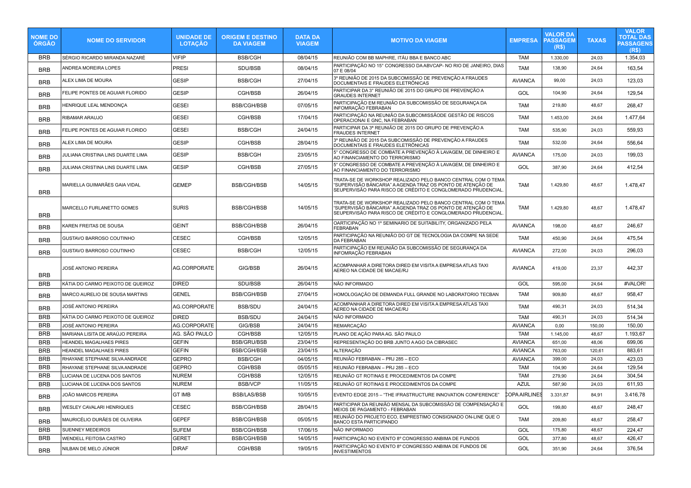| <b>NOME DO</b><br>ÓRGÃO | <b>NOME DO SERVIDOR</b>           | <b>UNIDADE DE</b><br><b>LOTAÇÃO</b> | <b>ORIGEM E DESTINO</b><br><b>DA VIAGEM</b> | <b>DATA DA</b><br><b>VIAGEM</b> | <b>MOTIVO DA VIAGEM</b>                                                                                                                                                                   | <b>EMPRESA</b> | <b>VALOR DA</b><br><b>PASSAGEM</b><br>(R\$) | <b>TAXAS</b> | <b>VALOR</b><br><b>TOTAL DAS</b><br><b>PASSAGENS</b><br>(R\$) |
|-------------------------|-----------------------------------|-------------------------------------|---------------------------------------------|---------------------------------|-------------------------------------------------------------------------------------------------------------------------------------------------------------------------------------------|----------------|---------------------------------------------|--------------|---------------------------------------------------------------|
| <b>BRB</b>              | SÉRGIO RICARDO MIRANDA NAZARÉ     | <b>VIFIP</b>                        | <b>BSB/CGH</b>                              | 08/04/15                        | REUNIÃO COM BB MAPHRE, ITÁU BBA E BANCO ABC                                                                                                                                               | <b>TAM</b>     | 1.330,00                                    | 24,03        | 1.354,03                                                      |
| <b>BRB</b>              | ANDREA MOREIRA LOPES              | PRESI                               | SDU/BSB                                     | 08/04/15                        | PARTICIPAÇÃO NO 15° CONGRESSO DA ABVCAP- NO RIO DE JANEIRO, DIAS<br>07 E 08/04                                                                                                            | <b>TAM</b>     | 138,90                                      | 24,64        | 163,54                                                        |
| <b>BRB</b>              | ALEX LIMA DE MOURA                | <b>GESIP</b>                        | <b>BSB/CGH</b>                              | 27/04/15                        | 3º REUNIÃO DE 2015 DA SUBCOMISSÃO DE PREVENÇÃO A FRAUDES<br>DOCUMENTAIS E FRAUDES ELETRÔNICAS                                                                                             | <b>AVIANCA</b> | 99,00                                       | 24,03        | 123,03                                                        |
| <b>BRB</b>              | FELIPE PONTES DE AGUIAR FLORIDO   | <b>GESIP</b>                        | CGH/BSB                                     | 26/04/15                        | PARTICIPAR DA 3º REUNIÃO DE 2015 DO GRUPO DE PREVENÇÃO A<br><b>GRAUDES INTERNET</b>                                                                                                       | GOL            | 104,90                                      | 24,64        | 129,54                                                        |
| <b>BRB</b>              | HENRIQUE LEAL MENDONCA            | <b>GESEI</b>                        | <b>BSB/CGH/BSB</b>                          | 07/05/15                        | PARTICIPAÇÃO EM REUNIÃO DA SUBCOMISSÃO DE SEGURANÇA DA<br>INFOMRAÇÃO FEBRABAN                                                                                                             | <b>TAM</b>     | 219,80                                      | 48,67        | 268,47                                                        |
| <b>BRB</b>              | RIBAMAR ARAUJO                    | <b>GESEI</b>                        | CGH/BSB                                     | 17/04/15                        | PARTICIPAÇÃO NA REUNIÃO DA SUBCOMISSÃODE GESTÃO DE RISCOS<br>OPERACIOÑAI E GNC, NA FEBRABAN                                                                                               | <b>TAM</b>     | 1.453,00                                    | 24,64        | 1.477,64                                                      |
| <b>BRB</b>              | FELIPE PONTES DE AGUIAR FLORIDO   | <b>GESEI</b>                        | <b>BSB/CGH</b>                              | 24/04/15                        | PARTICIPAR DA 3ª REUNIÃO DE 2015 DO GRUPO DE PREVENÇÃO A<br><b>FRAUDES INTERNET</b>                                                                                                       | <b>TAM</b>     | 535,90                                      | 24,03        | 559,93                                                        |
| <b>BRB</b>              | ALEX LIMA DE MOURA                | <b>GESIP</b>                        | CGH/BSB                                     | 28/04/15                        | 3º REUNIÃO DE 2015 DA SUBCOMISSÃO DE PREVENÇÃO A FRAUDES<br>DOCUMENTAIS E FRAUDES ELETRÔNICAS                                                                                             | <b>TAM</b>     | 532.00                                      | 24.64        | 556.64                                                        |
| <b>BRB</b>              | JULIANA CRISTINA LINS DUARTE LIMA | <b>GESIP</b>                        | <b>BSB/CGH</b>                              | 23/05/15                        | 5° CONGRESSO DE COMBATE A PREVENÇÃO À LAVAGEM, DE DINHEIRO E<br>AO FINANCIAMENTO DO TERRORISMO                                                                                            | <b>AVIANCA</b> | 175,00                                      | 24,03        | 199,03                                                        |
| <b>BRB</b>              | JULIANA CRISTINA LINS DUARTE LIMA | <b>GESIP</b>                        | CGH/BSB                                     | 27/05/15                        | 5° CONGRESSO DE COMBATE A PREVENÇÃO À LAVAGEM, DE DINHEIRO E<br>AO FINANCIAMENTO DO TERRORISMO                                                                                            | GOL            | 387,90                                      | 24,64        | 412,54                                                        |
| <b>BRB</b>              | MARIELLA GUIMARÃES GAIA VIDAL     | <b>GEMEP</b>                        | <b>BSB/CGH/BSB</b>                          | 14/05/15                        | TRATA-SE DE WORKSHOP REALIZADO PELO BANCO CENTRAL COM O TEMA<br>"SUPERVISÃO BÁNCARIA" A AGENDA TRAZ OS PONTO DE ATENÇÃO DE<br>SEUPERVISÃO PARA RISCO DE CRÉDITO E CONGLOMERADO PRUDENCIAL | <b>TAM</b>     | 1.429,80                                    | 48,67        | 1.478,47                                                      |
| <b>BRB</b>              | MARCELLO FURLANETTO GOMES         | <b>SURIS</b>                        | <b>BSB/CGH/BSB</b>                          | 14/05/15                        | TRATA-SE DE WORKSHOP REALIZADO PELO BANCO CENTRAL COM O TEMA<br>"SUPERVISÃO BÁNCARIA" A AGENDA TRAZ OS PONTO DE ATENÇÃO DE<br>SEUPERVISÃO PARA RISCO DE CRÉDITO E CONGLOMERADO PRUDENCIAL | <b>TAM</b>     | 1.429,80                                    | 48,67        | 1.478,47                                                      |
| <b>BRB</b>              | KAREN FREITAS DE SOUSA            | <b>GEINT</b>                        | <b>BSB/CGH/BSB</b>                          | 26/04/15                        | OARTICIPACÃO NO 1º SEMINARIO DE SUITABILITY. ORGANIZADO PELA<br><b>FEBRABAN</b>                                                                                                           | <b>AVIANCA</b> | 198,00                                      | 48,67        | 246,67                                                        |
| <b>BRB</b>              | GUSTAVO BARROSO COUTINHO          | <b>CESEC</b>                        | CGH/BSB                                     | 12/05/15                        | PARTICIPAÇÃO NA REUNIÃO DO GT DE TECNOLOGIA DA COMPE NA SEDE<br>DA FEBRABAN                                                                                                               | <b>TAM</b>     | 450,90                                      | 24,64        | 475,54                                                        |
| <b>BRB</b>              | GUSTAVO BARROSO COUTINHO          | <b>CESEC</b>                        | <b>BSB/CGH</b>                              | 12/05/15                        | PARTICIPAÇÃO EM REUNIÃO DA SUBCOMISSÃO DE SEGURANÇA DA<br>INFOMRAÇÃO FEBRABAN                                                                                                             | <b>AVIANCA</b> | 272,00                                      | 24,03        | 296,03                                                        |
| <b>BRB</b>              | JOSÉ ANTONIO PEREIRA              | <b>AG.CORPORATE</b>                 | GIG/BSB                                     | 26/04/15                        | ACOMPANHAR A DIRETORA DIRED EM VISITA A EMPRESA ATLAS TAXI<br>AEREO NA CIDADE DE MACAE/RJ                                                                                                 | <b>AVIANCA</b> | 419,00                                      | 23,37        | 442.37                                                        |
| <b>BRB</b>              | KÁTIA DO CARMO PEIXOTO DE QUEIROZ | <b>DIRED</b>                        | SDU/BSB                                     | 26/04/15                        | NÃO INFORMADO                                                                                                                                                                             | GOL            | 595,00                                      | 24,64        | #VALOR!                                                       |
| <b>BRB</b>              | MARCO AURELIO DE SOUSA MARTINS    | <b>GENEL</b>                        | <b>BSB/CGH/BSB</b>                          | 27/04/15                        | HOMOLOGAÇÃO DE DEMANDA FULL GRANDE NO LABORATORIO TECBAN                                                                                                                                  | <b>TAM</b>     | 909,80                                      | 48,67        | 958,47                                                        |
| <b>BRB</b>              | JOSÉ ANTONIO PEREIRA              | AG.CORPORATE                        | <b>BSB/SDU</b>                              | 24/04/15                        | ACOMPANHAR A DIRETORA DIRED EM VISITA A EMPRESA ATLAS TAXI<br>AEREO NA CIDADE DE MACAE/RJ                                                                                                 | <b>TAM</b>     | 490,31                                      | 24,03        | 514,34                                                        |
| <b>BRB</b>              | KÁTIA DO CARMO PEIXOTO DE QUEIROZ | <b>DIRED</b>                        | <b>BSB/SDU</b>                              | 24/04/15                        | NÃO INFORMADO                                                                                                                                                                             | <b>TAM</b>     | 490,31                                      | 24,03        | 514,34                                                        |
| <b>BRB</b>              | JOSÉ ANTONIO PEREIRA              | <b>AG.CORPORATE</b>                 | GIG/BSB                                     | 24/04/15                        | REMARCAÇÃO                                                                                                                                                                                | <b>AVIANCA</b> | 0,00                                        | 150,00       | 150,00                                                        |
| <b>BRB</b>              | MARIANA LISITA DE ARAÚJO PEREIRA  | AG. SÃO PAULO                       | CGH/BSB                                     | 12/05/15                        | PLANO DE AÇÃO PARA AG. SÃO PAULO                                                                                                                                                          | <b>TAM</b>     | 1.145,00                                    | 48,67        | 1.193,67                                                      |
| <b>BRB</b>              | HEANDEL MAGALHAES PIRES           | <b>GEFIN</b>                        | <b>BSB/GRU/BSB</b>                          | 23/04/15                        | REPRESENTAÇÃO DO BRB JUNTO A AGO DA CIBRASEC                                                                                                                                              | <b>AVIANCA</b> | 651,00                                      | 48,06        | 699,06                                                        |
| <b>BRB</b>              | <b>HEANDEL MAGALHAES PIRES</b>    | <b>GEFIN</b>                        | <b>BSB/CGH/BSB</b>                          | 23/04/15                        | <b>ALTERACÃO</b>                                                                                                                                                                          | <b>AVIANCA</b> | 763.00                                      | 120.61       | 883,61                                                        |
| <b>BRB</b>              | RHAYANE STEPHANE SILVA ANDRADE    | <b>GEPRO</b>                        | <b>BSB/CGH</b>                              | 04/05/15                        | REUNIÃO FEBRABAN – PRJ 285 – ECO                                                                                                                                                          | <b>AVIANCA</b> | 399.00                                      | 24.03        | 423.03                                                        |
| <b>BRB</b>              | RHAYANE STEPHANE SILVA ANDRADE    | <b>GEPRO</b>                        | CGH/BSB                                     | 05/05/15                        | REUNIÃO FEBRABAN – PRJ 285 – ECO                                                                                                                                                          | <b>TAM</b>     | 104,90                                      | 24,64        | 129.54                                                        |
| <b>BRB</b>              | LUCIANA DE LUCENA DOS SANTOS      | <b>NUREM</b>                        | CGH/BSB                                     | 12/05/15                        | REUNIÃO GT ROTINAS E PROCEDIMENTOS DA COMPE                                                                                                                                               | <b>TAM</b>     | 279,90                                      | 24,64        | 304,54                                                        |
| <b>BRB</b>              | LUCIANA DE LUCENA DOS SANTOS      | <b>NUREM</b>                        | <b>BSB/VCP</b>                              | 11/05/15                        | REUNIÃO GT ROTINAS E PROCEDIMENTOS DA COMPE                                                                                                                                               | <b>AZUL</b>    | 587,90                                      | 24,03        | 611,93                                                        |
| <b>BRB</b>              | JOÃO MARCOS PEREIRA               | <b>GT IMB</b>                       | <b>BSB/LAS/BSB</b>                          | 10/05/15                        | EVENTO EDGE 2015 - "THE IFRASTRUCTURE INNOVATION CONFERENCE"                                                                                                                              | OPA AIRLINES   | 3.331,87                                    | 84,91        | 3.416,78                                                      |
| <b>BRB</b>              | WESLEY CAVALARI HENRIQUES         | CESEC                               | <b>BSB/CGH/BSB</b>                          | 28/04/15                        | PARTICIPAR DA REUNIÃO MENSAL DA SUBCOMISSÃO DE COMPENSAÇÃO E<br>MEIOS DE PAGAMENTO - FEBRABAN                                                                                             | GOL            | 199,80                                      | 48,67        | 248,47                                                        |
| <b>BRB</b>              | MAURICÉLIO DURÃES DE OLIVEIRA     | <b>GEPEF</b>                        | <b>BSB/CGH/BSB</b>                          | 05/05/15                        | REUNIÃO DO PROJETO ECO, EMPRESTIMO CONSIGNADO ON-LINE QUE O<br>BANCO ESTA PARTICIPANDO                                                                                                    | <b>TAM</b>     | 209,80                                      | 48,67        | 258,47                                                        |
| <b>BRB</b>              | <b>SUENNEY MEDEIROS</b>           | <b>SUFEM</b>                        | <b>BSB/CGH/BSB</b>                          | 17/06/15                        | NÃO INFORMADO                                                                                                                                                                             | GOL            | 175,80                                      | 48,67        | 224,47                                                        |
| <b>BRB</b>              | <b>WENDELL FEITOSA CASTRO</b>     | <b>GERET</b>                        | <b>BSB/CGH/BSB</b>                          | 14/05/15                        | PARTICIPAÇÃO NO EVENTO 8º CONGRESSO ANBIMA DE FUNDOS<br>PARTICIPAÇÃO NO EVENTO 8º CONGRESSO ANBIMA DE FUNDOS DE                                                                           | GOL            | 377,80                                      | 48,67        | 426,47                                                        |
| <b>BRB</b>              | NILBAN DE MELO JÚNIOR             | <b>DIRAF</b>                        | CGH/BSB                                     | 19/05/15                        | <b>INVESTIMENTOS</b>                                                                                                                                                                      | GOL            | 351,90                                      | 24,64        | 376,54                                                        |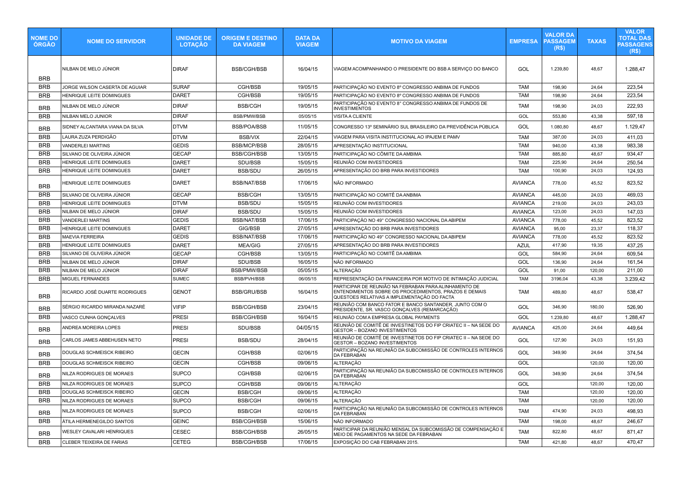| <b>NOME DO</b><br><b>ÓRGÃO</b> | <b>NOME DO SERVIDOR</b>         | <b>UNIDADE DE</b><br><b>LOTAÇÃO</b> | <b>ORIGEM E DESTINO</b><br><b>DA VIAGEM</b> | <b>DATA DA</b><br><b>VIAGEM</b> | <b>MOTIVO DA VIAGEM</b>                                                                                                                                       | <b>EMPRESA</b> | <b>VALOR DA</b><br><b>PASSAGEM</b><br>(R\$) | <b>TAXAS</b> | <b>VALOR</b><br><b>TOTAL DAS</b><br><b>PASSAGENS</b><br>(R <sub>s</sub> ) |
|--------------------------------|---------------------------------|-------------------------------------|---------------------------------------------|---------------------------------|---------------------------------------------------------------------------------------------------------------------------------------------------------------|----------------|---------------------------------------------|--------------|---------------------------------------------------------------------------|
| <b>BRB</b>                     | NILBAN DE MELO JÚNIOR           | <b>DIRAF</b>                        | <b>BSB/CGH/BSB</b>                          | 16/04/15                        | VIAGEM ACOMPANHANDO O PRESIDENTE DO BSB A SERVIÇO DO BANCO                                                                                                    | GOL            | 1.239,80                                    | 48,67        | 1.288.47                                                                  |
| <b>BRB</b>                     | JORGE WILSON CASERTA DE AGUIAR  | <b>SURAF</b>                        | CGH/BSB                                     | 19/05/15                        | PARTICIPAÇÃO NO EVENTO 8º CONGRESSO ANBIMA DE FUNDOS                                                                                                          | <b>TAM</b>     | 198,90                                      | 24,64        | 223,54                                                                    |
| <b>BRB</b>                     | HENRIQUE LEITE DOMINGUES        | <b>DARET</b>                        | CGH/BSB                                     | 19/05/15                        | PARTICIPAÇÃO NO EVENTO 8º CONGRESSO ANBIMA DE FUNDOS                                                                                                          | <b>TAM</b>     | 198,90                                      | 24,64        | 223,54                                                                    |
| <b>BRB</b>                     | NILBAN DE MELO JÚNIOR           | <b>DIRAF</b>                        | <b>BSB/CGH</b>                              | 19/05/15                        | PARTICIPAÇÃO NO EVENTO 8° CONGRESSO ANBIMA DE FUNDOS DE<br><b>INVESTIMENTOS</b>                                                                               | <b>TAM</b>     | 198,90                                      | 24.03        | 222,93                                                                    |
| <b>BRB</b>                     | NILBAN MELO JUNIOR              | <b>DIRAF</b>                        | <b>BSB/PMW/BSB</b>                          | 05/05/15                        | VISITA A CLIENTE                                                                                                                                              | GOL            | 553,80                                      | 43,38        | 597,18                                                                    |
| <b>BRB</b>                     | SIDNEY ALCANTARA VIANA DA SILVA | DTVM                                | <b>BSB/POA/BSB</b>                          | 11/05/15                        | CONGRESSO 13° SEMINÁRIO SUL BRASILEIRO DA PREVIDÊNCIA PÚBLICA                                                                                                 | GOL            | 1.080,80                                    | 48,67        | 1.129,47                                                                  |
| <b>BRB</b>                     | LAURA ZUZA PERDIGÃO             | <b>DTVM</b>                         | <b>BSB/VIX</b>                              | 22/04/15                        | VIAGEM PARA VISITA INSTITUCIONAL AO IPAJEM E PAMV                                                                                                             | <b>TAM</b>     | 387,00                                      | 24,03        | 411,03                                                                    |
| <b>BRB</b>                     | VANDERLEI MARTINS               | <b>GEDIS</b>                        | <b>BSB/MCP/BSB</b>                          | 28/05/15                        | APRESENTAÇÃO INSTITUCIONAL                                                                                                                                    | <b>TAM</b>     | 940,00                                      | 43,38        | 983,38                                                                    |
| <b>BRB</b>                     | SILVANO DE OLIVEIRA JÚNIOR      | <b>GECAP</b>                        | <b>BSB/CGH/BSB</b>                          | 13/05/15                        | PARTICIPAÇÃO NO CÔMITE DA AMBIMA                                                                                                                              | <b>TAM</b>     | 885,80                                      | 48,67        | 934,47                                                                    |
| <b>BRB</b>                     | HENRIQUE LEITE DOMINGUES        | <b>DARET</b>                        | SDU/BSB                                     | 15/05/15                        | REUNIÃO COM INVESTIDORES                                                                                                                                      | <b>TAM</b>     | 225,90                                      | 24,64        | 250,54                                                                    |
| <b>BRB</b>                     | HENRIQUE LEITE DOMINGUES        | <b>DARET</b>                        | <b>BSB/SDU</b>                              | 26/05/15                        | APRESENTAÇÃO DO BRB PARA INVESTIDORES                                                                                                                         | <b>TAM</b>     | 100,90                                      | 24,03        | 124,93                                                                    |
| <b>BRB</b>                     | <b>IENRIQUE LEITE DOMINGUES</b> | DARET                               | <b>BSB/NAT/BSB</b>                          | 17/06/15                        | NÃO INFORMADO                                                                                                                                                 | <b>AVIANCA</b> | 778,00                                      | 45,52        | 823,52                                                                    |
| <b>BRB</b>                     | SILVANO DE OLIVEIRA JÚNIOR      | <b>GECAP</b>                        | <b>BSB/CGH</b>                              | 13/05/15                        | PARTICIPAÇÃO NO COMITÊ DA ANBIMA                                                                                                                              | <b>AVIANCA</b> | 445,00                                      | 24,03        | 469,03                                                                    |
| <b>BRB</b>                     | HENRIQUE LEITE DOMINGUES        | <b>DTVM</b>                         | <b>BSB/SDU</b>                              | 15/05/15                        | REUNIÃO COM INVESTIDORES                                                                                                                                      | <b>AVIANCA</b> | 219,00                                      | 24,03        | 243,03                                                                    |
| <b>BRB</b>                     | NILBAN DE MELO JÚNIOR           | <b>DIRAF</b>                        | <b>BSB/SDU</b>                              | 15/05/15                        | REUNIÃO COM INVESTIDORES                                                                                                                                      | <b>AVIANCA</b> | 123,00                                      | 24,03        | 147,03                                                                    |
| <b>BRB</b>                     | VANDERLEI MARTINS               | <b>GEDIS</b>                        | <b>BSB/NAT/BSB</b>                          | 17/06/15                        | PARTICIPAÇÃO NO 49° CONGRESSO NACIONAL DA ABIPEM                                                                                                              | <b>AVIANCA</b> | 778,00                                      | 45,52        | 823,52                                                                    |
| <b>BRB</b>                     | HENRIQUE LEITE DOMINGUES        | <b>DARET</b>                        | GIG/BSB                                     | 27/05/15                        | APRESENTAÇÃO DO BRB PARA INVESTIDORES                                                                                                                         | <b>AVIANCA</b> | 95,00                                       | 23,37        | 118,37                                                                    |
| <b>BRB</b>                     | MAEVIA FERREIRA                 | <b>GEDIS</b>                        | <b>BSB/NAT/BSB</b>                          | 17/06/15                        | PARTICIPAÇÃO NO 49° CONGRESSO NACIONAL DA ABIPEM                                                                                                              | <b>AVIANCA</b> | 778,00                                      | 45,52        | 823,52                                                                    |
| <b>BRB</b>                     | HENRIQUE LEITE DOMINGUES        | <b>DARET</b>                        | <b>MEA/GIG</b>                              | 27/05/15                        | APRESENTAÇÃO DO BRB PARA INVESTIDORES                                                                                                                         | <b>AZUL</b>    | 417,90                                      | 19,35        | 437,25                                                                    |
| <b>BRB</b>                     | SILVANO DE OLIVEIRA JÚNIOR      | <b>GECAP</b>                        | CGH/BSB                                     | 13/05/15                        | PARTICIPAÇÃO NO COMITÊ DA AMBIMA                                                                                                                              | GOL            | 584,90                                      | 24,64        | 609,54                                                                    |
| <b>BRB</b>                     | NILBAN DE MELO JÚNIOR           | <b>DIRAF</b>                        | SDU/BSB                                     | 16/05/15                        | NÃO INFORMADO                                                                                                                                                 | GOL            | 136,90                                      | 24,64        | 161,54                                                                    |
| <b>BRB</b>                     | NILBAN DE MELO JÚNIOR           | <b>DIRAF</b>                        | <b>BSB/PMW/BSB</b>                          | 05/05/15                        | <b>ALTERAÇÃO</b>                                                                                                                                              | GOL            | 91,00                                       | 120,00       | 211,00                                                                    |
| <b>BRB</b>                     | MIGUEL FERNANDES                | <b>SUMEC</b>                        | <b>BSB/PVH/BSB</b>                          | 06/05/15                        | REPRESENTAÇÃO DA FINANCEIRA POR MOTIVO DE INTIMAÇÃO JUDICIAL                                                                                                  | <b>TAM</b>     | 3196,04                                     | 43,38        | 3.239,42                                                                  |
| <b>BRB</b>                     | RICARDO JOSÉ DUARTE RODRIGUES   | <b>GENOT</b>                        | <b>BSB/GRU/BSB</b>                          | 16/04/15                        | PARTICIPAR DE REUNIÃO NA FEBRABAN PARA ALINHAMENTO DE<br>ENTENDIMENTOS SOBRE OS PROCEDIMENTOS, PRAZOS E DEMAIS<br>QUESTOES RELATIVAS A IMPLEMENTAÇÃO DO FACTA | TAM            | 489,80                                      | 48,67        | 538,47                                                                    |
| <b>BRB</b>                     | SÉRGIO RICARDO MIRANDA NAZARÉ   | <b>VIFIP</b>                        | <b>BSB/CGH/BSB</b>                          | 23/04/15                        | REUNIÃO COM BANCO FATOR E BANCO SANTANDER, JUNTO COM O<br>PRESIDENTE, SR. VASCO GONÇALVES (REMARCAÇÃO)                                                        | GOL            | 346,90                                      | 180,00       | 526,90                                                                    |
| <b>BRB</b>                     | VASCO CUNHA GONÇALVES           | PRESI                               | <b>BSB/CGH/BSB</b>                          | 16/04/15                        | REUNIÃO COM A EMPRESA GLOBAL PAYMENTS                                                                                                                         | GOL            | 1.239,80                                    | 48,67        | 1.288,47                                                                  |
| <b>BRB</b>                     | ANDREA MOREIRA LOPES            | <b>PRESI</b>                        | SDU/BSB                                     | 04/05/15                        | REUNIÃO DE COMITÊ DE INVESTINETOS DO FIP CRIATEC II - NA SEDE DO<br><b>GESTOR - BOZANO INVESTIMENTOS</b>                                                      | <b>AVIANCA</b> | 425,00                                      | 24,64        | 449,64                                                                    |
| <b>BRB</b>                     | CARLOS JAMES ABBEHUSEN NETO     | <b>PRESI</b>                        | <b>BSB/SDU</b>                              | 28/04/15                        | REUNIÃO DE COMITÊ DE INVESTINETOS DO FIP CRIATEC II - NA SEDE DO<br><b>GESTOR - BOZANO INVESTIMENTOS</b>                                                      | GOL            | 127,90                                      | 24,03        | 151,93                                                                    |
| <b>BRB</b>                     | DOUGLAS SCHMEISCK RIBEIRO       | <b>GECIN</b>                        | CGH/BSB                                     | 02/06/15                        | PARTICIPAÇÃO NA REUNIÃO DA SUBCOMISSÃO DE CONTROLES INTERNOS<br><b>DA FEBRABAN</b>                                                                            | GOL            | 349,90                                      | 24,64        | 374,54                                                                    |
| <b>BRB</b>                     | DOUGLAS SCHMEISCK RIBEIRO       | <b>GECIN</b>                        | CGH/BSB                                     | 09/06/15                        | <b>ALTERAÇÃO</b>                                                                                                                                              | GOL            |                                             | 120,00       | 120,00                                                                    |
| <b>BRB</b>                     | NILZA RODRIGUES DE MORAES       | <b>SUPCO</b>                        | CGH/BSB                                     | 02/06/15                        | PARTICIPAÇÃO NA REUNIÃO DA SUBCOMISSÃO DE CONTROLES INTERNOS<br>DA FEBRABAN                                                                                   | GOL            | 349,90                                      | 24,64        | 374,54                                                                    |
| <b>BRB</b>                     | NILZA RODRIGUES DE MORAES       | <b>SUPCO</b>                        | CGH/BSB                                     | 09/06/15                        | <b>ALTERAÇÃO</b>                                                                                                                                              | GOL            |                                             | 120,00       | 120.00                                                                    |
| <b>BRB</b>                     | DOUGLAS SCHMEISCK RIBEIRO       | <b>GECIN</b>                        | <b>BSB/CGH</b>                              | 09/06/15                        | ALTERAÇÃO                                                                                                                                                     | <b>TAM</b>     |                                             | 120,00       | 120,00                                                                    |
| <b>BRB</b>                     | NILZA RODRIGUES DE MORAES       | <b>SUPCO</b>                        | <b>BSB/CGH</b>                              | 09/06/15                        | ALTERAÇÃO                                                                                                                                                     | <b>TAM</b>     |                                             | 120,00       | 120,00                                                                    |
| <b>BRB</b>                     | NILZA RODRIGUES DE MORAES       | <b>SUPCO</b>                        | <b>BSB/CGH</b>                              | 02/06/15                        | PARTICIPAÇÃO NA REUNIÃO DA SUBCOMISSÃO DE CONTROLES INTERNOS<br>DA FEBRABAN                                                                                   | <b>TAM</b>     | 474,90                                      | 24,03        | 498,93                                                                    |
| <b>BRB</b>                     | ÁTILA HERMENEGILDO SANTOS       | <b>GEINC</b>                        | <b>BSB/CGH/BSB</b>                          | 15/06/15                        | NÃO INFORMADO                                                                                                                                                 | <b>TAM</b>     | 198,00                                      | 48,67        | 246,67                                                                    |
| <b>BRB</b>                     | WESLEY CAVALARI HENRIQUES       | CESEC                               | <b>BSB/CGH/BSB</b>                          | 26/05/15                        | PARTICIPAR DA REUNIÃO MENSAL DA SUBCOMISSÃO DE COMPENSAÇÃO E<br>MEIO DE PAGAMENTOS NA SEDE DA FEBRABAN                                                        | <b>TAM</b>     | 822,80                                      | 48,67        | 871,47                                                                    |
| <b>BRB</b>                     | CLEBER TEIXEIRA DE FARIAS       | <b>CETEG</b>                        | <b>BSB/CGH/BSB</b>                          | 17/06/15                        | EXPOSIÇÃO DO CAB FEBRABAN 2015.                                                                                                                               | <b>TAM</b>     | 421,80                                      | 48,67        | 470,47                                                                    |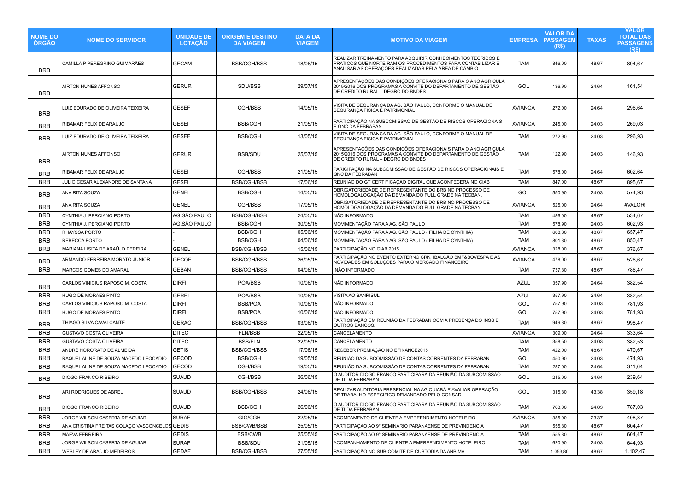| <b>NOME DO</b><br><b>ORGAO</b> | <b>NOME DO SERVIDOR</b>                       | <b>UNIDADE DE</b><br><b>LOTAÇÃO</b> | <b>ORIGEM E DESTINO</b><br><b>DA VIAGEM</b> | <b>DATA DA</b><br><b>VIAGEM</b> | <b>MOTIVO DA VIAGEM</b>                                                                                                                                                            | <b>EMPRESA</b> | <b>VALOR DA</b><br><b>PASSAGEM</b><br>(R\$) | <b>TAXAS</b> | <b>VALOR</b><br><b>TOTAL DAS</b><br><b>PASSAGENS</b><br>(R <sub>5</sub> ) |
|--------------------------------|-----------------------------------------------|-------------------------------------|---------------------------------------------|---------------------------------|------------------------------------------------------------------------------------------------------------------------------------------------------------------------------------|----------------|---------------------------------------------|--------------|---------------------------------------------------------------------------|
| <b>BRB</b>                     | CAMILLA P PEREGRINO GUIMARÃES                 | <b>GECAM</b>                        | <b>BSB/CGH/BSB</b>                          | 18/06/15                        | REALIZAR TREINAMENTO PARA ADQUIRIR CONHECIMENTOS TEÓRICOS E<br>PRATICOS QUE NORTEIRAM OS PROCEDIMENTOS PARA CONTABILIZAR E<br>ANALISAR AS OPERAÇÕES REALIZADAS PELA ÁREA DE CÂMBIO | TAM            | 846,00                                      | 48,67        | 894,67                                                                    |
| <b>BRB</b>                     | <b>AIRTON NUNES AFFONSO</b>                   | <b>GERUR</b>                        | SDU/BSB                                     | 29/07/15                        | APRESENTAÇÕES DAS CONDIÇÕES OPERACIONAIS PARA O ANO AGRICULA<br>2015/2016 DOS PROGRAMAS A CONVITE DO DEPARTAMENTO DE GESTÃO<br>DE CREDITO RURAL - DEGRC DO BNDES                   | GOL            | 136,90                                      | 24,64        | 161,54                                                                    |
| <b>BRB</b>                     | LUIZ EDURADO DE OLIVEIRA TEIXEIRA             | <b>GESEF</b>                        | CGH/BSB                                     | 14/05/15                        | VISITA DE SEGURANÇA DA AG. SÃO PAULO, CONFORME O MANUAL DE<br>SEGURANÇA FISICA E PATRIMONIAL                                                                                       | <b>AVIANCA</b> | 272,00                                      | 24,64        | 296,64                                                                    |
| <b>BRB</b>                     | RIBAMAR FELIX DE ARAUJO                       | <b>GESEI</b>                        | <b>BSB/CGH</b>                              | 21/05/15                        | PARTICIPAÇÃO NA SUBCOMISSAO DE GESTÃO DE RISCOS OPERACIONAIS<br>E GNC DA FEBRABAN                                                                                                  | <b>AVIANCA</b> | 245,00                                      | 24,03        | 269,03                                                                    |
| <b>BRB</b>                     | LUIZ EDURADO DE OLIVEIRA TEIXEIRA             | <b>GESEF</b>                        | <b>BSB/CGH</b>                              | 13/05/15                        | VISITA DE SEGURANÇA DA AG. SÃO PAULO, CONFORME O MANUAL DE<br>SEGURANÇA FISICA E PATRIMONIAL                                                                                       | <b>TAM</b>     | 272,90                                      | 24,03        | 296,93                                                                    |
| <b>BRB</b>                     | AIRTON NUNES AFFONSO                          | <b>GERUR</b>                        | <b>BSB/SDU</b>                              | 25/07/15                        | APRESENTAÇÕES DAS CONDIÇÕES OPERACIONAIS PARA O ANO AGRICULA<br>2015/2016 DOS PROGRAMAS A CONVITE DO DEPARTAMENTO DE GESTÃO<br>DE CREDITO RURAL - DEGRC DO BNDES                   | <b>TAM</b>     | 122,90                                      | 24,03        | 146,93                                                                    |
| <b>BRB</b>                     | RIBAMAR FELIX DE ARAUJO                       | <b>GESEI</b>                        | CGH/BSB                                     | 21/05/15                        | PARICIPAÇÃO NA SUBCOMISSÃO DE GESTÃO DE RISCOS OPERACIONAIS E<br><b>GNC DA FEBRABAN</b>                                                                                            | TAM            | 578,00                                      | 24,64        | 602,64                                                                    |
| <b>BRB</b>                     | JÚLIO CESAR ALEXANDRE DE SANTANA              | <b>GESEI</b>                        | <b>BSB/CGH/BSB</b>                          | 17/06/15                        | REUNIÃO DO GT CERTIFICAÇÃO DIGITAL QUE ACONTECERÁ NO CIAB                                                                                                                          | TAM            | 847,00                                      | 48,67        | 895,67                                                                    |
| <b>BRB</b>                     | ANA RITA SOUZA                                | <b>GENEL</b>                        | <b>BSB/CGH</b>                              | 14/05/15                        | OBRIGATORIEDADE DE REPRESENTANTE DO BRB NO PROCESSO DE<br>HOMOLOGALOGAÇÃO DA DEMANDA DO FULL GRADE NA TECBAN.                                                                      | GOL            | 550,90                                      | 24,03        | 574,93                                                                    |
| <b>BRB</b>                     | ANA RITA SOUZA                                | <b>GENEL</b>                        | CGH/BSB                                     | 17/05/15                        | OBRIGATORIEDADE DE REPRESENTANTE DO BRB NO PROCESSO DE<br>HOMOLOGALOGAÇÃO DA DEMANDA DO FULL GRADE NA TECBAN.                                                                      | <b>AVIANCA</b> | 525,00                                      | 24,64        | #VALOR!                                                                   |
| <b>BRB</b>                     | CYNTHIA J. PERCIANO PORTO                     | AG.SÃO PAULO                        | <b>BSB/CGH/BSB</b>                          | 24/05/15                        | NÃO INFORMADO                                                                                                                                                                      | <b>TAM</b>     | 486,00                                      | 48,67        | 534,67                                                                    |
| <b>BRB</b>                     | CYNTHIA J. PERCIANO PORTO                     | AG.SÃO PAULO                        | <b>BSB/CGH</b>                              | 30/05/15                        | MOVIMENTAÇÃO PARA A AG. SÃO PAULO                                                                                                                                                  | <b>TAM</b>     | 578,90                                      | 24,03        | 602,93                                                                    |
| <b>BRB</b>                     | RHAYSSA PORTO                                 |                                     | <b>BSB/CGH</b>                              | 05/06/15                        | MOVIMENTAÇÃO PARA A AG. SÃO PAULO (FILHA DE CYNTHIA)                                                                                                                               | TAM            | 608,80                                      | 48,67        | 657,47                                                                    |
| <b>BRB</b>                     | <b>REBECCA PORTO</b>                          |                                     | <b>BSB/CGH</b>                              | 04/06/15                        | MOVIMENTAÇÃO PARA A AG. SÃO PAULO (FILHA DE CYNTHIA)                                                                                                                               | <b>TAM</b>     | 801,80                                      | 48,67        | 850,47                                                                    |
| <b>BRB</b>                     | MARIANA LISITA DE ARAÚJO PEREIRA              | <b>GENEL</b>                        | <b>BSB/CGH/BSB</b>                          | 15/06/15                        | PARTICIPAÇÃO NO CIAB 2015                                                                                                                                                          | <b>AVIANCA</b> | 328,00                                      | 48,67        | 376,67                                                                    |
| <b>BRB</b>                     | ARMANDO FERREIRA MORATO JUNIOR                | <b>GECOF</b>                        | <b>BSB/CGH/BSB</b>                          | 26/05/15                        | PARTICIPAÇÃO NO EVENTO EXTERNO CRK, IBALCÃO BMF&BOVESPA E AS<br>NOVIDADES EM SOLUÇÕES PARA O MERCADO FINANCEIRO                                                                    | <b>AVIANCA</b> | 478,00                                      | 48,67        | 526,67                                                                    |
| <b>BRB</b>                     | MARCOS GOMES DO AMARAL                        | <b>GEBAN</b>                        | <b>BSB/CGH/BSB</b>                          | 04/06/15                        | NÃO INFORMADO                                                                                                                                                                      | <b>TAM</b>     | 737,80                                      | 48,67        | 786,47                                                                    |
| <b>BRB</b>                     | CARLOS VINICIUS RAPOSO M. COSTA               | <b>DIRFI</b>                        | <b>POA/BSB</b>                              | 10/06/15                        | NÃO INFORMADO                                                                                                                                                                      | <b>AZUL</b>    | 357,90                                      | 24,64        | 382,54                                                                    |
| <b>BRB</b>                     | HUGO DE MORAES PINTO                          | <b>GEREI</b>                        | POA/BSB                                     | 10/06/15                        | VISITA AO BANRISUL                                                                                                                                                                 | <b>AZUL</b>    | 357,90                                      | 24,64        | 382,54                                                                    |
| <b>BRB</b>                     | CARLOS VINICIUS RAPOSO M. COSTA               | <b>DIRFI</b>                        | <b>BSB/POA</b>                              | 10/06/15                        | NÃO INFORMADO                                                                                                                                                                      | GOL            | 757,90                                      | 24,03        | 781,93                                                                    |
| <b>BRB</b>                     | HUGO DE MORAES PINTO                          | <b>DIRFI</b>                        | <b>BSB/POA</b>                              | 10/06/15                        | NÃO INFORMADO                                                                                                                                                                      | GOL            | 757,90                                      | 24,03        | 781,93                                                                    |
| <b>BRB</b>                     | THIAGO SILVA CAVALCANTE                       | <b>GERAC</b>                        | <b>BSB/CGH/BSB</b>                          | 03/06/15                        | PARTICIPAÇÃO EM REUNIÃO DA FEBRABAN COM A PRESENÇA DO INSS E<br><b>OUTROS BANCOS.</b>                                                                                              | <b>TAM</b>     | 949,80                                      | 48,67        | 998,47                                                                    |
| <b>BRB</b>                     | GUSTAVO COSTA OLIVEIRA                        | <b>DITEC</b>                        | <b>FLN/BSB</b>                              | 22/05/15                        | CANCELAMENTO                                                                                                                                                                       | <b>AVIANCA</b> | 309,00                                      | 24,64        | 333,64                                                                    |
| <b>BRB</b>                     | <b>GUSTAVO COSTA OLIVEIRA</b>                 | <b>DITEC</b>                        | <b>BSB/FLN</b>                              | 22/05/15                        | CANCELAMENTO                                                                                                                                                                       | <b>TAM</b>     | 358,50                                      | 24,03        | 382,53                                                                    |
| <b>BRB</b>                     | ANDRÉ HORORATO DE ALMEIDA                     | <b>GETIS</b>                        | <b>BSB/CGH/BSB</b>                          | 17/06/15                        | RECEBER PREMIAÇÃO NO EFINANCE2015                                                                                                                                                  | <b>TAM</b>     | 422,00                                      | 48,67        | 470,67                                                                    |
| <b>BRB</b>                     | RAQUEL ALINE DE SOUZA MACEDO LEOCADIO         | <b>GECOD</b>                        | <b>BSB/CGH</b>                              | 19/05/15                        | REUNIÃO DA SUBCOMISSÃO DE CONTAS CORRENTES DA FEBRABAN.                                                                                                                            | GOL            | 450,90                                      | 24,03        | 474,93                                                                    |
| <b>BRB</b>                     | RAQUEL ALINE DE SOUZA MACEDO LEOCADIO         | <b>GECOD</b>                        | CGH/BSB                                     | 19/05/15                        | REUNIÃO DA SUBCOMISSÃO DE CONTAS CORRENTES DA FEBRABAN.                                                                                                                            | <b>TAM</b>     | 287,00                                      | 24,64        | 311,64                                                                    |
| <b>BRB</b>                     | <b>DIOGO FRANCO RIBEIRO</b>                   | <b>SUAUD</b>                        | CGH/BSB                                     | 26/06/15                        | O AUDITOR DIOGO FRANCO PARTICIPARÁ DA REUNIÃO DA SUBCOMISSÃO<br>DE TI DA FEBRABAN                                                                                                  | GOL            | 215,00                                      | 24,64        | 239,64                                                                    |
| <b>BRB</b>                     | ARI RODRIGUES DE ABREU                        | <b>SUAUD</b>                        | <b>BSB/CGH/BSB</b>                          | 24/06/15                        | REALIZAR AUDITORIA PRESENCIAL NA AG CUIABÁ E AVALIAR OPERAÇÃO<br>DE TRABALHO ESPECIFICO DEMANDADO PELO CONSAD.                                                                     | GOL            | 315,80                                      | 43.38        | 359,18                                                                    |
| <b>BRB</b>                     | DIOGO FRANCO RIBEIRO                          | <b>SUAUD</b>                        | BSB/CGH                                     | 26/06/15                        | O AUDITOR DIOGO FRANCO PARTICIPARÁ DA REUNIÃO DA SUBCOMISSÃO<br>DE TI DA FEBRABAN                                                                                                  | <b>TAM</b>     | 763,00                                      | 24,03        | 787,03                                                                    |
| <b>BRB</b>                     | JORGE WILSON CASERTA DE AGUIAR                | <b>SURAF</b>                        | GIG/CGH                                     | 22/05/15                        | ACOMPAMENTO DE CLIENTE A EMPREENDIMENTO HOTELEIRO                                                                                                                                  | <b>AVIANCA</b> | 385,00                                      | 23,37        | 408,37                                                                    |
| <b>BRB</b>                     | ANA CRISTINA FREITAS COLAÇO VASCONCELOS GEDIS |                                     | <b>BSB/CWB/BSB</b>                          | 25/05/15                        | PARTICIPACÃO AO 9° SEMINÁRIO PARANAENSE DE PRÊVINDENCIA                                                                                                                            | <b>TAM</b>     | 555,80                                      | 48,67        | 604,47                                                                    |
| <b>BRB</b>                     | <b>MAEVA FERREIRA</b>                         | <b>GEDIS</b>                        | <b>BSB/CWB</b>                              | 25/05/45                        | PARTICIPAÇÃO AO 9° SEMINÁRIO PARANAENSE DE PRÊVINDENCIA                                                                                                                            | <b>TAM</b>     | 555,80                                      | 48,67        | 604,47                                                                    |
| <b>BRB</b>                     | JORGE WILSON CASERTA DE AGUIAR                | <b>SURAF</b>                        | BSB/SDU                                     | 21/05/15                        | ACOMPANHAMENTO DE CLIENTE A EMPREENDIMENTO HOTELEIRO                                                                                                                               | <b>TAM</b>     | 620,90                                      | 24,03        | 644,93                                                                    |
| BRB                            | WESLEY DE ARAÚJO MEDEIROS                     | <b>GEDAF</b>                        | BSB/CGH/BSB                                 | 27/05/15                        | PARTICIPAÇÃO NO SUB-COMITE DE CUSTÓDIA DA ANBIMA                                                                                                                                   | <b>TAM</b>     | 1.053,80                                    | 48,67        | 1.102,47                                                                  |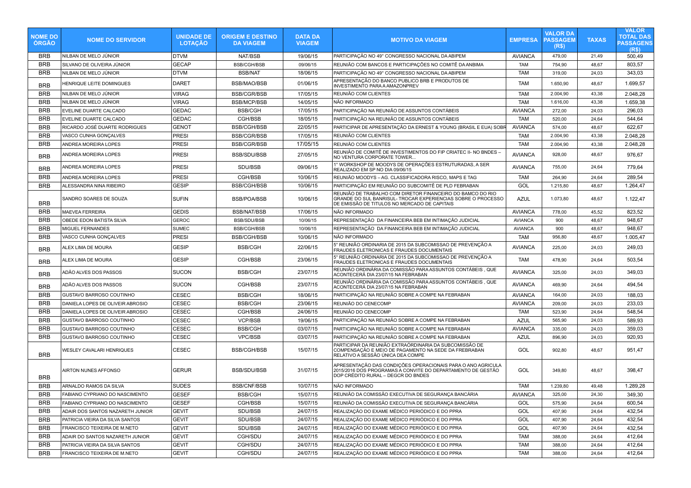| <b>NOME DO</b><br><b>ORGAO</b> | <b>NOME DO SERVIDOR</b>          | <b>UNIDADE DE</b><br><b>LOTAÇÃO</b> | <b>ORIGEM E DESTINO</b><br><b>DA VIAGEM</b> | <b>DATA DA</b><br><b>VIAGEM</b> | <b>MOTIVO DA VIAGEM</b>                                                                                                                                                    | <b>EMPRESA</b> | <b>VALOR DA</b><br><b>PASSAGEM</b><br>(R\$) | <b>TAXAS</b> | <b>VALOR</b><br><b>TOTAL DAS</b><br><b>PASSAGENS</b><br>(R <sub>s</sub> ) |
|--------------------------------|----------------------------------|-------------------------------------|---------------------------------------------|---------------------------------|----------------------------------------------------------------------------------------------------------------------------------------------------------------------------|----------------|---------------------------------------------|--------------|---------------------------------------------------------------------------|
| <b>BRB</b>                     | NILBAN DE MELO JÚNIOR            | <b>DTVM</b>                         | NAT/BSB                                     | 19/06/15                        | PARTICIPAÇÃO NO 49° CONGRESSO NACIONAL DA ABIPEM                                                                                                                           | <b>AVIANCA</b> | 479,00                                      | 21,49        | 500,49                                                                    |
| <b>BRB</b>                     | SILVANO DE OLIVEIRA JÚNIOR       | <b>GECAP</b>                        | <b>BSB/CGH/BSB</b>                          | 09/06/15                        | REUNIÃO COM BANCOS E PARTICIPAÇÕES NO COMITÊ DA ANBIMA                                                                                                                     | <b>TAM</b>     | 754,90                                      | 48,67        | 803,57                                                                    |
| <b>BRB</b>                     | NILBAN DE MELO JÚNIOR            | <b>DTVM</b>                         | <b>BSB/NAT</b>                              | 18/06/15                        | PARTICIPAÇÃO NO 49° CONGRESSO NACIONAL DA ABIPEM                                                                                                                           | <b>TAM</b>     | 319,00                                      | 24,03        | 343,03                                                                    |
| <b>BRB</b>                     | HENRIQUE LEITE DOMINGUES         | <b>DARET</b>                        | BSB/MAO/BSB                                 | 01/06/15                        | APRESENTAÇÃO DO BANCO PUBLICO BRB E PRODUTOS DE<br>INVESTIMENTO PARA A AMAZONPREV                                                                                          | <b>TAM</b>     | 1.650,90                                    | 48,67        | 1.699,57                                                                  |
| <b>BRB</b>                     | NILBAN DE MELO JÚNIOR            | <b>VIRAG</b>                        | <b>BSB/CGR/BSB</b>                          | 17/05/15                        | REUNIÃO COM CLIENTES                                                                                                                                                       | <b>TAM</b>     | 2.004,90                                    | 43,38        | 2.048,28                                                                  |
| <b>BRB</b>                     | NILBAN DE MELO JÚNIOR            | VIRAG                               | <b>BSB/MCP/BSB</b>                          | 14/05/15                        | NÃO INFORMADO                                                                                                                                                              | <b>TAM</b>     | 1.616,00                                    | 43,38        | 1.659,38                                                                  |
| <b>BRB</b>                     | EVELINE DUARTE CALCADO           | <b>GEDAC</b>                        | <b>BSB/CGH</b>                              | 17/05/15                        | PARTICIPACÃO NA REUNIÃO DE ASSUNTOS CONTÁBEIS                                                                                                                              | <b>AVIANCA</b> | 272,00                                      | 24,03        | 296,03                                                                    |
| <b>BRB</b>                     | EVELINE DUARTE CALCADO           | <b>GEDAC</b>                        | CGH/BSB                                     | 18/05/15                        | PARTICIPAÇÃO NA REUNIÃO DE ASSUNTOS CONTÁBEIS                                                                                                                              | <b>TAM</b>     | 520,00                                      | 24,64        | 544,64                                                                    |
| <b>BRB</b>                     | RICARDO JOSÉ DUARTE RODRIGUES    | <b>GENOT</b>                        | <b>BSB/CGH/BSB</b>                          | 22/05/15                        | PARTICIPAR DE APRESENTAÇÃO DA ERNEST & YOUNG (BRASIL E EUA) SOBR                                                                                                           | <b>AVIANCA</b> | 574,00                                      | 48,67        | 622,67                                                                    |
| <b>BRB</b>                     | VASCO CUNHA GONÇALVES            | <b>PRESI</b>                        | <b>BSB/CGR/BSB</b>                          | 17/05/15                        | REUNIÃO COM CLIENTES                                                                                                                                                       | <b>TAM</b>     | 2.004,90                                    | 43,38        | 2.048,28                                                                  |
| <b>BRB</b>                     | ANDREA MOREIRA LOPES             | <b>PRESI</b>                        | <b>BSB/CGR/BSB</b>                          | 17/05/15                        | REUNIÃO COM CLIENTES                                                                                                                                                       | <b>TAM</b>     | 2.004,90                                    | 43,38        | 2.048,28                                                                  |
| BRB                            | ANDREA MOREIRA LOPES             | <b>PRESI</b>                        | <b>BSB/SDU/BSB</b>                          | 27/05/15                        | REUNIÃO DE COMITÊ DE INVESTIMENTOS DO FIP CRIATEC II- NO BNDES -<br>NO VENTURA CORPORATE TOWER                                                                             | <b>AVIANCA</b> | 928,00                                      | 48,67        | 976,67                                                                    |
| <b>BRB</b>                     | ANDREA MOREIRA LOPES             | <b>PRESI</b>                        | SDU/BSB                                     | 09/06/15                        | 1° WORKSHOP DE MOODYS DE OPERAÇÕES ESTRUTURADAS, A SER<br>REALIZADO EM SP NO DIA 09/06/15                                                                                  | <b>AVIANCA</b> | 755,00                                      | 24,64        | 779,64                                                                    |
| <b>BRB</b>                     | ANDREA MOREIRA LOPES             | <b>PRESI</b>                        | CGH/BSB                                     | 10/06/15                        | REUNIÃO MOODYS - AG. CLASSIFICADORA RISCO, MAPS E TAG                                                                                                                      | <b>TAM</b>     | 264,90                                      | 24,64        | 289,54                                                                    |
| <b>BRB</b>                     | ALESSANDRA NINA RIBEIRO          | <b>GESIP</b>                        | <b>BSB/CGH/BSB</b>                          | 10/06/15                        | PARTICIPAÇÃO EM REUNIÃO DO SUBCOMITÊ DE PLD FEBRABAN                                                                                                                       | GOL            | 1.215,80                                    | 48,67        | 1.264,47                                                                  |
| <b>BRB</b>                     | SANDRO SOARES DE SOUZA           | <b>SUFIN</b>                        | <b>BSB/POA/BSB</b>                          | 10/06/15                        | REUNIÃO DE TRABALHO COM DIRETOR FINANCEIRO DO BAMCO DO RIO<br>GRANDE DO SUL BANRISUL- TROCAR EXPERIENCIAS SOBRE O PROCESSO<br>DE EMISSÃO DE TITULOS NO MERCADO DE CAPITAIS | <b>AZUL</b>    | 1.073,80                                    | 48,67        | 1.122,47                                                                  |
| <b>BRB</b>                     | <b>MAEVEA FERREIRA</b>           | <b>GEDIS</b>                        | <b>BSB/NAT/BSB</b>                          | 17/06/15                        | NÃO INFORMADO                                                                                                                                                              | <b>AVIANCA</b> | 778,00                                      | 45,52        | 823,52                                                                    |
| <b>BRB</b>                     | OBEDE EDON BATISTA SILVA         | <b>GEROC</b>                        | <b>BSB/SDU/BSB</b>                          | 10/06/15                        | REPRESENTAÇÃO DA FINANCEIRA BEB EM INTIMAÇÃO JUDICIAL                                                                                                                      | <b>AVIANCA</b> | 900                                         | 48,67        | 948,67                                                                    |
| <b>BRB</b>                     | MIGUEL FERNANDES                 | <b>SUMEC</b>                        | <b>BSB/CGH/BSB</b>                          | 10/06/15                        | REPRESENTAÇÃO DA FINANCEIRA BEB EM INTIMAÇÃO JUDICIAL                                                                                                                      | <b>AVIANCA</b> | 900                                         | 48,67        | 948,67                                                                    |
| <b>BRB</b>                     | VASCO CUNHA GONÇALVES            | <b>PRESI</b>                        | <b>BSB/CGH/BSB</b>                          | 10/06/15                        | NÃO INFORMADO                                                                                                                                                              | <b>TAM</b>     | 956,80                                      | 48,67        | 1.005,47                                                                  |
| <b>BRB</b>                     | ALEX LIMA DE MOURA               | <b>GESIP</b>                        | <b>BSB/CGH</b>                              | 22/06/15                        | 5° REUNIÃO ORDINARIA DE 2015 DA SUBCOMISSAO DE PREVENÇÃO A<br>FRAUDES ELETRONICAS E FRAUDES DOCUMENTAIS                                                                    | <b>AVIANCA</b> | 225,00                                      | 24,03        | 249,03                                                                    |
| BRB                            | ALEX LIMA DE MOURA               | <b>GESIP</b>                        | CGH/BSB                                     | 23/06/15                        | 5° REUNIÃO ORDINARIA DE 2015 DA SUBCOMISSAO DE PREVENÇÃO A<br>FRAUDES ELETRONICAS E FRAUDES DOCUMENTAIS                                                                    | <b>TAM</b>     | 478,90                                      | 24,64        | 503,54                                                                    |
| <b>BRB</b>                     | ADÃO ALVES DOS PASSOS            | <b>SUCON</b>                        | <b>BSB/CGH</b>                              | 23/07/15                        | REUNIÃO ORDINÁRIA DA COMISSÃO PARA ASSUNTOS CONTÁBEIS, QUE<br>ACONTECERÁ DIA 23/07/15 NA FEBRABAN                                                                          | <b>AVIANCA</b> | 325,00                                      | 24,03        | 349,03                                                                    |
| <b>BRB</b>                     | ADÃO ALVES DOS PASSOS            | <b>SUCON</b>                        | CGH/BSB                                     | 23/07/15                        | REUNIÃO ORDINÁRIA DA COMISSÃO PARA ASSUNTOS CONTÁBEIS, QUE<br>ACONTECERÁ DIA 23/07/15 NA FEBRABAN                                                                          | <b>AVIANCA</b> | 469,90                                      | 24,64        | 494,54                                                                    |
| <b>BRB</b>                     | GUSTAVO BARROSO COUTINHO         | <b>CESEC</b>                        | <b>BSB/CGH</b>                              | 18/06/15                        | PARTICIPAÇÃO NA REUNIÃO SOBRE A COMPE NA FEBRABAN                                                                                                                          | <b>AVIANCA</b> | 164,00                                      | 24,03        | 188,03                                                                    |
| <b>BRB</b>                     | DANIELA LOPES DE OLIVEIR ABROSIO | <b>CESEC</b>                        | <b>BSB/CGH</b>                              | 23/06/15                        | REUNIÃO DO CENECOMP                                                                                                                                                        | <b>AVIANCA</b> | 209,00                                      | 24,03        | 233,03                                                                    |
| <b>BRB</b>                     | DANIELA LOPES DE OLIVEIR ABROSIO | <b>CESEC</b>                        | CGH/BSB                                     | 24/06/15                        | REUNIÃO DO CENECOMP                                                                                                                                                        | <b>TAM</b>     | 523,90                                      | 24,64        | 548,54                                                                    |
| <b>BRB</b>                     | GUSTAVO BARROSO COUTINHO         | <b>CESEC</b>                        | VCP/BSB                                     | 19/06/15                        | PARTICIPAÇÃO NA REUNIÃO SOBRE A COMPE NA FEBRABAN                                                                                                                          | <b>AZUL</b>    | 565,90                                      | 24,03        | 589,93                                                                    |
| <b>BRB</b>                     | GUSTAVO BARROSO COUTINHO         | <b>CESEC</b>                        | <b>BSB/CGH</b>                              | 03/07/15                        | PARTICIPAÇÃO NA REUNIÃO SOBRE A COMPE NA FEBRABAN                                                                                                                          | <b>AVIANCA</b> | 335,00                                      | 24,03        | 359,03                                                                    |
| <b>BRB</b>                     | GUSTAVO BARROSO COUTINHO         | CESEC                               | <b>VPC/BSB</b>                              | 03/07/15                        | PARTICIPAÇÃO NA REUNIÃO SOBRE A COMPE NA FEBRABAN                                                                                                                          | <b>AZUL</b>    | 896,90                                      | 24,03        | 920,93                                                                    |
| <b>BRB</b>                     | WESLEY CAVALARI HENRIQUES        | <b>CESEC</b>                        | <b>BSB/CGH/BSB</b>                          | 15/07/15                        | PARTICIPAR DA REUNIÃO EXTRAÓRDINARIA DA SUBCOMISSÃO DE<br>COMPENSAÇÃO E MEIO DE PAGAMENTO NA SEDE DA FREBRABAN<br>RELATIVO A SESSÃO ÚNICA DEA COMPE                        | GOL            | 902,80                                      | 48,67        | 951,47                                                                    |
| <b>BRB</b>                     | AIRTON NUNES AFFONSO             | <b>GERUR</b>                        | <b>BSB/SDU/BSB</b>                          | 31/07/15                        | APRESENTAÇÃO DAS CONDIÇÕES OPERACIONAIS PARA O ANO AGRICULA<br>2015/2016 DOS PROGRAMAS A CONVITE DO DEPARTAMENTO DE GESTÃO<br>DOP CRÉDITO RURAL - DEGCR DO BNDES           | <b>GOL</b>     | 349,80                                      | 48,67        | 398,47                                                                    |
| <b>BRB</b>                     | ARNALDO RAMOS DA SILVA           | <b>SUDES</b>                        | <b>BSB/CNF/BSB</b>                          | 10/07/15                        | NÃO INFORMADO                                                                                                                                                              | <b>TAM</b>     | 1.239,80                                    | 49,48        | 1.289,28                                                                  |
| BRB                            | FABIANO CYPRIANO DO NASCIMENTO   | <b>GESEF</b>                        | <b>BSB/CGH</b>                              | 15/07/15                        | REUNIÃO DA COMISSÃO EXECUTIVA DE SEGURANÇA BANCÁRIA                                                                                                                        | AVIANCA        | 325,00                                      | 24,30        | 349,30                                                                    |
| BRB                            | FABIANO CYPRIANO DO NASCIMENTO   | <b>GESEF</b>                        | CGH/BSB                                     | 15/07/15                        | REUNIÃO DA COMISSÃO EXECUTIVA DE SEGURANÇA BANCÁRIA                                                                                                                        | GOL            | 575,90                                      | 24,64        | 600,54                                                                    |
| BRB                            | ADAIR DOS SANTOS NAZARETH JUNIOR | <b>GEVIT</b>                        | SDU/BSB                                     | 24/07/15                        | REALIZAÇÃO DO EXAME MÉDICO PERIÓDICO E DO PPRA                                                                                                                             | GOL            | 407,90                                      | 24,64        | 432,54                                                                    |
| <b>BRB</b>                     | PATRICIA VIEIRA DA SILVA SANTOS  | <b>GEVIT</b>                        | SDU/BSB                                     | 24/07/15                        | REALIZAÇÃO DO EXAME MÉDICO PERIÓDICO E DO PPRA                                                                                                                             | GOL            | 407,90                                      | 24,64        | 432,54                                                                    |
| <b>BRB</b>                     | FRANCISCO TEIXEIRA DE M.NETO     | <b>GEVIT</b>                        | SDU/BSB                                     | 24/07/15                        | REALIZAÇÃO DO EXAME MÉDICO PERIÓDICO E DO PPRA                                                                                                                             | GOL            | 407,90                                      | 24,64        | 432,54                                                                    |
| BRB                            | ADAIR DO SANTOS NAZARETH JUNIOR  | <b>GEVIT</b>                        | CGH/SDU                                     | 24/07/15                        | REALIZAÇÃO DO EXAME MÉDICO PERIÓDICO E DO PPRA                                                                                                                             | <b>TAM</b>     | 388,00                                      | 24,64        | 412,64                                                                    |
| <b>BRB</b>                     | PATRICIA VIEIRA DA SILVA SANTOS  | <b>GEVIT</b>                        | CGH/SDU                                     | 24/07/15                        | REALIZAÇÃO DO EXAME MÉDICO PERIÓDICO E DO PPRA                                                                                                                             | <b>TAM</b>     | 388,00                                      | 24,64        | 412,64                                                                    |
| BRB                            | FRANCISCO TEIXEIRA DE M.NETO     | <b>GEVIT</b>                        | CGH/SDU                                     | 24/07/15                        | REALIZAÇÃO DO EXAME MÉDICO PERIÓDICO E DO PPRA                                                                                                                             | <b>TAM</b>     | 388,00                                      | 24,64        | 412,64                                                                    |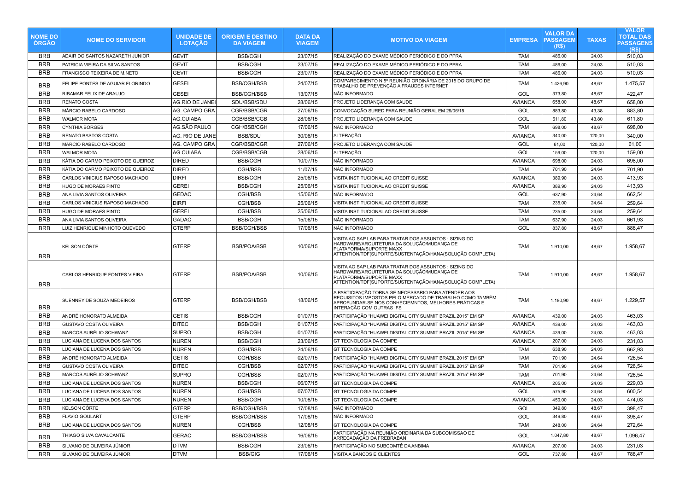| <b>NOME DO</b><br><b>ORGAO</b> | <b>NOME DO SERVIDOR</b>           | <b>UNIDADE DE</b><br><b>LOTAÇÃO</b> | <b>ORIGEM E DESTINO</b><br><b>DA VIAGEM</b> | <b>DATA DA</b><br><b>VIAGEM</b> | <b>MOTIVO DA VIAGEM</b>                                                                                                                                                                             | <b>EMPRESA</b> | <b>VALOR DA</b><br><b>PASSAGEM</b><br>(R\$) | <b>TAXAS</b> | <b>VALOR</b><br><b>TOTAL DAS</b><br><b>PASSAGENS</b><br>(R <sub>s</sub> ) |
|--------------------------------|-----------------------------------|-------------------------------------|---------------------------------------------|---------------------------------|-----------------------------------------------------------------------------------------------------------------------------------------------------------------------------------------------------|----------------|---------------------------------------------|--------------|---------------------------------------------------------------------------|
| <b>BRB</b>                     | ADAIR DO SANTOS NAZARETH JUNIOR   | <b>GEVIT</b>                        | <b>BSB/CGH</b>                              | 23/07/15                        | REALIZAÇÃO DO EXAME MÉDICO PERIÓDICO E DO PPRA                                                                                                                                                      | TAM            | 486,00                                      | 24,03        | 510,03                                                                    |
| <b>BRB</b>                     | PATRICIA VIEIRA DA SILVA SANTOS   | <b>GEVIT</b>                        | <b>BSB/CGH</b>                              | 23/07/15                        | REALIZAÇÃO DO EXAME MÉDICO PERIÓDICO E DO PPRA                                                                                                                                                      | <b>TAM</b>     | 486,00                                      | 24,03        | 510,03                                                                    |
| <b>BRB</b>                     | FRANCISCO TEIXEIRA DE M.NETO      | <b>GEVIT</b>                        | <b>BSB/CGH</b>                              | 23/07/15                        | REALIZAÇÃO DO EXAME MÉDICO PERIÓDICO E DO PPRA                                                                                                                                                      | <b>TAM</b>     | 486,00                                      | 24,03        | 510,03                                                                    |
| <b>BRB</b>                     | FELIPE PONTES DE AGUIAR FLORINDO  | <b>GESEI</b>                        | <b>BSB/CGH/BSB</b>                          | 24/07/15                        | COMPARECIMENTO N 5ª REUNIÃO ORDINÁRIA DE 2015 DO GRUPO DE<br>TRABALHO DE PREVENÇÃO A FRAUDES INTERNET                                                                                               | TAM            | 1.426,90                                    | 48,67        | 1.475,57                                                                  |
| <b>BRB</b>                     | RIBAMAR FELIX DE ARAUJO           | <b>GESEI</b>                        | <b>BSB/CGH/BSB</b>                          | 13/07/15                        | NÃO INFORMADO                                                                                                                                                                                       | GOL            | 373,80                                      | 48,67        | 422,47                                                                    |
| <b>BRB</b>                     | <b>RENATO COSTA</b>               | AG.RIO DE JANEI                     | SDU/BSB/SDU                                 | 28/06/15                        | PROJETO LIDERANÇA COM SAUDE                                                                                                                                                                         | <b>AVIANCA</b> | 658,00                                      | 48,67        | 658,00                                                                    |
| <b>BRB</b>                     | MÁRCIO RABELO CARDOSO             | AG. CAMPO GRA                       | CGR/BSB/CGR                                 | 27/06/15                        | CONVOCAÇÃO SURED PARA REUNIÃO GERAL EM 29/06/15                                                                                                                                                     | GOL            | 883,80                                      | 43,38        | 883,80                                                                    |
| <b>BRB</b>                     | <b>WALMOR MOTA</b>                | AG.CUIABA                           | CGB/BSB/CGB                                 | 28/06/15                        | PROJETO LIDERANÇA COM SAUDE                                                                                                                                                                         | GOL            | 611,80                                      | 43,80        | 611,80                                                                    |
| <b>BRB</b>                     | <b>CYNTHIA BORGES</b>             | AG.SÃO PAULO                        | CGH/BSB/CGH                                 | 17/06/15                        | NÃO INFORMADO                                                                                                                                                                                       | TAM            | 698,00                                      | 48,67        | 698,00                                                                    |
| <b>BRB</b>                     | <b>RENATO BASTOS COSTA</b>        | AG. RIO DE JANE                     | <b>BSB/SDU</b>                              | 30/06/15                        | ALTERAÇÃO                                                                                                                                                                                           | <b>AVIANCA</b> | 340,00                                      | 120,00       | 340,00                                                                    |
| <b>BRB</b>                     | MARCIO RABELO CARDOSO             | AG. CAMPO GRA                       | CGR/BSB/CGR                                 | 27/06/15                        | PROJETO LIDERANÇA COM SAUDE                                                                                                                                                                         | GOL            | 61,00                                       | 120,00       | 61,00                                                                     |
| <b>BRB</b>                     | <b>WALMOR MOTA</b>                | AG.CUIABA                           | CGB/BSB/CGB                                 | 28/06/15                        | ALTERAÇÃO                                                                                                                                                                                           | GOL            | 159,00                                      | 120,00       | 159,00                                                                    |
| <b>BRB</b>                     | KÁTIA DO CARMO PEIXOTO DE QUEIROZ | <b>DIRED</b>                        | <b>BSB/CGH</b>                              | 10/07/15                        | NÃO INFORMADO                                                                                                                                                                                       | <b>AVIANCA</b> | 698,00                                      | 24,03        | 698,00                                                                    |
| <b>BRB</b>                     | KÁTIA DO CARMO PEIXOTO DE QUEIROZ | DIRED                               | CGH/BSB                                     | 11/07/15                        | NÃO INFORMADO                                                                                                                                                                                       | <b>TAM</b>     | 701,90                                      | 24,64        | 701,90                                                                    |
| <b>BRB</b>                     | CARLOS VINICIUS RAPOSO MACHADO    | DIRFI                               | <b>BSB/CGH</b>                              | 25/06/15                        | VISITA INSTITUCIONAL AO CREDIT SUISSE                                                                                                                                                               | <b>AVIANCA</b> | 389,90                                      | 24,03        | 413,93                                                                    |
| <b>BRB</b>                     | <b>HUGO DE MORAES PINTO</b>       | <b>GEREI</b>                        | <b>BSB/CGH</b>                              | 25/06/15                        | VISITA INSTITUCIONAL AO CREDIT SUISSE                                                                                                                                                               | <b>AVIANCA</b> | 389,90                                      | 24,03        | 413,93                                                                    |
| <b>BRB</b>                     | ANA LIVIA SANTOS OLIVEIRA         | <b>GEDAC</b>                        | CGH/BSB                                     | 15/06/15                        | NÃO INFORMADO                                                                                                                                                                                       | GOL            | 637,90                                      | 24,64        | 662,54                                                                    |
| <b>BRB</b>                     | CARLOS VINICIUS RAPOSO MACHADO    | <b>DIRFI</b>                        | CGH/BSB                                     | 25/06/15                        | VISITA INSTITUCIONAL AO CREDIT SUISSE                                                                                                                                                               | <b>TAM</b>     | 235,00                                      | 24,64        | 259,64                                                                    |
| <b>BRB</b>                     | HUGO DE MORAES PINTO              | <b>GEREI</b>                        | CGH/BSB                                     | 25/06/15                        | VISITA INSTITUCIONAL AO CREDIT SUISSE                                                                                                                                                               | <b>TAM</b>     | 235,00                                      | 24,64        | 259,64                                                                    |
| <b>BRB</b>                     | ANA LIVIA SANTOS OLIVEIRA         | GADAC                               | <b>BSB/CGH</b>                              | 15/06/15                        | NÃO INFORMADO                                                                                                                                                                                       | TAM            | 637,90                                      | 24,03        | 661,93                                                                    |
| <b>BRB</b>                     | LUIZ HENRIQUE MINHOTO QUEVEDO     | <b>GTERP</b>                        | <b>BSB/CGH/BSB</b>                          | 17/06/15                        | NÃO INFORMADO                                                                                                                                                                                       | GOL            | 837,80                                      | 48,67        | 886,47                                                                    |
| <b>BRB</b>                     | <b>KELSON CÔRTE</b>               | <b>GTERP</b>                        | <b>BSB/POA/BSB</b>                          | 10/06/15                        | VISITA AO SAP LAB PARA TRATAR DOS ASSUNTOS : SIZING DO<br>HARDWARE/ARQUITETURA DA SOLUÇÃO/MUDANÇA DE<br>PLATAFORMA/SUPORTE MAXX<br>ATTENTION/TDF(SUPORTE/SUSTENTAÇÃO/HANA(SOLUÇÃO COMPLETA)         | <b>TAM</b>     | 1.910,00                                    | 48,67        | 1.958,67                                                                  |
| <b>BRB</b>                     | CARLOS HENRIQUE FONTES VIEIRA     | <b>GTERP</b>                        | <b>BSB/POA/BSB</b>                          | 10/06/15                        | VISITA AO SAP LAB PARA TRATAR DOS ASSUNTOS : SIZING DO<br>HARDWARE/ARQUITETURA DA SOLUÇÃO/MUDANÇA DE<br>PLATAFORMA/SUPORTE MAXX<br>ATTENTION/TDF(SUPORTE/SUSTENTAÇÃO/HANA(SOLUÇÃO COMPLETA)         | <b>TAM</b>     | 1.910,00                                    | 48,67        | 1.958,67                                                                  |
| <b>BRB</b>                     | SUENNEY DE SOUZA MEDEIROS         | <b>GTERP</b>                        | <b>BSB/CGH/BSB</b>                          | 18/06/15                        | A PARTICIPAÇÃO TORNA-SE NECESSARIO PARA ATENDER AOS<br>REQUISITOS IMPOSTOS PELO MERCADO DE TRABALHO COMO TAMBÉM<br>APROFUNDAR-SE NOS CONHECIEMNTOS, MELHORES PRÁTICAS E<br>INTERAÇÃO COM OUTRAS IFS | <b>TAM</b>     | 1.180,90                                    | 48,67        | 1.229,57                                                                  |
| <b>BRB</b>                     | ANDRÉ HONORATO ALMEIDA            | <b>GETIS</b>                        | <b>BSB/CGH</b>                              | 01/07/15                        | PARTICIPAÇÃO "HUAWEI DIGITAL CITY SUMMIT BRAZIL 2015" EM SP                                                                                                                                         | <b>AVIANCA</b> | 439,00                                      | 24,03        | 463,03                                                                    |
| <b>BRB</b>                     | <b>GUSTAVO COSTA OLIVEIRA</b>     | <b>DITEC</b>                        | <b>BSB/CGH</b>                              | 01/07/15                        | PARTICIPAÇÃO "HUAWEI DIGITAL CITY SUMMIT BRAZIL 2015" EM SP                                                                                                                                         | <b>AVIANCA</b> | 439,00                                      | 24,03        | 463,03                                                                    |
| <b>BRB</b>                     | MARCOS AURÉLIO SCHWANZ            | SUPRO                               | <b>BSB/CGH</b>                              | 01/07/15                        | PARTICIPAÇÃO "HUAWEI DIGITAL CITY SUMMIT BRAZIL 2015" EM SP                                                                                                                                         | <b>AVIANCA</b> | 439,00                                      | 24,03        | 463,03                                                                    |
| <b>BRB</b>                     | LUCIANA DE LUCENA DOS SANTOS      | <b>NUREN</b>                        | <b>BSB/CGH</b>                              | 23/06/15                        | GT TECNOLOGIA DA COMPE                                                                                                                                                                              | <b>AVIANCA</b> | 207,00                                      | 24,03        | 231,03                                                                    |
| <b>BRB</b>                     | LUCIANA DE LUCENA DOS SANTOS      | NUREN                               | CGH/BSB                                     | 24/06/15                        | GT TECNOLOGIA DA COMPE                                                                                                                                                                              | <b>TAM</b>     | 638,90                                      | 24,03        | 662,93                                                                    |
| <b>BRB</b>                     | ANDRÉ HONORATO ALMEIDA            | <b>GETIS</b>                        | CGH/BSB                                     | 02/07/15                        | PARTICIPAÇÃO "HUAWEI DIGITAL CITY SUMMIT BRAZIL 2015" EM SP                                                                                                                                         | <b>TAM</b>     | 701,90                                      | 24,64        | 726,54                                                                    |
| <b>BRB</b>                     | <b>GUSTAVO COSTA OLIVEIRA</b>     | <b>DITEC</b>                        | CGH/BSB                                     | 02/07/15                        | PARTICIPAÇÃO "HUAWEI DIGITAL CITY SUMMIT BRAZIL 2015" EM SP                                                                                                                                         | <b>TAM</b>     | 701,90                                      | 24,64        | 726,54                                                                    |
| <b>BRB</b>                     | MARCOS AURÉLIO SCHWANZ            | <b>SUPRO</b>                        | CGH/BSB                                     | 02/07/15                        | PARTICIPAÇÃO "HUAWEI DIGITAL CITY SUMMIT BRAZIL 2015" EM SP                                                                                                                                         | <b>TAM</b>     | 701,90                                      | 24,64        | 726,54                                                                    |
| <b>BRB</b>                     | LUCIANA DE LUCENA DOS SANTOS      | <b>NUREN</b>                        | <b>BSB/CGH</b>                              | 06/07/15                        | GT TECNOLOGIA DA COMPE                                                                                                                                                                              | <b>AVIANCA</b> | 205,00                                      | 24,03        | 229,03                                                                    |
| <b>BRB</b>                     | LUCIANA DE LUCENA DOS SANTOS      | NUREN                               | CGH/BSB                                     | 07/07/15                        | GT TECNOLOGIA DA COMPE                                                                                                                                                                              | GOL            | 575,90                                      | 24.64        | 600,54                                                                    |
| <b>BRB</b>                     | LUCIANA DE LUCENA DOS SANTOS      | NUREN                               | <b>BSB/CGH</b>                              | 10/08/15                        | GT TECNOLOGIA DA COMPE                                                                                                                                                                              | <b>AVIANCA</b> | 450,00                                      | 24,03        | 474,03                                                                    |
| <b>BRB</b>                     | KELSON CÔRTE                      | <b>GTERP</b>                        | <b>BSB/CGH/BSB</b>                          | 17/08/15                        | NÃO INFORMADO                                                                                                                                                                                       | GOL            | 349,80                                      | 48,67        | 398,47                                                                    |
| <b>BRB</b>                     | <b>FLAVIO GOULART</b>             | <b>GTERP</b>                        | <b>BSB/CGH/BSB</b>                          | 17/08/15                        | NÃO INFORMADO                                                                                                                                                                                       | GOL            | 349,80                                      | 48,67        | 398,47                                                                    |
| <b>BRB</b>                     | LUCIANA DE LUCENA DOS SANTOS      | NUREN                               | CGH/BSB                                     | 12/08/15                        | GT TECNOLOGIA DA COMPE                                                                                                                                                                              | <b>TAM</b>     | 248,00                                      | 24,64        | 272,64                                                                    |
| <b>BRB</b>                     | THIAGO SILVA CAVALCANTE           | <b>GERAC</b>                        | <b>BSB/CGH/BSB</b>                          | 16/06/15                        | PARTICIPAÇÃO NA REUNIÃO ORDINARIA DA SUBCOMISSAO DE<br>ARRECADAÇÃO DA FREBRABAN                                                                                                                     | GOL            | 1.047,80                                    | 48,67        | 1.096,47                                                                  |
| <b>BRB</b>                     | SILVANO DE OLIVEIRA JÚNIOR        | <b>DTVM</b>                         | <b>BSB/CGH</b>                              | 23/06/15                        | PARTICIPAÇÃO NO SUBCOMTÊ DA ANBIMA                                                                                                                                                                  | <b>AVIANCA</b> | 207,00                                      | 24,03        | 231,03                                                                    |
| <b>BRB</b>                     | SILVANO DE OLIVEIRA JÚNIOR        | <b>DTVM</b>                         | <b>BSB/GIG</b>                              | 17/06/15                        | VISITA A BANCOS E CLIENTES                                                                                                                                                                          | GOL            | 737,80                                      | 48,67        | 786,47                                                                    |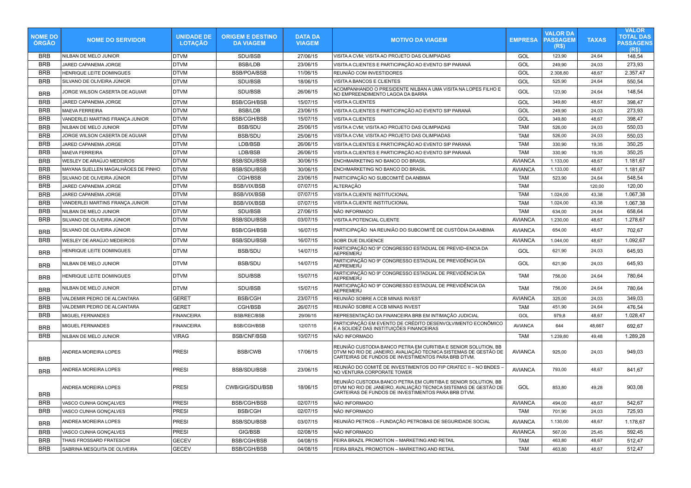| <b>NOME DO</b><br><b>ÓRGÃO</b> | <b>NOME DO SERVIDOR</b>            | <b>UNIDADE DE</b><br><b>LOTAÇÃO</b> | <b>ORIGEM E DESTINO</b><br><b>DA VIAGEM</b> | <b>DATA DA</b><br><b>VIAGEM</b> | <b>MOTIVO DA VIAGEM</b>                                                                                                                                                                  | <b>EMPRESA</b> | <b>VALOR DA</b><br><b>PASSAGEM</b><br>(R\$) | <b>TAXAS</b> | <b>VALOR</b><br><b>TOTAL DAS</b><br><b>PASSAGENS</b><br>(R\$) |
|--------------------------------|------------------------------------|-------------------------------------|---------------------------------------------|---------------------------------|------------------------------------------------------------------------------------------------------------------------------------------------------------------------------------------|----------------|---------------------------------------------|--------------|---------------------------------------------------------------|
| <b>BRB</b>                     | NILBAN DE MELO JUNIOR              | <b>DTVM</b>                         | SDU/BSB                                     | 27/06/15                        | VISITA A CVM; VISITA AO PROJETO DAS OLIMPIADAS                                                                                                                                           | GOL            | 123,90                                      | 24,64        | 148,54                                                        |
| <b>BRB</b>                     | JARED CAPANEMA JORGE               | <b>DTVM</b>                         | <b>BSB/LDB</b>                              | 23/06/15                        | VISITA A CLIENTES E PARTICIPAÇÃO AO EVENTO SIP PARANÁ                                                                                                                                    | GOL            | 249,90                                      | 24,03        | 273,93                                                        |
| <b>BRB</b>                     | HENRIQUE LEITE DOMINGUES           | <b>DTVM</b>                         | <b>BSB/POA/BSB</b>                          | 11/06/15                        | REUNIÃO COM INVESTIDORES                                                                                                                                                                 | GOL            | 2.308,80                                    | 48,67        | 2.357,47                                                      |
| <b>BRB</b>                     | SILVANO DE OLIVEIRA JÚNIOR         | <b>DTVM</b>                         | SDU/BSB                                     | 18/06/15                        | VISITA A BANCOS E CLIENTES                                                                                                                                                               | GOL            | 525,90                                      | 24,64        | 550,54                                                        |
| <b>BRB</b>                     | JORGE WILSON CASERTA DE AGUIAR     | DTVM                                | SDU/BSB                                     | 26/06/15                        | ACOMPANHANDO O PRESIDENTE NILBAN A UMA VISITA NA LOPES FILHO E<br>NO EMPREENDIMENTO LAGOA DA BARRA                                                                                       | GOL            | 123,90                                      | 24,64        | 148,54                                                        |
| <b>BRB</b>                     | JARED CAPANEMA JORGE               | <b>DTVM</b>                         | <b>BSB/CGH/BSB</b>                          | 15/07/15                        | VISITA A CLIENTES                                                                                                                                                                        | GOL            | 349,80                                      | 48,67        | 398,47                                                        |
| <b>BRB</b>                     | <b>MAEVA FERREIRA</b>              | DTVM                                | <b>BSB/LDB</b>                              | 23/06/15                        | VISITA A CLIENTES E PARTICIPAÇÃO AO EVENTO SIP PARANÁ                                                                                                                                    | GOL            | 249,90                                      | 24,03        | 273,93                                                        |
| <b>BRB</b>                     | VANDERLEI MARTINS FRANÇA JUNIOR    | DTVM                                | <b>BSB/CGH/BSB</b>                          | 15/07/15                        | VISITA A CLIENTES                                                                                                                                                                        | GOL            | 349,80                                      | 48,67        | 398,47                                                        |
| <b>BRB</b>                     | NILBAN DE MELO JUNIOR              | DTVM                                | <b>BSB/SDU</b>                              | 25/06/15                        | VISITA A CVM; VISITA AO PROJETO DAS OLIMPIADAS                                                                                                                                           | <b>TAM</b>     | 526,00                                      | 24,03        | 550,03                                                        |
| <b>BRB</b>                     | JORGE WILSON CASERTA DE AGUIAR     | <b>DTVM</b>                         | <b>BSB/SDU</b>                              | 25/06/15                        | VISITA A CVM; VISITA AO PROJETO DAS OLIMPIADAS                                                                                                                                           | <b>TAM</b>     | 526,00                                      | 24,03        | 550,03                                                        |
| <b>BRB</b>                     | JARED CAPANEMA JORGE               | <b>DTVM</b>                         | LDB/BSB                                     | 26/06/15                        | VISITA A CLIENTES E PARTICIPAÇÃO AO EVENTO SIP PARANÁ                                                                                                                                    | <b>TAM</b>     | 330,90                                      | 19,35        | 350,25                                                        |
| <b>BRB</b>                     | <b>MAEVA FERREIRA</b>              | <b>DTVM</b>                         | LDB/BSB                                     | 26/06/15                        | VISITA A CLIENTES E PARTICIPAÇÃO AO EVENTO SIP PARANÁ                                                                                                                                    | <b>TAM</b>     | 330,90                                      | 19,35        | 350,25                                                        |
| <b>BRB</b>                     | WESLEY DE ARAÚJO MEDEIROS          | DTVM                                | <b>BSB/SDU/BSB</b>                          | 30/06/15                        | ENCHMARKETING NO BANCO DO BRASIL                                                                                                                                                         | <b>AVIANCA</b> | 1.133,00                                    | 48.67        | 1.181,67                                                      |
| <b>BRB</b>                     | MAYANA SUELLEN MAGALHÃOES DE PINHO | DTVM                                | <b>BSB/SDU/BSB</b>                          | 30/06/15                        | ENCHMARKETING NO BANCO DO BRASIL                                                                                                                                                         | <b>AVIANCA</b> | 1.133,00                                    | 48.67        | 1.181.67                                                      |
| <b>BRB</b>                     | SILVANO DE OLIVEIRA JÚNIOR         | DTVM                                | CGH/BSB                                     | 23/06/15                        | PARTICIPAÇÃO NO SUBCOMITÊ DA ANBIMA                                                                                                                                                      | TAM            | 523,90                                      | 24,64        | 548,54                                                        |
| <b>BRB</b>                     | JARED CAPANEMA JORGE               | DTVM                                | <b>BSB/VIX/BSB</b>                          | 07/07/15                        | ALTERAÇÃO                                                                                                                                                                                | <b>TAM</b>     |                                             | 120,00       | 120,00                                                        |
| <b>BRB</b>                     | JARED CAPANEMA JORGE               | <b>DTVM</b>                         | <b>BSB/VIX/BSB</b>                          | 07/07/15                        | VISITA A CLIENTE INSTITUCIONAL                                                                                                                                                           | <b>TAM</b>     | 1.024,00                                    | 43,38        | 1.067,38                                                      |
| <b>BRB</b>                     | VANDERLEI MARTINS FRANCA JUNIOR    | <b>DTVM</b>                         | <b>BSB/VIX/BSB</b>                          | 07/07/15                        | VISITA A CLIENTE INSTITUCIONAL                                                                                                                                                           | <b>TAM</b>     | 1.024,00                                    | 43,38        | 1.067,38                                                      |
| <b>BRB</b>                     | NILBAN DE MELO JUNIOR              | <b>DTVM</b>                         | SDU/BSB                                     | 27/06/15                        | NÃO INFORMADO                                                                                                                                                                            | <b>TAM</b>     | 634,00                                      | 24,64        | 658,64                                                        |
| <b>BRB</b>                     | SILVANO DE OLIVEIRA JÚNIOR         | DTVM                                | <b>BSB/SDU/BSB</b>                          | 03/07/15                        | VISITA A POTENCIAL CLIENTE                                                                                                                                                               | <b>AVIANCA</b> | 1.230,00                                    | 48,67        | 1.278,67                                                      |
| <b>BRB</b>                     | SILVANO DE OLIVEIRA JÚNIOR         | <b>DTVM</b>                         | <b>BSB/CGH/BSB</b>                          | 16/07/15                        | PARTICIPAÇÃO NA REUNIÃO DO SUBCOMITÊ DE CUSTÓDIA DA ANBIMA                                                                                                                               | <b>AVIANCA</b> | 654,00                                      | 48,67        | 702,67                                                        |
| <b>BRB</b>                     | WESLEY DE ARAÚJO MEDEIROS          | <b>DTVM</b>                         | <b>BSB/SDU/BSB</b>                          | 16/07/15                        | SOBR DUE DILIGENCE                                                                                                                                                                       | <b>AVIANCA</b> | 1.044,00                                    | 48.67        | 1.092.67                                                      |
| <b>BRB</b>                     | HENRIQUE LEITE DOMINGUES           | <b>DTVM</b>                         | <b>BSB/SDU</b>                              | 14/07/15                        | PARTICIPAÇÃO NO 9º CONGRESSO ESTADUAL DE PREVID∼ENCIA DA<br>AEPREMERJ                                                                                                                    | GOL            | 621.90                                      | 24.03        | 645,93                                                        |
| <b>BRB</b>                     | NILBAN DE MELO JUNIOR              | <b>DTVM</b>                         | <b>BSB/SDU</b>                              | 14/07/15                        | PARTICIPAÇÃO NO 9º CONGRESSO ESTADUAL DE PREVIDÊNCIA DA<br>AEPREMERJ                                                                                                                     | GOL            | 621,90                                      | 24,03        | 645,93                                                        |
| <b>BRB</b>                     | HENRIQUE LEITE DOMINGUES           | <b>DTVM</b>                         | SDU/BSB                                     | 15/07/15                        | PARTICIPAÇÃO NO 9º CONGRESSO ESTADUAL DE PREVIDÊNCIA DA<br>AEPREMERJ                                                                                                                     | <b>TAM</b>     | 756,00                                      | 24,64        | 780,64                                                        |
| <b>BRB</b>                     | NILBAN DE MELO JUNIOR              | DTVM                                | SDU/BSB                                     | 15/07/15                        | PARTICIPAÇÃO NO 9º CONGRESSO ESTADUAL DE PREVIDÊNCIA DA<br>AEPREMERJ                                                                                                                     | <b>TAM</b>     | 756,00                                      | 24,64        | 780,64                                                        |
| <b>BRB</b>                     | VALDEMIR PEDRO DE ALCANTARA        | <b>GERET</b>                        | <b>BSB/CGH</b>                              | 23/07/15                        | REUNIÃO SOBRE A CCB MINAS INVEST                                                                                                                                                         | <b>AVIANCA</b> | 325,00                                      | 24,03        | 349,03                                                        |
| <b>BRB</b>                     | VALDEMIR PEDRO DE ALCANTARA        | <b>GERET</b>                        | CGH/BSB                                     | 26/07/15                        | REUNIÃO SOBRE A CCB MINAS INVEST                                                                                                                                                         | <b>TAM</b>     | 451,90                                      | 24,64        | 476,54                                                        |
| <b>BRB</b>                     | <b>MIGUEL FERNANDES</b>            | <b>FINANCEIRA</b>                   | <b>BSB/REC/BSB</b>                          | 29/06/15                        | REPRESENTAÇÃO DA FINANCEIRA BRB EM INTIMAÇÃO JUDICIAL                                                                                                                                    | GOL            | 979,8                                       | 48,67        | 1.028,47                                                      |
| <b>BRB</b>                     | MIGUEL FERNANDES                   | <b>FINANCEIRA</b>                   | <b>BSB/CGH/BSB</b>                          | 12/07/15                        | PARTICIPAÇÃO EM EVENTO DE CRÉDITO DESENVOLVIMENTO ECONÔMICO<br>E A SOLIDEZ DAS INSTITUIÇÕES FINANCEIRAS                                                                                  | <b>AVIANCA</b> | 644                                         | 48,667       | 692,67                                                        |
| <b>BRB</b>                     | NILBAN DE MELO JUNIOR              | <b>VIRAG</b>                        | <b>BSB/CNF/BSB</b>                          | 10/07/15                        | NÃO INFORMADO                                                                                                                                                                            | TAM            | 1.239,80                                    | 49,48        | 1.289,28                                                      |
| <b>BRB</b>                     | ANDREA MOREIRA LOPES               | <b>PRESI</b>                        | <b>BSB/CWB</b>                              | 17/06/15                        | REUNIÃO CUSTODIA BANCO PETRA EM CURITIBA E SENIOR SOLUTION, BB<br>DTVM NO RIO DE JANEIRO, AVALIAÇÃO TECNICA SISTEMAS DE GESTÃO DE<br>CARTEIRAS DE FUNDOS DE INVESTIMENTOS PARA BRB DTVM. | <b>AVIANCA</b> | 925,00                                      | 24,03        | 949,03                                                        |
| <b>BRB</b>                     | ANDREA MOREIRA LOPES               | <b>PRESI</b>                        | <b>BSB/SDU/BSB</b>                          | 23/06/15                        | REUNIÃO DO COMITÊ DE INVESTIMENTOS DO FIP CRIATEC II – NO BNDES<br>NO VENTURA CORPORATE TOWER                                                                                            | <b>AVIANCA</b> | 793,00                                      | 48,67        | 841,67                                                        |
| <b>BRB</b>                     | ANDREA MOREIRA LOPES               | <b>PRESI</b>                        | CWB/GIG/SDU/BSB                             | 18/06/15                        | REUNIÃO CUSTODIA BANCO PETRA EM CURITIBA E SENIOR SOLUTION, BB<br>DTVM NO RIO DE JANEIRO, AVALIAÇÃO TECNICA SISTEMAS DE GESTÃO DE<br>CARTEIRAS DE FUNDOS DE INVESTIMENTOS PARA BRB DTVM. | GOL            | 853,80                                      | 49,28        | 903,08                                                        |
| <b>BRB</b>                     | VASCO CUNHA GONÇALVES              | PRESI                               | <b>BSB/CGH/BSB</b>                          | 02/07/15                        | NÃO INFORMADO                                                                                                                                                                            | <b>AVIANCA</b> | 494,00                                      | 48,67        | 542,67                                                        |
| <b>BRB</b>                     | VASCO CUNHA GONÇALVES              | <b>PRESI</b>                        | <b>BSB/CGH</b>                              | 02/07/15                        | NÃO INFORMADO                                                                                                                                                                            | <b>TAM</b>     | 701,90                                      | 24,03        | 725,93                                                        |
| <b>BRB</b>                     | ANDREA MOREIRA LOPES               | <b>PRESI</b>                        | BSB/SDU/BSB                                 | 03/07/15                        | REUNIÃO PETROS – FUNDAÇÃO PETROBAS DE SEGURIDADE SOCIAL                                                                                                                                  | <b>AVIANCA</b> | 1.130,00                                    | 48,67        | 1.178,67                                                      |
| <b>BRB</b>                     | VASCO CUNHA GONÇALVES              | <b>PRESI</b>                        | GIG/BSB                                     | 02/08/15                        | NÃO INFORMADO                                                                                                                                                                            | <b>AVIANCA</b> | 567,00                                      | 25,45        | 592,45                                                        |
| <b>BRB</b>                     | THAIS FROSSARD FRATESCHI           | <b>GECEV</b>                        | <b>BSB/CGH/BSB</b>                          | 04/08/15                        | FEIRA BRAZIL PROMOTION - MARKETING AND RETAIL                                                                                                                                            | TAM            | 463,80                                      | 48,67        | 512,47                                                        |
| <b>BRB</b>                     | SABRINA MESQUITA DE OLIVEIRA       | <b>GECEV</b>                        | <b>BSB/CGH/BSB</b>                          | 04/08/15                        | FEIRA BRAZIL PROMOTION - MARKETING AND RETAIL                                                                                                                                            | <b>TAM</b>     | 463,80                                      | 48,67        | 512,47                                                        |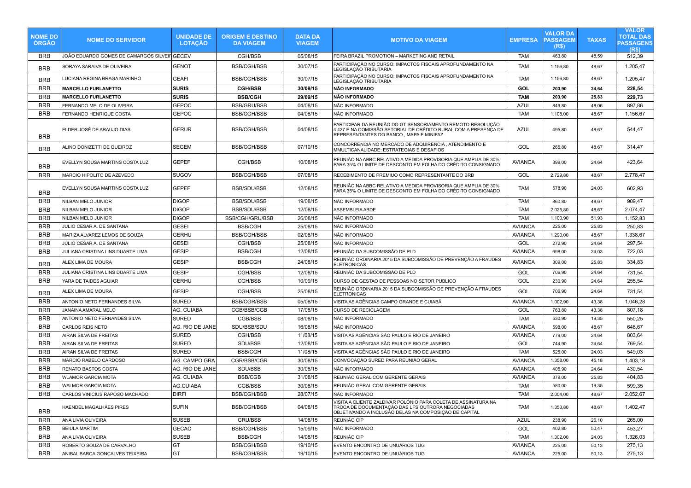| <b>NOME DO</b><br><b>ORGAO</b> | <b>NOME DO SERVIDOR</b>                      | <b>UNIDADE DE</b><br><b>LOTAÇÃO</b> | <b>ORIGEM E DESTINO</b><br><b>DA VIAGEM</b> | <b>DATA DA</b><br><b>VIAGEM</b> | <b>MOTIVO DA VIAGEM</b>                                                                                                                                                                                                             | <b>EMPRESA</b> | <b>VALOR DA</b><br><b>PASSAGEM</b><br>(R\$) | <b>TAXAS</b> | <b>VALOR</b><br><b>TOTAL DAS</b><br><b>PASSAGENS</b><br>(R <sub>s</sub> ) |
|--------------------------------|----------------------------------------------|-------------------------------------|---------------------------------------------|---------------------------------|-------------------------------------------------------------------------------------------------------------------------------------------------------------------------------------------------------------------------------------|----------------|---------------------------------------------|--------------|---------------------------------------------------------------------------|
| <b>BRB</b>                     | JOÃO EDUARDO GOMES DE CAMARGOS SILVEIR GECEV |                                     | CGH/BSB                                     | 05/08/15                        | FEIRA BRAZIL PROMOTION - MARKETING AND RETAIL                                                                                                                                                                                       | TAM            | 463,80                                      | 48,59        | 512,39                                                                    |
| <b>BRB</b>                     | SORAYA SARAIVA DE OLIVEIRA                   | GENOT                               | <b>BSB/CGH/BSB</b>                          | 30/07/15                        | PARTICIPAÇÃO NO CURSO: IMPACTOS FISCAIS APROFUNDAMENTO NA<br>LEGISLAÇÃO TRIBUTÁRIA                                                                                                                                                  | <b>TAM</b>     | 1.156,80                                    | 48,67        | 1.205,47                                                                  |
| <b>BRB</b>                     | LUCIANA REGINA BRAGA MARINHO                 | <b>GEAFI</b>                        | <b>BSB/CGH/BSB</b>                          | 30/07/15                        | PARTICIPAÇÃO NO CURSO: IMPACTOS FISCAIS APROFUNDAMENTO NA<br>LEGISLAÇÃO TRIBUTÁRIA                                                                                                                                                  | <b>TAM</b>     | 1.156,80                                    | 48,67        | 1.205,47                                                                  |
| <b>BRB</b>                     | <b>MARCELLO FURLANETTO</b>                   | <b>SURIS</b>                        | <b>CGH/BSB</b>                              | 30/09/15                        | NÃO INFORMADO                                                                                                                                                                                                                       | GOL            | 203,90                                      | 24,64        | 228,54                                                                    |
| <b>BRB</b>                     | <b>MARCELLO FURLANETTO</b>                   | <b>SURIS</b>                        | <b>BSB/CGH</b>                              | 29/09/15                        | NÃO INFORMADO                                                                                                                                                                                                                       | <b>TAM</b>     | 203,90                                      | 25,83        | 229,73                                                                    |
| <b>BRB</b>                     | FERNANDO MELO DE OLIVEIRA                    | <b>GEPOC</b>                        | <b>BSB/GRU/BSB</b>                          | 04/08/15                        | NÃO INFORMADO                                                                                                                                                                                                                       | <b>AZUL</b>    | 849,80                                      | 48,06        | 897,86                                                                    |
| <b>BRB</b>                     | FERNANDO HENRIQUE COSTA                      | <b>GEPOC</b>                        | <b>BSB/CGH/BSB</b>                          | 04/08/15                        | NÃO INFORMADO                                                                                                                                                                                                                       | <b>TAM</b>     | 1.108,00                                    | 48,67        | 1.156,67                                                                  |
| <b>BRB</b>                     | ELDER JOSÉ DE ARAUJO DIAS                    | <b>GERUR</b>                        | <b>BSB/CGH/BSB</b>                          | 04/08/15                        | PARTICIPAR DA REUNIÃO DO GT SENSORIAMENTO REMOTO RESOLUÇÃO<br> 4.427 E NA COMISSÃO SETORIAL DE CRÉDITO RURAL COM A PRESENÇA DE<br>REPRESENTANTES DO BANCO, MAPA E MINIFAZ                                                           | <b>AZUL</b>    | 495,80                                      | 48,67        | 544,47                                                                    |
| <b>BRB</b>                     | ALINO DONIZETTI DE QUEIROZ                   | <b>SEGEM</b>                        | <b>BSB/CGH/BSB</b>                          | 07/10/15                        | CONCORRENCIA NO MERCADO DE ADQUIRENCIA, ATENDIMENTO E<br>MMULTICANALIDADE: ESTRATEGIAS E DESAFIOS                                                                                                                                   | GOL            | 265,80                                      | 48,67        | 314,47                                                                    |
| <b>BRB</b>                     | EVELLYN SOUSA MARTINS COSTA LUZ              | <b>GEPEF</b>                        | CGH/BSB                                     | 10/08/15                        | REUNIÃO NA ABBC RELATIVO A MEDIDA PROVISORIA QUE AMPLIA DE 30%<br>PARA 35% O LIMITE DE DESCONTO EM FOLHA DO CRÉDITO CONSIGNADO                                                                                                      | <b>AVIANCA</b> | 399,00                                      | 24,64        | 423,64                                                                    |
| <b>BRB</b>                     | MARCIO HIPOLITO DE AZEVEDO                   | <b>SUGOV</b>                        | <b>BSB/CGH/BSB</b>                          | 07/08/15                        | RECEBIMENTO DE PREMIUO COMO REPRESENTANTE DO BRB                                                                                                                                                                                    | GOL            | 2.729,80                                    | 48,67        | 2.778,47                                                                  |
| <b>BRB</b>                     | EVELLYN SOUSA MARTINS COSTA LUZ              | <b>GEPEF</b>                        | <b>BSB/SDU/BSB</b>                          | 12/08/15                        | REUNIÃO NA ABBC RELATIVO A MEDIDA PROVISORIA QUE AMPLIA DE 30%<br>PARA 35% O LIMITE DE DESCONTO EM FOLHA DO CRÉDITO CONSIGNADO                                                                                                      | <b>TAM</b>     | 578,90                                      | 24,03        | 602,93                                                                    |
| <b>BRB</b>                     | NILBAN MELO JUNIOR                           | <b>DIGOP</b>                        | <b>BSB/SDU/BSB</b>                          | 19/08/15                        | NÃO INFORMADO                                                                                                                                                                                                                       | <b>TAM</b>     | 860,80                                      | 48,67        | 909,47                                                                    |
| <b>BRB</b>                     | NILBAN MELO JUNIOR                           | <b>DIGOP</b>                        | <b>BSB/SDU/BSB</b>                          | 12/08/15                        | ASSEMBLEIA ABDE                                                                                                                                                                                                                     | <b>TAM</b>     | 2.025,80                                    | 48,67        | 2.074,47                                                                  |
| <b>BRB</b>                     | NILBAN MELO JUNIOR                           | <b>DIGOP</b>                        | BSB/CGH/GRU/BSB                             | 26/08/15                        | NÃO INFORMADO                                                                                                                                                                                                                       | <b>TAM</b>     | 1.100,90                                    | 51,93        | 1.152,83                                                                  |
| <b>BRB</b>                     | JULIO CESAR A. DE SANTANA                    | <b>GESEI</b>                        | <b>BSB/CGH</b>                              | 25/08/15                        | NÃO INFORMADO                                                                                                                                                                                                                       | <b>AVIANCA</b> | 225,00                                      | 25,83        | 250,83                                                                    |
| <b>BRB</b>                     | MARIZA ALVAREZ LEMOS DE SOUZA                | GERHU                               | <b>BSB/CGH/BSB</b>                          | 02/08/15                        | NÃO INFORMADO                                                                                                                                                                                                                       | <b>AVIANCA</b> | 1.290,00                                    | 48,67        | 1.338,67                                                                  |
| <b>BRB</b>                     | JÚLIO CÉSAR A. DE SANTANA                    | <b>GESEI</b>                        | CGH/BSB                                     | 25/08/15                        | NÃO INFORMADO                                                                                                                                                                                                                       | GOL            | 272,90                                      | 24,64        | 297,54                                                                    |
| <b>BRB</b>                     | JULIANA CRISTINA LINS DUARTE LIMA            | <b>GESIP</b>                        | <b>BSB/CGH</b>                              | 12/08/15                        | REUNIÃO DA SUBCOMISSÃO DE PLD                                                                                                                                                                                                       | <b>AVIANCA</b> | 698,00                                      | 24,03        | 722,03                                                                    |
| <b>BRB</b>                     | ALEX LIMA DE MOURA                           | <b>GESIP</b>                        | <b>BSB/CGH</b>                              | 24/08/15                        | REUNIÃO ORDINARIA 2015 DA SUBCOMISSÃO DE PREVENÇÃO A FRAUDES<br><b>ELETRONICAS</b>                                                                                                                                                  | <b>AVIANCA</b> | 309,00                                      | 25,83        | 334,83                                                                    |
| <b>BRB</b>                     | JULIANA CRISTINA LINS DUARTE LIMA            | <b>GESIP</b>                        | CGH/BSB                                     | 12/08/15                        | REUNIÃO DA SUBCOMISSÃO DE PLD                                                                                                                                                                                                       | GOL            | 706,90                                      | 24,64        | 731,54                                                                    |
| <b>BRB</b>                     | YARA DE TAIDES AGUIAR                        | <b>GERHU</b>                        | CGH/BSB                                     | 10/09/15                        | CURSO DE GESTAO DE PESSOAS NO SETOR PUBLICO                                                                                                                                                                                         | GOL            | 230,90                                      | 24,64        | 255,54                                                                    |
| <b>BRB</b>                     | ALEX LIMA DE MOURA                           | <b>GESIP</b>                        | CGH/BSB                                     | 25/08/15                        | REUNIÃO ORDINARIA 2015 DA SUBCOMISSÃO DE PREVENÇÃO A FRAUDES<br><b>ELETRONICAS</b>                                                                                                                                                  | GOL            | 706,90                                      | 24,64        | 731,54                                                                    |
| <b>BRB</b>                     | ANTONIO NETO FERNANDES SILVA                 | <b>SURED</b>                        | <b>BSB/CGR/BSB</b>                          | 05/08/15                        | VISITA AS AGÊNCIAS CAMPO GRANDE E CUIABÁ                                                                                                                                                                                            | <b>AVIANCA</b> | 1.002,90                                    | 43,38        | 1.046,28                                                                  |
| <b>BRB</b>                     | JANAINA AMARAL MELO                          | AG. CUIABA                          | CGB/BSB/CGB                                 | 17/08/15                        | <b>CURSO DE RECICLAGEM</b>                                                                                                                                                                                                          | GOL            | 763,80                                      | 43,38        | 807,18                                                                    |
| <b>BRB</b>                     | ANTONIO NETO FERNANDES SILVA                 | <b>SURED</b>                        | CGB/BSB                                     | 08/08/15                        | NÃO INFORMADO                                                                                                                                                                                                                       | <b>TAM</b>     | 530,90                                      | 19,35        | 550,25                                                                    |
| <b>BRB</b>                     | CARLOS REIS NETO                             | AG. RIO DE JANE                     | SDU/BSB/SDU                                 | 16/08/15                        | NÃO INFORMADO                                                                                                                                                                                                                       | <b>AVIANCA</b> | 598,00                                      | 48,67        | 646,67                                                                    |
| <b>BRB</b>                     | AIRAN SILVA DE FREITAS                       | <b>SURED</b>                        | CGH/BSB                                     | 11/08/15                        | VISITA AS AGÊNCIAS SÃO PAULO E RIO DE JANEIRO                                                                                                                                                                                       | <b>AVIANCA</b> | 779,00                                      | 24,64        | 803,64                                                                    |
| <b>BRB</b>                     | AIRAN SILVA DE FREITAS                       | <b>SURED</b>                        | SDU/BSB                                     | 12/08/15                        | VISITA AS AGÊNCIAS SÃO PAULO E RIO DE JANEIRO                                                                                                                                                                                       | GOL            | 744,90                                      | 24,64        | 769,54                                                                    |
| <b>BRB</b>                     | AIRAN SILVA DE FREITAS                       | <b>SURED</b>                        | <b>BSB/CGH</b>                              | 11/08/15                        | VISITA AS AGÊNCIAS SÃO PAULO E RIO DE JANEIRO                                                                                                                                                                                       | <b>TAM</b>     | 525,00                                      | 24,03        | 549,03                                                                    |
| <b>BRB</b>                     | MARCIO RABELO CARDOSO                        | AG. CAMPO GRA                       | CGR/BSB/CGR                                 | 30/08/15                        | CONVOCAÇÃO SURED PARA REUNIÃO GERAL                                                                                                                                                                                                 | <b>AVIANCA</b> | 1.358,00                                    | 45,18        | 1.403,18                                                                  |
| <b>BRB</b>                     | RENATO BASTOS COSTA                          | AG. RIO DE JANE                     | SDU/BSB                                     | 30/08/15                        | NÃO INFORMADO                                                                                                                                                                                                                       | <b>AVIANCA</b> | 405,90                                      | 24,64        | 430,54                                                                    |
| <b>BRB</b>                     | <b>WLAMOR GARCIA MOTA</b>                    | AG. CUIABA                          | <b>BSB/CGB</b>                              | 31/08/15                        | REUNIÃO GERAL COM GERENTE GERAIS                                                                                                                                                                                                    | <b>AVIANCA</b> | 379,00                                      | 25,83        | 404,83                                                                    |
| <b>BRB</b>                     | <b>WALMOR GARCIA MOTA</b>                    | AG.CUIABA                           | CGB/BSB                                     | 30/08/15                        | REUNIÃO GERAL COM GERENTE GERAIS                                                                                                                                                                                                    | <b>TAM</b>     | 580,00                                      | 19,35        | 599,35                                                                    |
| <b>BRB</b>                     | CARLOS VINICIUS RAPOSO MACHADO               | <b>DIRFI</b>                        | <b>BSB/CGH/BSB</b>                          | 28/07/15                        | NÃO INFORMADO                                                                                                                                                                                                                       | <b>TAM</b>     | 2.004,00                                    | 48,67        | 2.052,67                                                                  |
| BRB                            | HAENDEL MAGALHÃES PIRES                      | <b>SUFIN</b>                        | <b>BSB/CGH/BSB</b>                          | 04/08/15                        | VISITA A CLIENTE ZALDIVAR POLÔNIO PARA COLETA DE ASSINATURA NA<br>TROCA DE DOCUMENTAÇÃO DAS LES OUTRORA NEGOCIADAS<br>  TROCA DE DOCUMENTAÇÃO DAS LES OUTRORA NEGOCIADAS<br>  OBJETIVANDO A INCLUSÃO DELAS NA COMPOSIÇÃO DE CAPITAL | <b>TAM</b>     | 1.353,80                                    | 48,67        | 1.402,47                                                                  |
| BRB                            | ANA LIVIA OLIVEIRA                           | <b>SUSEB</b>                        | <b>GRU/BSB</b>                              | 14/08/15                        | REUNIÃO CIP                                                                                                                                                                                                                         | <b>AZUL</b>    | 238,90                                      | 26,10        | 265,00                                                                    |
| BRB                            | <b>BEIULA MARTIM</b>                         | <b>GECAC</b>                        | <b>BSB/CGH/BSB</b>                          | 15/09/15                        | NÃO INFORMADO                                                                                                                                                                                                                       | GOL            | 402,80                                      | 50,47        | 453,27                                                                    |
| BRB                            | ANA LIVIA OLIVEIRA                           | <b>SUSEB</b>                        | <b>BSB/CGH</b>                              | 14/08/15                        | REUNIÃO CIP                                                                                                                                                                                                                         | <b>TAM</b>     | 1.302,00                                    | 24,03        | 1.326,03                                                                  |
| <b>BRB</b>                     | ROBERTO SOUZA DE CARVALHO                    | GT                                  | <b>BSB/CGH/BSB</b>                          | 19/10/15                        | EVENTO ENCONTRO DE UNUÁRIOS TUG                                                                                                                                                                                                     | <b>AVIANCA</b> | 225,00                                      | 50,13        | 275,13                                                                    |
| <b>BRB</b>                     | ANIBAL BARCA GONÇALVES TEIXEIRA              | GT                                  | <b>BSB/CGH/BSB</b>                          | 19/10/15                        | EVENTO ENCONTRO DE UNUÁRIOS TUG                                                                                                                                                                                                     | <b>AVIANCA</b> | 225,00                                      | 50,13        | 275,13                                                                    |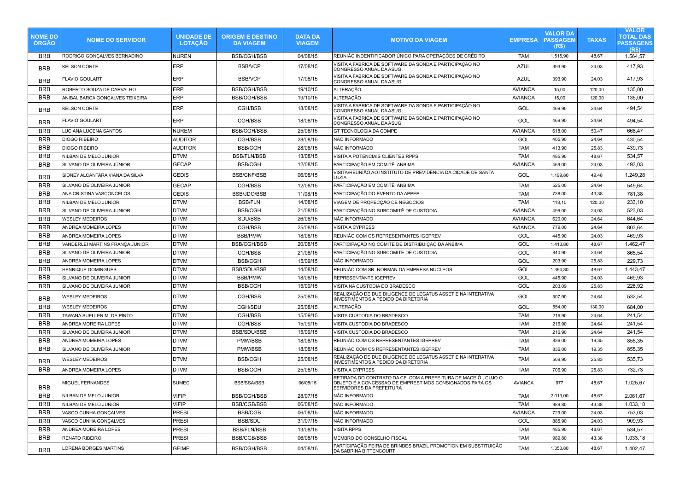| <b>NOME DO</b><br><b>ÓRGÃO</b> | <b>NOME DO SERVIDOR</b>         | <b>UNIDADE DE</b><br><b>LOTAÇÃO</b> | <b>ORIGEM E DESTINO</b><br><b>DA VIAGEM</b> | <b>DATA DA</b><br><b>VIAGEM</b> | <b>MOTIVO DA VIAGEM</b>                                                                                                                               | <b>EMPRESA</b> | <b>VALOR DA</b><br><b>PASSAGEM</b><br>(R\$) | <b>TAXAS</b> | <b>VALOR</b><br><b>TOTAL DAS</b><br><b>PASSAGENS</b><br>(R\$) |
|--------------------------------|---------------------------------|-------------------------------------|---------------------------------------------|---------------------------------|-------------------------------------------------------------------------------------------------------------------------------------------------------|----------------|---------------------------------------------|--------------|---------------------------------------------------------------|
| <b>BRB</b>                     | RODRIGO GONCALVES BERNADINO     | <b>NUREN</b>                        | <b>BSB/CGH/BSB</b>                          | 04/08/15                        | REUNIÃO INDENTIFICADOR ÚNICO PARA OPERAÇÕES DE CRÉDITO                                                                                                | <b>TAM</b>     | 1.515,90                                    | 48,67        | 1.564,57                                                      |
| <b>BRB</b>                     | <b>KELSON CORTE</b>             | <b>ERP</b>                          | <b>BSB/VCP</b>                              | 17/08/15                        | VISITA A FABRICA DE SOFTWARE DA SONDA E PARTICIPAÇÃO NO<br>CONGRESSO ANUAL DA ASUG                                                                    | <b>AZUL</b>    | 393,90                                      | 24,03        | 417.93                                                        |
| <b>BRB</b>                     | <b>FLAVIO GOULART</b>           | <b>ERP</b>                          | <b>BSB/VCP</b>                              | 17/08/15                        | VISITA A FABRICA DE SOFTWARE DA SONDA E PARTICIPAÇÃO NO<br>CONGRESSO ANUAL DA ASUG                                                                    | <b>AZUL</b>    | 393,90                                      | 24,03        | 417,93                                                        |
| <b>BRB</b>                     | ROBERTO SOUZA DE CARVALHO       | <b>ERP</b>                          | <b>BSB/CGH/BSB</b>                          | 19/10/15                        | <b>ALTERAÇÃO</b>                                                                                                                                      | <b>AVIANCA</b> | 15,00                                       | 120,00       | 135,00                                                        |
| <b>BRB</b>                     | ANIBAL BARCA GONÇALVES TEIXEIRA | ERP                                 | <b>BSB/CGH/BSB</b>                          | 19/10/15                        | <b>ALTERAÇÃO</b>                                                                                                                                      | <b>AVIANCA</b> | 15,00                                       | 120.00       | 135,00                                                        |
| <b>BRB</b>                     | <b>KELSON CORTE</b>             | <b>ERP</b>                          | CGH/BSB                                     | 18/08/15                        | VISITA A FABRICA DE SOFTWARE DA SONDA E PARTICIPAÇÃO NO<br>CONGRESSO ANUAL DA ASUG                                                                    | GOL            | 469.90                                      | 24.64        | 494,54                                                        |
| <b>BRB</b>                     | <b>FLAVIO GOULART</b>           | <b>ERP</b>                          | CGH/BSB                                     | 18/08/15                        | VISITA A FABRICA DE SOFTWARE DA SONDA E PARTICIPAÇÃO NO<br>CONGRESSO ANUAL DA ASUG                                                                    | GOL            | 469,90                                      | 24,64        | 494,54                                                        |
| <b>BRB</b>                     | LUCIANA LUCENA SANTOS           | <b>NUREM</b>                        | <b>BSB/CGH/BSB</b>                          | 25/08/15                        | GT TECNOLOGIA DA COMPE                                                                                                                                | <b>AVIANCA</b> | 618,00                                      | 50,47        | 668,47                                                        |
| <b>BRB</b>                     | <b>DIOGO RIBEIRO</b>            | <b>AUDITOR</b>                      | CGH/BSB                                     | 28/08/15                        | NÃO INFORMADO                                                                                                                                         | GOL            | 405,90                                      | 24,64        | 430,54                                                        |
| <b>BRB</b>                     | <b>DIOGO RIBEIRO</b>            | <b>AUDITOR</b>                      | <b>BSB/CGH</b>                              | 28/08/15                        | NÃO INFORMADO                                                                                                                                         | <b>TAM</b>     | 413,90                                      | 25,83        | 439,73                                                        |
| <b>BRB</b>                     | NILBAN DE MELO JUNIOR           | <b>DTVM</b>                         | <b>BSB/FLN/BSB</b>                          | 13/08/15                        | VISITA A POTENCIAIS CLIENTES RPPS                                                                                                                     | <b>TAM</b>     | 485,90                                      | 48,67        | 534,57                                                        |
| <b>BRB</b>                     | SILVANO DE OLIVEIRA JÚNIOR      | <b>GECAP</b>                        | <b>BSB/CGH</b>                              | 12/08/15                        | PARTICIPAÇÃO EM COMITÊ ANBIMA                                                                                                                         | <b>AVIANCA</b> | 469,00                                      | 24,03        | 493,03                                                        |
| <b>BRB</b>                     | SIDNEY ALCANTARA VIANA DA SILVA | <b>GEDIS</b>                        | <b>BSB/CNF/BSB</b>                          | 06/08/15                        | VISITA/REUNIÃO AO INSTITUTO DE PREVIDÊNCIA DA CIDADE DE SANTA<br>LUZIA                                                                                | GOL            | 1.199,80                                    | 49,48        | 1.249,28                                                      |
| <b>BRB</b>                     | SILVANO DE OLIVEIRA JÚNIOR      | <b>GECAP</b>                        | CGH/BSB                                     | 12/08/15                        | PARTICIPAÇÃO EM COMITÊ ANBIMA                                                                                                                         | <b>TAM</b>     | 525,00                                      | 24,64        | 549,64                                                        |
| <b>BRB</b>                     | ANA CRISTINA VASCONCELOS        | <b>GEDIS</b>                        | BSB/JDO/BSB                                 | 11/08/15                        | PARTICIPAÇÃO DO EVENTO DA APPEP                                                                                                                       | <b>TAM</b>     | 738,00                                      | 43,38        | 781,38                                                        |
| <b>BRB</b>                     | NILBAN DE MELO JUNIOR           | <b>DTVM</b>                         | <b>BSB/FLN</b>                              | 14/08/15                        | VIAGEM DE PROPECÇÃO DE NEGOCIOS                                                                                                                       | <b>TAM</b>     | 113,10                                      | 120,00       | 233,10                                                        |
| <b>BRB</b>                     | SILVANO DE OLIVEIRA JUNIOR      | <b>DTVM</b>                         | <b>BSB/CGH</b>                              | 21/08/15                        | PARTICIPAÇÃO NO SUBCOMITÊ DE CUSTODIA                                                                                                                 | <b>AVIANCA</b> | 499,00                                      | 24,03        | 523,03                                                        |
| <b>BRB</b>                     | <b>WESLEY MEDEIROS</b>          | <b>DTVM</b>                         | SDU/BSB                                     | 26/08/15                        | NÃO INFORMADO                                                                                                                                         | <b>AVIANCA</b> | 620,00                                      | 24,64        | 644,64                                                        |
| <b>BRB</b>                     | ANDREA MOMEIRA LOPES            | <b>DTVM</b>                         | CGH/BSB                                     | 25/08/15                        | <b>VISITA A CYPRESS</b>                                                                                                                               | <b>AVIANCA</b> | 779.00                                      | 24.64        | 803,64                                                        |
| <b>BRB</b>                     | ANDREA MOMEIRA LOPES            | <b>DTVM</b>                         | <b>BSB/PMW</b>                              | 18/08/15                        | REUNIÃO COM OS REPRESENTANTES IGEPREV                                                                                                                 | GOL            | 445.90                                      | 24.03        | 469.93                                                        |
| <b>BRB</b>                     | VANDERLEI MARTINS FRANÇA JUNIOR | <b>DTVM</b>                         | <b>BSB/CGH/BSB</b>                          | 20/08/15                        | PARTICIPAÇÃO NO COMITE DE DISTRIBUIÇÃO DA ANBIMA                                                                                                      | GOL            | 1.413,80                                    | 48,67        | 1.462,47                                                      |
| <b>BRB</b>                     | SILVANO DE OLIVEIRA JUNIOR      | <b>DTVM</b>                         | CGH/BSB                                     | 21/08/15                        | PARTICIPAÇÃO NO SUBCOMITE DE CUSTODIA                                                                                                                 | GOL            | 840,90                                      | 24,64        | 865,54                                                        |
| <b>BRB</b>                     | ANDREA MOMEIRA LOPES            | <b>DTVM</b>                         | <b>BSB/CGH</b>                              | 15/09/15                        | NÃO INFORMADO                                                                                                                                         | GOL            | 203,90                                      | 25,83        | 229,73                                                        |
| <b>BRB</b>                     | HENRIQUE DOMINGUES              | <b>DTVM</b>                         | <b>BSB/SDU/BSB</b>                          | 14/08/15                        | REUNIÃO COM SR. NORMAN DA EMPRESA NUCLEOS                                                                                                             | GOL            | 1.394,80                                    | 48,67        | 1.443,47                                                      |
| <b>BRB</b>                     | SILVANO DE OLIVEIRA JUNIOR      | <b>DTVM</b>                         | <b>BSB/PMW</b>                              | 18/08/15                        | REPRESENTANTE IGEPREV                                                                                                                                 | GOL            | 445,90                                      | 24,03        | 469,93                                                        |
| <b>BRB</b>                     | SILVANO DE OLIVEIRA JUNIOR      | <b>DTVM</b>                         | <b>BSB/CGH</b>                              | 15/09/15                        | VISITA NA CUSTODIA DO BRADESCO                                                                                                                        | GOL            | 203,09                                      | 25,83        | 228,92                                                        |
| <b>BRB</b>                     | <b>WESLEY MEDEIROS</b>          | <b>DTVM</b>                         | CGH/BSB                                     | 25/08/15                        | REALIZAÇÃO DE DUE DILIGENCE DE LEGATUS ASSET E NA INTERATIVA<br>INVESTIMENTOS A PEDIDO DA DIRETORIA                                                   | <b>GOL</b>     | 507,90                                      | 24,64        | 532,54                                                        |
| <b>BRB</b>                     | <b>WESLEY MEDEIROS</b>          | <b>DTVM</b>                         | CGH/SDU                                     | 25/08/15                        | <b>ALTERAÇÃO</b>                                                                                                                                      | GOL            | 554,00                                      | 130,00       | 684,00                                                        |
| <b>BRB</b>                     | TAWANA SUELLEN M. DE PINTO      | <b>DTVM</b>                         | CGH/BSB                                     | 15/09/15                        | VISITA CUSTODIA DO BRADESCO                                                                                                                           | <b>TAM</b>     | 216,90                                      | 24,64        | 241,54                                                        |
| <b>BRB</b>                     | ANDREA MOREIRA LOPES            | <b>DTVM</b>                         | CGH/BSB                                     | 15/09/15                        | VISITA CUSTODIA DO BRADESCO                                                                                                                           | <b>TAM</b>     | 216,90                                      | 24,64        | 241,54                                                        |
| <b>BRB</b>                     | SILVANO DE OLIVEIRA JUNIOR      | <b>DTVM</b>                         | <b>BSB/SDU/BSB</b>                          | 15/09/15                        | VISITA CUSTODIA DO BRADESCO                                                                                                                           | <b>TAM</b>     | 216,90                                      | 24,64        | 241,54                                                        |
| <b>BRB</b>                     | ANDREA MOMEIRA LOPES            | <b>DTVM</b>                         | PMW/BSB                                     | 18/08/15                        | REUNIÃO COM OS REPRESENTANTES IGEPREV                                                                                                                 | <b>TAM</b>     | 836.00                                      | 19,35        | 855.35                                                        |
| <b>BRB</b>                     | SILVANO DE OLIVEIRA JUNIOR      | <b>DTVM</b>                         | PMW/BSB                                     | 18/08/15                        | REUNIÃO COM OS REPRESENTANTES IGEPREV                                                                                                                 | TAM            | 836,00                                      | 19,35        | 855,35                                                        |
| <b>BRB</b>                     | <b>WESLEY MEDEIROS</b>          | <b>DTVM</b>                         | <b>BSB/CGH</b>                              | 25/08/15                        | REALIZAÇÃO DE DUE DILIGENCE DE LEGATUS ASSET E NA INTERATIVA<br>INVESTIMENTOS A PEDIDO DA DIRETORIA                                                   | TAM            | 509,90                                      | 25,83        | 535,73                                                        |
| <b>BRB</b>                     | ANDREA MOMEIRA LOPES            | <b>DTVM</b>                         | <b>BSB/CGH</b>                              | 25/08/15                        | VISITA A CYPRESS                                                                                                                                      | <b>TAM</b>     | 706,90                                      | 25,83        | 732,73                                                        |
| <b>BRB</b>                     | MIGUEL FERNANDES                | <b>SUMEC</b>                        | <b>BSB/SSA/BSB</b>                          | 06/08/15                        | RETIRADA DO CONTRATO DA CFI COM A PREFEITURA DE MACEIÓ, CUJO O<br>OBJETO É A CONCESSAO DE EMPRESTIMOS CONSIGNADOS PARA OS<br>SERVIDORES DA PREFEITURA | <b>AVIANCA</b> | 977                                         | 48,67        | 1.025,67                                                      |
| <b>BRB</b>                     | NILBAN DE MELO JUNIOR           | <b>VIFIP</b>                        | <b>BSB/CGH/BSB</b>                          | 28/07/15                        | NÃO INFORMADO                                                                                                                                         | <b>TAM</b>     | 2.013,00                                    | 48,67        | 2.061.67                                                      |
| <b>BRB</b>                     | NILBAN DE MELO JUNIOR           | <b>VIFIP</b>                        | <b>BSB/CGB/BSB</b>                          | 06/08/15                        | NÃO INFORMADO                                                                                                                                         | <b>TAM</b>     | 989,80                                      | 43,38        | 1.033,18                                                      |
| <b>BRB</b>                     | VASCO CUNHA GONÇALVES           | <b>PRESI</b>                        | <b>BSB/CGB</b>                              | 06/08/15                        | NÃO INFORMADO                                                                                                                                         | <b>AVIANCA</b> | 729,00                                      | 24,03        | 753,03                                                        |
| <b>BRB</b>                     | VASCO CUNHA GONÇALVES           | <b>PRESI</b>                        | <b>BSB/SDU</b>                              | 31/07/15                        | NÃO INFORMADO                                                                                                                                         | GOL            | 885,90                                      | 24,03        | 909,93                                                        |
| <b>BRB</b>                     | ANDREA MOREIRA LOPES            | <b>PRESI</b>                        | <b>BSB/FLN/BSB</b>                          | 13/08/15                        | <b>VISITA RPPS</b>                                                                                                                                    | <b>TAM</b>     | 485,90                                      | 48.67        | 534,57                                                        |
| <b>BRB</b>                     | <b>RENATO RIBEIRO</b>           | <b>PRESI</b>                        | <b>BSB/CGB/BSB</b>                          | 06/08/15                        | MEMBRO DO CONSELHO FISCAL                                                                                                                             | <b>TAM</b>     | 989,80                                      | 43,38        | 1.033,18                                                      |
| <b>BRB</b>                     | <b>LORENA BORGES MARTINS</b>    | <b>GEIMP</b>                        | <b>BSB/CGH/BSB</b>                          | 04/08/15                        | PARTICIPAÇÃO FEIRA DE BRINDES BRAZIL PROMOTION EM SUBSTITUIÇÃO<br>DA SABRINA BITTENCOURT                                                              | <b>TAM</b>     | 1.353,80                                    | 48,67        | 1.402,47                                                      |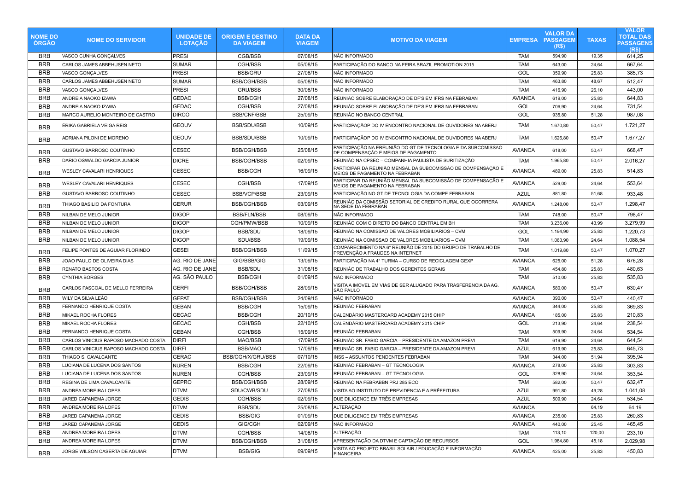| <b>NOME DO</b><br><b>ORGAO</b> | <b>NOME DO SERVIDOR</b>                                | <b>UNIDADE DE</b><br><b>LOTAÇÃO</b> | <b>ORIGEM E DESTINO</b><br><b>DA VIAGEM</b> | <b>DATA DA</b><br><b>VIAGEM</b> | <b>MOTIVO DA VIAGEM</b>                                                                              | <b>EMPRESA</b>        | VALOR DA<br><b>PASSAGEM</b><br>(R\$) | <b>TAXAS</b>   | <b>VALOR</b><br><b>TOTAL DAS</b><br><b>PASSAGENS</b><br>(R <sub>s</sub> ) |
|--------------------------------|--------------------------------------------------------|-------------------------------------|---------------------------------------------|---------------------------------|------------------------------------------------------------------------------------------------------|-----------------------|--------------------------------------|----------------|---------------------------------------------------------------------------|
| <b>BRB</b>                     | VASCO CUNHA GONCALVES                                  | <b>PRESI</b>                        | CGB/BSB                                     | 07/08/15                        | NÃO INFORMADO                                                                                        | TAM                   | 594,90                               | 19,35          | 614,25                                                                    |
| <b>BRB</b>                     | CARLOS JAMES ABBEHUSEN NETO                            | SUMAR                               | CGH/BSB                                     | 05/08/15                        | PARTICIPAÇÃO DO BANCO NA FEIRA BRAZIL PROMOTION 2015                                                 | <b>TAM</b>            | 643,00                               | 24,64          | 667,64                                                                    |
| <b>BRB</b>                     | VASCO GONÇALVES                                        | <b>PRESI</b>                        | <b>BSB/GRU</b>                              | 27/08/15                        | NÃO INFORMADO                                                                                        | GOL                   | 359,90                               | 25,83          | 385,73                                                                    |
| <b>BRB</b>                     | CARLOS JAMES ABBEHUSEN NETO                            | SUMAR                               | <b>BSB/CGH/BSB</b>                          | 05/08/15                        | NÃO INFORMADO                                                                                        | <b>TAM</b>            | 463,80                               | 48,67          | 512,47                                                                    |
| <b>BRB</b>                     | VASCO GONÇALVES                                        | PRESI                               | <b>GRU/BSB</b>                              | 30/08/15                        | NÃO INFORMADO                                                                                        | <b>TAM</b>            | 416,90                               | 26,10          | 443,00                                                                    |
| <b>BRB</b>                     | ANDREIA NAOKO IZAWA                                    | <b>GEDAC</b>                        | <b>BSB/CGH</b>                              | 27/08/15                        | REUNIÃO SOBRE ELABORAÇÃO DE DF'S EM IFRS NA FEBRABAN                                                 | <b>AVIANCA</b>        | 619,00                               | 25,83          | 644,83                                                                    |
| <b>BRB</b>                     | ANDREIA NAOKO IZAWA                                    | GEDAC                               | CGH/BSB                                     | 27/08/15                        | REUNIÃO SOBRE ELABORAÇÃO DE DF'S EM IFRS NA FEBRABAN                                                 | GOL                   | 706,90                               | 24,64          | 731,54                                                                    |
| <b>BRB</b>                     | MARCO AURELIO MONTEIRO DE CASTRO                       | <b>DIRCO</b>                        | <b>BSB/CNF/BSB</b>                          | 25/09/15                        | REUNIÃO NO BANCO CENTRAL                                                                             | GOL                   | 935,80                               | 51,28          | 987,08                                                                    |
| <b>BRB</b>                     | ÉRIKA GABRIELA VEIGA REIS                              | GEOUV                               | BSB/SDU/BSB                                 | 10/09/15                        | PARTICIPAÇÃOP DO IV ENCONTRO NACIONAL DE OUVIDORES NA ABERJ                                          | <b>TAM</b>            | 1.670,80                             | 50,47          | 1.721,27                                                                  |
| <b>BRB</b>                     | ADRIANA PILONI DE MORENO                               | <b>GEOUV</b>                        | BSB/SDU/BSB                                 | 10/09/15                        | PARTICIPAÇÃOP DO IV ENCONTRO NACIONAL DE OUVIDORES NA ABERJ                                          | <b>TAM</b>            | 1.626,80                             | 50,47          | 1.677,27                                                                  |
| <b>BRB</b>                     | GUSTAVO BARROSO COUTINHO                               | CESEC                               | <b>BSB/CGH/BSB</b>                          | 25/08/15                        | PARTICIPAÇÃO NA EREUNIÃO DO GT DE TECNOLOGIA E DA SUBCOMISSAO<br>DE COMPENSAÇÃO E MEIOS DE PAGAMENTO | <b>AVIANCA</b>        | 618,00                               | 50,47          | 668,47                                                                    |
| <b>BRB</b>                     | DARIO OSWALDO GARCIA JUNIOR                            | DICRE                               | <b>BSB/CGH/BSB</b>                          | 02/09/15                        | REUNIÃO NA CPSEC - COMPANHIA PAULISTA DE SURITIZAÇÃO                                                 | TAM                   | 1.965,80                             | 50,47          | 2.016,27                                                                  |
| <b>BRB</b>                     | WESLEY CAVALARI HENRIQUES                              | <b>CESEC</b>                        | <b>BSB/CGH</b>                              | 16/09/15                        | PARTICIPAR DA REUNIÃO MENSAL DA SUBCOMISSÃO DE COMPENSAÇÃO E<br>MEIOS DE PAGAMENTO NA FEBRABAN       | <b>AVIANCA</b>        | 489,00                               | 25,83          | 514,83                                                                    |
| <b>BRB</b>                     | WESLEY CAVALARI HENRIQUES                              | <b>CESEC</b>                        | CGH/BSB                                     | 17/09/15                        | PARTICIPAR DA REUNIÃO MENSAL DA SUBCOMISSÃO DE COMPENSAÇÃO E<br>MEIOS DE PAGAMENTO NA FEBRABAN       | <b>AVIANCA</b>        | 529,00                               | 24,64          | 553,64                                                                    |
| <b>BRB</b>                     | <b>GUSTAVO BARROSO COUTINHO</b>                        | CESEC                               | <b>BSB/VCP/BSB</b>                          | 23/09/15                        | PARTICIPAÇÃO NO GT DE TECNOLOGIA DA COMPE FEBRABAN                                                   | <b>AZUL</b>           | 881,80                               | 51,68          | 933,48                                                                    |
| <b>BRB</b>                     | THIAGO BASILIO DA FONTURA                              | GERUR                               | <b>BSB/CGH/BSB</b>                          | 03/09/15                        | REUNIÃO DA COMISSÃO SETORIAL DE CREDITO RURAL QUE OCORRERA<br>NA SEDE DA FEBRABAN                    | <b>AVIANCA</b>        | 1.248,00                             | 50,47          | 1.298,47                                                                  |
| <b>BRB</b>                     | NILBAN DE MELO JUNIOR                                  | <b>DIGOP</b>                        | <b>BSB/FLN/BSB</b>                          | 08/09/15                        | NÃO INFORMADO                                                                                        | TAM                   | 748,00                               | 50,47          | 798,47                                                                    |
| <b>BRB</b>                     | NILBAN DE MELO JUNIOR                                  | <b>DIGOP</b>                        | CGH/PMW/BSB                                 | 10/09/15                        | REUNIÃO COM O DIRETO DO BANCO CENTRAL EM BH                                                          | <b>TAM</b>            | 3.236,00                             | 43,99          | 3.279,99                                                                  |
| <b>BRB</b>                     | NILBAN DE MELO JUNIOR                                  | <b>DIGOP</b>                        | <b>BSB/SDU</b>                              | 18/09/15                        | REUNIÃO NA COMISSAO DE VALORES MOBILIARIOS - CVM                                                     | GOL                   | 1.194,90                             | 25,83          | 1.220,73                                                                  |
| <b>BRB</b>                     | NILBAN DE MELO JUNIOR                                  | <b>DIGOP</b>                        | SDU/BSB                                     | 19/09/15                        | REUNIÃO NA COMISSAO DE VALORES MOBILIARIOS - CVM                                                     | TAM                   | 1.063,90                             | 24,64          | 1.088,54                                                                  |
| <b>BRB</b>                     | FELIPE PONTES DE AGUIAR FLORINDO                       | <b>GESEI</b>                        | <b>BSB/CGH/BSB</b>                          | 11/09/15                        | COMPARECIMENTO NA 6° REUNIÃO DE 2015 DO GRUPO DE TRABALHO DE<br>PREVENÇÃO A FRAUDES NA INTERNET      | TAM                   | 1.019,80                             | 50,47          | 1.070,27                                                                  |
| <b>BRB</b>                     | JOAO PAULO DE OLIVEIRA DIAS                            | AG. RIO DE JANE                     | GIG/BSB/GIG                                 | 13/09/15                        | PARTICIPAÇÃO NA 4° TURMA - CURSO DE RECICLAGEM GEXP                                                  | <b>AVIANCA</b>        | 625,00                               | 51,28          | 676,28                                                                    |
| <b>BRB</b>                     | RENATO BASTOS COSTA                                    | AG. RIO DE JANE                     | <b>BSB/SDU</b>                              | 31/08/15                        | REUNIÃO DE TRABALHO DOS GERENTES GERAIS                                                              | TAM                   | 454,80                               | 25,83          | 480,63                                                                    |
| <b>BRB</b>                     | <b>CYNTHIA BORGES</b>                                  | AG. SÃO PAULO                       | <b>BSB/CGH</b>                              | 01/09/15                        | NÃO INFORMADO                                                                                        | <b>TAM</b>            | 510,00                               | 25,83          | 535,83                                                                    |
| <b>BRB</b>                     | CARLOS PASCOAL DE MELLO FERREIRA                       | <b>GERFI</b>                        | <b>BSB/CGH/BSB</b>                          | 28/09/15                        | VISITA A IMOVEL EM VIAS DE SER ALUGADO PARA TRASFERENCIA DA AG.<br> SÃO PAULO                        | <b>AVIANCA</b>        | 580,00                               | 50,47          | 630,47                                                                    |
| <b>BRB</b>                     | WILY DA SILVA LEÃO                                     | <b>GEPAT</b>                        | <b>BSB/CGH/BSB</b>                          | 24/09/15                        | NÃO INFORMADO                                                                                        | <b>AVIANCA</b>        | 390,00                               | 50,47          | 440,47                                                                    |
| <b>BRB</b>                     | FERNANDO HENRIQUE COSTA                                | <b>GEBAN</b>                        | <b>BSB/CGH</b>                              | 15/09/15                        | REUNIÃO FEBRABAN                                                                                     | <b>AVIANCA</b>        | 344,00                               | 25,83          | 369,83                                                                    |
| <b>BRB</b>                     | MIKAEL ROCHA FLORES                                    | <b>GECAC</b>                        | <b>BSB/CGH</b>                              | 20/10/15                        | CALENDÁRIO MASTERCARD ACADEMY 2015 CHIP                                                              | <b>AVIANCA</b>        | 185,00                               | 25,83          | 210,83                                                                    |
| <b>BRB</b>                     | MIKAEL ROCHA FLORES                                    | <b>GECAC</b>                        | CGH/BSB                                     | 22/10/15                        | CALENDÁRIO MASTERCARD ACADEMY 2015 CHIP                                                              | GOL                   | 213,90                               | 24,64          | 238,54                                                                    |
| <b>BRB</b>                     | FERNANDO HENRIQUE COSTA                                | GEBAN                               | CGH/BSB                                     | 15/09/15                        | REUNIÃO FEBRABAN                                                                                     | TAM                   | 509,90                               | 24,64          | 534,54                                                                    |
| <b>BRB</b>                     | CARLOS VINICIUS RAPOSO MACHADO COSTA                   | <b>DIRFI</b>                        | MAO/BSB                                     | 17/09/15                        | REUNIÃO SR. FABIO GARCIA - PRESIDENTE DA AMAZON PREVI                                                | <b>TAM</b>            | 619,90                               | 24,64          | 644,54                                                                    |
| <b>BRB</b>                     | CARLOS VINICIUS RAPOSO MACHADO COSTA                   | DIRFI                               | <b>BSB/MAO</b>                              | 17/09/15                        | REUNIÃO SR. FABIO GARCIA – PRESIDENTE DA AMAZON PREVI                                                | <b>AZUL</b>           | 619,90                               | 25,83          | 645,73                                                                    |
| <b>BRB</b>                     | THIAGO S. CAVALCANTE                                   | <b>GERAC</b>                        | BSB/CGH/X/GRU/BSB                           | 07/10/15                        | INSS - ASSUNTOS PENDENTES FEBRABAN                                                                   | <b>TAM</b>            | 344,00                               | 51,94          | 395,94                                                                    |
| <b>BRB</b>                     | LUCIANA DE LUCENA DOS SANTOS                           | <b>NUREN</b>                        | <b>BSB/CGH</b>                              | 22/09/15                        | REUNIÃO FEBRABAN - GT TECNOLOGIA                                                                     | <b>AVIANCA</b>        | 278,00                               | 25,83          | 303,83                                                                    |
| <b>BRB</b>                     | LUCIANA DE LUCENA DOS SANTOS                           | <b>NUREN</b>                        | CGH/BSB                                     | 23/09/15                        | REUNIÃO FEBRABAN – GT TECNOLOGIA                                                                     | GOL                   | 328,90                               | 24,64          | 353,54                                                                    |
| <b>BRB</b>                     | REGINA DE LIMA CAVALCANTE                              | GEPRO                               | <b>BSB/CGH/BSB</b>                          | 28/09/15                        | REUNIÃO NA FEBRABBN PRJ 285 ECO                                                                      | <b>TAM</b>            | 582,00                               | 50,47          | 632,47                                                                    |
| <b>BRB</b>                     | ANDREA MOREIRA LOPES                                   | <b>DTVM</b>                         | SDU/CWB/SDU                                 | 27/08/15                        | VISITA AO INSTITUTO DE PREVIDENCIA E A PRÊFEITURA                                                    | <b>AZUL</b>           | 991,80                               | 49.28          | 1.041,08                                                                  |
| <b>BRB</b>                     | JARED CAPANEMA JORGE                                   | <b>GEDIS</b>                        | CGH/BSB                                     | 02/09/15                        | DUE DILIGENCE EM TRÊS EMPRESAS                                                                       | <b>AZUL</b>           | 509,90                               | 24,64          | 534,54                                                                    |
| <b>BRB</b>                     | ANDREA MOREIRA LOPES                                   | <b>DTVM</b>                         | <b>BSB/SDU</b>                              | 25/08/15                        | <b>ALTERAÇÃO</b>                                                                                     | <b>AVIANCA</b>        |                                      | 64,19          | 64,19                                                                     |
| <b>BRB</b>                     | JARED CAPANEMA JORGE                                   | <b>GEDIS</b>                        | <b>BSB/GIG</b>                              | 01/09/15                        | DUE DILIGENCE EM TRÊS EMPRESAS                                                                       | <b>AVIANCA</b>        | 235,00                               | 25,83          | 260,83                                                                    |
| <b>BRB</b>                     | JARED CAPANEMA JORGE                                   | <b>GEDIS</b>                        | GIG/CGH<br>CGH/BSB                          | 02/09/15                        | NÃO INFORMADO                                                                                        | <b>AVIANCA</b>        | 440,00                               | 25,45          | 465,45                                                                    |
| <b>BRB</b><br><b>BRB</b>       | ANDREA MOREIRA LOPES                                   | <b>DTVM</b><br><b>DTVM</b>          |                                             | 14/08/15                        | ALTERAÇÃO<br>APRESENTAÇÃO DA DTVM E CAPTAÇÃO DE RECURSOS                                             | TAM                   | 113,10                               | 120,00         | 233,10                                                                    |
| <b>BRB</b>                     | ANDREA MOREIRA LOPES<br>JORGE WILSON CASERTA DE AGUIAR | <b>DTVM</b>                         | <b>BSB/CGH/BSB</b><br><b>BSB/GIG</b>        | 31/08/15<br>09/09/15            | VISITA AO PROJETO BRASIL SOLAIR / EDUCAÇÃO E INFORMAÇÃO<br><b>FINANCEIRA</b>                         | GOL<br><b>AVIANCA</b> | 1.984,80<br>425,00                   | 45,18<br>25,83 | 2.029,98<br>450,83                                                        |
|                                |                                                        |                                     |                                             |                                 |                                                                                                      |                       |                                      |                |                                                                           |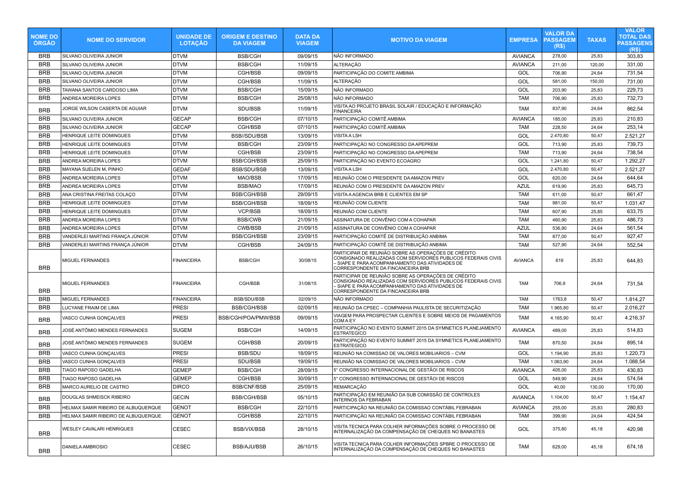| <b>NOME DO</b><br><b>ORGAO</b> | <b>NOME DO SERVIDOR</b>             | <b>UNIDADE DE</b><br><b>LOTAÇÃO</b> | <b>ORIGEM E DESTINO</b><br><b>DA VIAGEM</b> | <b>DATA DA</b><br><b>VIAGEM</b> | <b>MOTIVO DA VIAGEM</b>                                                                                                                                                                                     | <b>EMPRESA</b> | <b>VALOR DA</b><br><b>PASSAGEM</b><br>(R\$) | <b>TAXAS</b> | <b>VALOR</b><br><b>TOTAL DAS</b><br><b>PASSAGENS</b><br>(R <sub>s</sub> ) |
|--------------------------------|-------------------------------------|-------------------------------------|---------------------------------------------|---------------------------------|-------------------------------------------------------------------------------------------------------------------------------------------------------------------------------------------------------------|----------------|---------------------------------------------|--------------|---------------------------------------------------------------------------|
| <b>BRB</b>                     | SILVANO OLIVEIRA JUNIOR             | <b>DTVM</b>                         | <b>BSB/CGH</b>                              | 09/09/15                        | NÃO INFORMADO                                                                                                                                                                                               | <b>AVIANCA</b> | 278,00                                      | 25,83        | 303,83                                                                    |
| <b>BRB</b>                     | SILVANO OLIVEIRA JUNIOR             | <b>DTVM</b>                         | <b>BSB/CGH</b>                              | 11/09/15                        | <b>ALTERAÇÃO</b>                                                                                                                                                                                            | <b>AVIANCA</b> | 211,00                                      | 120,00       | 331,00                                                                    |
| <b>BRB</b>                     | SILVANO OLIVEIRA JUNIOR             | <b>DTVM</b>                         | CGH/BSB                                     | 09/09/15                        | PARTICIPAÇÃO DO COMITE AMBIMA                                                                                                                                                                               | GOL            | 706,90                                      | 24,64        | 731,54                                                                    |
| <b>BRB</b>                     | SILVANO OLIVEIRA JUNIOR             | <b>DTVM</b>                         | CGH/BSB                                     | 11/09/15                        | <b>ALTERAÇÃO</b>                                                                                                                                                                                            | GOL            | 581,00                                      | 150,00       | 731,00                                                                    |
| <b>BRB</b>                     | TAWANA SANTOS CARDOSO LIMA          | DTVM                                | <b>BSB/CGH</b>                              | 15/09/15                        | NÃO INFORMADO                                                                                                                                                                                               | GOL            | 203,90                                      | 25,83        | 229,73                                                                    |
| <b>BRB</b>                     | ANDREA MOREIRA LOPES                | <b>DTVM</b>                         | <b>BSB/CGH</b>                              | 25/08/15                        | NÃO INFORMADO                                                                                                                                                                                               | <b>TAM</b>     | 706,90                                      | 25,83        | 732,73                                                                    |
| <b>BRB</b>                     | JORGE WILSON CASERTA DE AGUIAR      | <b>DTVM</b>                         | SDU/BSB                                     | 11/09/15                        | VISITA AO PROJETO BRASIL SOLAIR / EDUCAÇÃO E INFORMAÇÃO<br><b>FINANCEIRA</b>                                                                                                                                | <b>TAM</b>     | 837,90                                      | 24,64        | 862,54                                                                    |
| <b>BRB</b>                     | SILVANO OLIVEIRA JUNIOR             | <b>GECAP</b>                        | <b>BSB/CGH</b>                              | 07/10/15                        | PARTICIPAÇÃO COMITÊ AMBIMA                                                                                                                                                                                  | <b>AVIANCA</b> | 185,00                                      | 25,83        | 210,83                                                                    |
| <b>BRB</b>                     | SILVANO OLIVEIRA JUNIOR             | <b>GECAP</b>                        | CGH/BSB                                     | 07/10/15                        | PARTICIPAÇÃO COMITÊ AMBIMA                                                                                                                                                                                  | <b>TAM</b>     | 228,50                                      | 24,64        | 253,14                                                                    |
| <b>BRB</b>                     | HENRIQUE LEITE DOMINGUES            | DTVM                                | <b>BSB//SDU/BSB</b>                         | 13/09/15                        | <b>VISITA A LSH</b>                                                                                                                                                                                         | GOL            | 2.470,80                                    | 50,47        | 2.521,27                                                                  |
| <b>BRB</b>                     | HENRIQUE LEITE DOMINGUES            | DTVM                                | <b>BSB/CGH</b>                              | 23/09/15                        | PARTICIPAÇÃO NO CONGRESSO DA APEPREM                                                                                                                                                                        | GOL            | 713,90                                      | 25,83        | 739,73                                                                    |
| <b>BRB</b>                     | HENRIQUE LEITE DOMINGUES            | <b>DTVM</b>                         | CGH/BSB                                     | 23/09/15                        | PARTICIPAÇÃO NO CONGRESSO DA APEPREM                                                                                                                                                                        | <b>TAM</b>     | 713,90                                      | 24,64        | 738,54                                                                    |
| <b>BRB</b>                     | ANDREA MOREIRA LOPES                | <b>DTVM</b>                         | <b>BSB/CGH/BSB</b>                          | 25/09/15                        | PARTICIPAÇÃO NO EVENTO ECOAGRO                                                                                                                                                                              | GOL            | 1.241,80                                    | 50,47        | 1.292,27                                                                  |
| <b>BRB</b>                     | MAYANA SUELEN M, PINHO              | <b>GEDAF</b>                        | BSB/SDU/BSB                                 | 13/09/15                        | <b>VISITA A LSH</b>                                                                                                                                                                                         | GOL            | 2.470,80                                    | 50,47        | 2.521,27                                                                  |
| <b>BRB</b>                     | ANDREA MOREIRA LOPES                | <b>DTVM</b>                         | MAO/BSB                                     | 17/09/15                        | REUNIÃO COM O PRESIDENTE DA AMAZON PREV                                                                                                                                                                     | GOL            | 620,00                                      | 24,64        | 644,64                                                                    |
| <b>BRB</b>                     | ANDREA MOREIRA LOPES                | <b>DTVM</b>                         | <b>BSB/MAO</b>                              | 17/09/15                        | REUNIÃO COM O PRESIDENTE DA AMAZON PREV                                                                                                                                                                     | <b>AZUL</b>    | 619,90                                      | 25,83        | 645,73                                                                    |
| <b>BRB</b>                     | ANA CRISTINA FREITAS COLAÇO         | DTVM                                | <b>BSB/CGH/BSB</b>                          | 29/09/15                        | VISITA A AGENCIA BRB E CLIENTES EM SP                                                                                                                                                                       | <b>TAM</b>     | 611,00                                      | 50,47        | 661,47                                                                    |
| <b>BRB</b>                     | HENRIQUE LEITE DOMINGUES            | <b>DTVM</b>                         | <b>BSB/CGH/BSB</b>                          | 18/09/15                        | REUNIÃO COM CLIENTE                                                                                                                                                                                         | <b>TAM</b>     | 981,00                                      | 50,47        | 1.031,47                                                                  |
| <b>BRB</b>                     | HENRIQUE LEITE DOMINGUES            | <b>DTVM</b>                         | VCP/BSB                                     | 18/09/15                        | REUNIÃO COM CLIENTE                                                                                                                                                                                         | <b>TAM</b>     | 607,90                                      | 25,85        | 633,75                                                                    |
| <b>BRB</b>                     | ANDREA MOREIRA LOPES                | <b>DTVM</b>                         | <b>BSB/CWB</b>                              | 21/09/15                        | ASSINATURA DE CONVÊNIO COM A COHAPAR                                                                                                                                                                        | <b>TAM</b>     | 460,90                                      | 25,83        | 486,73                                                                    |
| <b>BRB</b>                     | ANDREA MOREIRA LOPES                | DTVM                                | <b>CWB/BSB</b>                              | 21/09/15                        | ASSINATURA DE CONVÊNIO COM A COHAPAR                                                                                                                                                                        | <b>AZUL</b>    | 536,90                                      | 24,64        | 561,54                                                                    |
| <b>BRB</b>                     | VANDERLEI MARTINS FRANÇA JÚNIOR     | <b>DTVM</b>                         | <b>BSB/CGH/BSB</b>                          | 23/09/15                        | PARTICIPAÇÃO COMITÊ DE DISTRIBUIÇÃO ANBIMA                                                                                                                                                                  | <b>TAM</b>     | 877,00                                      | 50,47        | 927,47                                                                    |
| <b>BRB</b>                     | VANDERLEI MARTINS FRANÇA JÚNIOR     | DTVM                                | CGH/BSB                                     | 24/09/15                        | PARTICIPAÇÃO COMITÊ DE DISTRIBUIÇÃO ANBIMA                                                                                                                                                                  | <b>TAM</b>     | 527,90                                      | 24,64        | 552,54                                                                    |
| <b>BRB</b>                     | MIGUEL FERNANDES                    | <b>FINANCEIRA</b>                   | <b>BSB/CGH</b>                              | 30/08/15                        | PARTICIPAR DE REUNIÃO SOBRE AS OPERAÇÕES DE CRÉDITO<br>CONSIGNADO REALIZADAS COM SERVIDORES PUBLICOS FEDERAIS CIVIS<br>- SIAPE E PARA ACOMPANHAMENTO DAS ATIVIDADES DE<br>CORRESPONDENTE DA FINCANCEIRA BRB | <b>AVIANCA</b> | 619                                         | 25,83        | 644,83                                                                    |
| <b>BRB</b>                     | MIGUEL FERNANDES                    | <b>FINANCEIRA</b>                   | CGH/BSB                                     | 31/08/15                        | PARTICIPAR DE REUNIÃO SOBRE AS OPERAÇÕES DE CRÉDITO<br>CONSIGNADO REALIZADAS COM SERVIDORES PUBLICOS FEDERAIS CIVIS<br>- SIAPE E PARA ACOMPANHAMENTO DAS ATIVIDADES DE<br>CORRESPONDENTE DA FINCANCEIRA BRB | <b>TAM</b>     | 706,9                                       | 24,64        | 731,54                                                                    |
| <b>BRB</b>                     | MIGUEL FERNANDES                    | <b>FINANCEIRA</b>                   | <b>BSB/SDU/BSB</b>                          | 02/09/15                        | NÃO INFORMADO                                                                                                                                                                                               | <b>TAM</b>     | 1763,8                                      | 50,47        | 1.814,27                                                                  |
| <b>BRB</b>                     | LUCYANE FRAIM DE LIMA               | <b>PRESI</b>                        | <b>BSB/CGH/BSB</b>                          | 02/09/15                        | REUNIÃO DA CPSEC – COMPANHIA PAULISTA DE SECURITIZAÇÃO                                                                                                                                                      | <b>TAM</b>     | 1.965,80                                    | 50,47        | 2.016,27                                                                  |
| <b>BRB</b>                     | VASCO CUNHA GONÇALVES               | PRESI                               | BSB/CGH/POA/PMW/BSB                         | 09/09/15                        | VIAGEM PARA PROSPECTAR CLIENTES E SOBRE MEIOS DE PAGAMENTOS<br><b>COMAEY</b>                                                                                                                                | <b>TAM</b>     | 4.165,90                                    | 50,47        | 4.216,37                                                                  |
| <b>BRB</b>                     | JOSÉ ANTÔMIO MENDES FERNANDES       | SUGEM                               | <b>BSB/CGH</b>                              | 14/09/15                        | PARTICIPAÇÃO NO EVENTO SUMMIT 2015 DA SYMNETICS PLANEJAMENTO<br><b>ESTRATEGICO</b>                                                                                                                          | <b>AVIANCA</b> | 489,00                                      | 25,83        | 514,83                                                                    |
| <b>BRB</b>                     | JOSÉ ANTÔMIO MENDES FERNANDES       | SUGEM                               | CGH/BSB                                     | 20/09/15                        | PARTICIPAÇÃO NO EVENTO SUMMIT 2015 DA SYMNETICS PLANEJAMENTO<br><b>ESTRATEGICO</b>                                                                                                                          | <b>TAM</b>     | 870,50                                      | 24,64        | 895,14                                                                    |
| <b>BRB</b>                     | VASCO CUNHA GONCALVES               | <b>PRESI</b>                        | <b>BSB/SDU</b>                              | 18/09/15                        | REUNIÃO NA COMISSAO DE VALORES MOBILIARIOS - CVM                                                                                                                                                            | GOL            | 1.194,90                                    | 25,83        | 1.220,73                                                                  |
| <b>BRB</b>                     | VASCO CUNHA GONCALVES               | <b>PRESI</b>                        | SDU/BSB                                     | 19/09/15                        | REUNIÃO NA COMISSAO DE VALORES MOBILIARIOS – CVM                                                                                                                                                            | <b>TAM</b>     | 1.063,90                                    | 24,64        | 1.088,54                                                                  |
| <b>BRB</b>                     | TIAGO RAPOSO GADELHA                | <b>GEMEP</b>                        | <b>BSB/CGH</b>                              | 28/09/15                        | 5° CONGRESSO INTERNACIONAL DE GESTÃOI DE RISCOS                                                                                                                                                             | <b>AVIANCA</b> | 405,00                                      | 25,83        | 430,83                                                                    |
| <b>BRB</b>                     | TIAGO RAPOSO GADELHA                | <b>GEMEP</b>                        | CGH/BSB                                     | 30/09/15                        | 5° CONGRESSO INTERNACIONAL DE GESTÃOI DE RISCOS                                                                                                                                                             | GOL            | 549,90                                      | 24,64        | 574,54                                                                    |
| <b>BRB</b>                     | MARCO AURELIO DE CASTRO             | <b>DIRCO</b>                        | <b>BSB/CNF/BSB</b>                          | 25/09/15                        | <b>REMARCAÇÃO</b>                                                                                                                                                                                           | GOL            | 40,00                                       | 130,00       | 170,00                                                                    |
| <b>BRB</b>                     | DOUGLAS SHMEISCK RIBEIRO            | <b>GECIN</b>                        | <b>BSB/CGH/BSB</b>                          | 05/10/15                        | PARTICIPAÇÃO EM REUNIÃO DA SUB COMISSÃO DE CONTROLES<br><b>INTERNOS DA FEBRABAN</b>                                                                                                                         | <b>AVIANCA</b> | 1.104,00                                    | 50,47        | 1.154,47                                                                  |
| <b>BRB</b>                     | HELMAX SAMIR RIBEIRO DE ALBUQUERQUE | <b>GENOT</b>                        | <b>BSB/CGH</b>                              | 22/10/15                        | PARTICIPAÇÃO NA REUNIÃO DA COMISSAO CONTÁBIL FEBRABAN                                                                                                                                                       | <b>AVIANCA</b> | 255,00                                      | 25,83        | 280,83                                                                    |
| <b>BRB</b>                     | HELMAX SAMIR RIBEIRO DE ALBUQUERQUE | <b>GENOT</b>                        | CGH/BSB                                     | 22/10/15                        | PARTICIPAÇÃO NA REUNIÃO DA COMISSAO CONTÁBIL FEBRABAN                                                                                                                                                       | <b>TAM</b>     | 399,90                                      | 24,64        | 424,54                                                                    |
| <b>BRB</b>                     | WESLEY CAVALARI HENRIQUES           | CESEC                               | <b>BSB/VIX/BSB</b>                          | 28/10/15                        | VISITA TECNICA PARA COLHER INFORMAÇÕES SOBRE O PROCESSO DE<br>INTERNALIZAÇÃO DA COMPENSAÇÃO DE CHEQUES NO BANASTES                                                                                          | GOL            | 375,80                                      | 45,18        | 420,98                                                                    |
| <b>BRB</b>                     | DANIELA AMBROSIO                    | CESEC                               | BSB/AJU/BSB                                 | 26/10/15                        | VISITA TECNICA PARA COLHER INFORMAÇÕES SPBRE O PROCESSO DE<br>INTERNALIZAÇÃO DA COMPENSAÇÃO DE CHEQUES NO BANASTES                                                                                          | <b>TAM</b>     | 629,00                                      | 45,18        | 674,18                                                                    |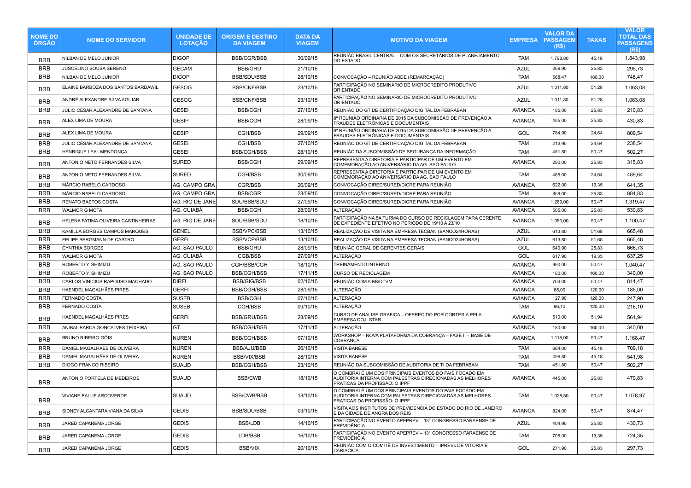| <b>NOME DO</b><br><b>ÓRGÃO</b> | <b>NOME DO SERVIDOR</b>             | <b>UNIDADE DE</b><br><b>LOTAÇÃO</b> | <b>ORIGEM E DESTINO</b><br><b>DA VIAGEM</b> | <b>DATA DA</b><br><b>VIAGEM</b> | <b>MOTIVO DA VIAGEM</b>                                                                                                                              | <b>EMPRESA</b> | <b>VALOR DA</b><br><b>PASSAGEM</b><br>(R\$) | <b>TAXAS</b> | <b>VALOR</b><br><b>TOTAL DAS</b><br><b>PASSAGENS</b><br>(R\$) |
|--------------------------------|-------------------------------------|-------------------------------------|---------------------------------------------|---------------------------------|------------------------------------------------------------------------------------------------------------------------------------------------------|----------------|---------------------------------------------|--------------|---------------------------------------------------------------|
| <b>BRB</b>                     | NILBAN DE MELO JUNIOR               | <b>DIGOP</b>                        | <b>BSB/CGR/BSB</b>                          | 30/09/15                        | REUNIÃO BRASIL CENTRAL – COM OS SECRETÁRIOS DE PLANEJAMENTO<br><b>DO ESTADO</b>                                                                      | <b>TAM</b>     | 1.798,80                                    | 45,18        | 1.843,98                                                      |
| <b>BRB</b>                     | JUSCELINO SOUSA SERENO              | <b>GECAM</b>                        | <b>BSB/GRU</b>                              | 21/10/15                        |                                                                                                                                                      | <b>AZUL</b>    | 269,90                                      | 25,83        | 295,73                                                        |
| <b>BRB</b>                     | NILBAN DE MELO JUNIOR               | <b>DIGOP</b>                        | <b>BSB/SDU/BSB</b>                          | 28/10/15                        | CONVOCAÇÃO - REUNIÃO ABDE (REMARCAÇÃO)                                                                                                               | <b>TAM</b>     | 568,47                                      | 180.00       | 748,47                                                        |
| <b>BRB</b>                     | ELAINE BARBOZA DOS SANTOS BARDAWIL  | <b>GESOG</b>                        | <b>BSB/CNF/BSB</b>                          | 23/10/15                        | PARTICIPAÇÃO NO SEMINARIO DE MICROCREDITO PRODUTIVO<br>ORIENTADÓ                                                                                     | <b>AZUL</b>    | 1.011,80                                    | 51,28        | 1.063,08                                                      |
| <b>BRB</b>                     | ANDRÉ ALEXANDRE SILVA AGUIAR        | <b>GESOG</b>                        | <b>BSB/CNF/BSB</b>                          | 23/10/15                        | PARTICIPAÇÃO NO SEMINARIO DE MICROCREDITO PRODUTIVO<br><b>ORIENTADO</b>                                                                              | <b>AZUL</b>    | 1.011,80                                    | 51,28        | 1.063,08                                                      |
| BRB                            | JÚLIO CÉSAR ALEXANDRE DE SANTANA    | <b>GESEI</b>                        | <b>BSB/CGH</b>                              | 27/10/15                        | REUNIÃO DO GT DE CERTIFICAÇÃO DIGITAL DA FEBRABAN                                                                                                    | <b>AVIANCA</b> | 185,00                                      | 25,83        | 210,83                                                        |
| <b>BRB</b>                     | ALEX LIMA DE MOURA                  | <b>GESIP</b>                        | <b>BSB/CGH</b>                              | 28/09/15                        | 8ª REUNIÃO ORDINARIA DE 2015 DA SUBCOMISSÃO DE PREVENÇÃO A<br>FRAUDES ELETRÔNICAS E DOCUMENTAIS                                                      | <b>AVIANCA</b> | 405,00                                      | 25,83        | 430,83                                                        |
| <b>BRB</b>                     | ALEX LIMA DE MOURA                  | <b>GESIP</b>                        | CGH/BSB                                     | 29/09/15                        | 8ª REUNIÃO ORDINARIA DE 2015 DA SUBCOMISSÃO DE PREVENÇÃO A<br>FRAUDES ELETRÔNICAS E DOCUMENTAIS                                                      | GOL            | 784,90                                      | 24,64        | 809,54                                                        |
| <b>BRB</b>                     | JULIO CÉSAR ALEXANDRE DE SANTANA    | <b>GESEI</b>                        | CGH/BSB                                     | 27/10/15                        | REUNIÃO DO GT DE CERTIFICAÇÃO DIGITAL DA FEBRABAN                                                                                                    | <b>TAM</b>     | 213,90                                      | 24,64        | 238,54                                                        |
| <b>BRB</b>                     | HENRIQUE LEAL MENDONÇA              | <b>GESEI</b>                        | <b>BSB/CGH/BSB</b>                          | 28/10/15                        | REUNIÃO DA SUBCOMISSÃO DE SEGURANÇA DA INFORMAÇÃO                                                                                                    | <b>TAM</b>     | 451,80                                      | 50,47        | 502,27                                                        |
| <b>BRB</b>                     | ANTONIO NETO FERNANDES SILVA        | <b>SURED</b>                        | <b>BSB/CGH</b>                              | 29/09/15                        | REPRESENTA A DIRETORIA E PARTICIPAR DE UM EVENTO EM<br>COMEMORAÇÃO AO ANIVERSÁRIO DA AG. SAO PAULO                                                   | <b>AVIANCA</b> | 290,00                                      | 25,83        | 315,83                                                        |
| <b>BRB</b>                     | ANTONIO NETO FERNANDES SILVA        | <b>SURED</b>                        | CGH/BSB                                     | 30/09/15                        | REPRESENTA A DIRETORIA E PARTICIPAR DE UM EVENTO EM<br>COMEMORAÇÃO AO ANIVERSÁRIO DA AG. SAO PAULO                                                   | <b>TAM</b>     | 465,00                                      | 24,64        | 489,64                                                        |
| <b>BRB</b>                     | MÁRCIO RABELO CARDOSO               | AG. CAMPO GRA                       | CGR/BSB                                     | 26/09/15                        | CONVOCAÇÃO DIRED/SURED/DICRE PARA REUNIÃO                                                                                                            | <b>AVIANCA</b> | 622,00                                      | 19,35        | 641,35                                                        |
| <b>BRB</b>                     | MÁRCIO RABELO CARDOSO               | AG. CAMPO GRA                       | <b>BSB/CGR</b>                              | 28/09/15                        | CONVOCAÇÃO DIRED/SURED/DICRE PARA REUNIÃO                                                                                                            | <b>TAM</b>     | 859,00                                      | 25,83        | 884,83                                                        |
| <b>BRB</b>                     | RENATO BASTOS COSTA                 | AG. RIO DE JANE                     | SDU/BSB/SDU                                 | 27/09/15                        | CONVOCAÇÃO DIRED/SURED/DICRE PARA REUNIÃO                                                                                                            | <b>AVIANCA</b> | 1.269,00                                    | 50,47        | 1.319,47                                                      |
| <b>BRB</b>                     | <b>WALMOR G MOTA</b>                | AG. CUIABÁ                          | <b>BSB/CGH</b>                              | 28/09/15                        | ALTERAÇÃO                                                                                                                                            | <b>AVIANCA</b> | 505,00                                      | 25,83        | 530,83                                                        |
| <b>BRB</b>                     | HELENA FATIMA OLIVEIRA CASTINHEIRAS | AG. RIO DE JANE                     | SDU/BSB/SDU                                 | 18/10/15                        | PARTICIPAÇÃO NA 5A TURMA DO CURSO DE RECICLAGEM PARA GERENTE<br>DE EXPEDIENTE EFETIVO NO PERIODO DE 19/10 A 23/10                                    | <b>AVIANCA</b> | 1.050,00                                    | 50,47        | 1.100,47                                                      |
| <b>BRB</b>                     | KAMILLA BORGES CAMPOS MARQUES       | <b>GENEL</b>                        | <b>BSB/VPC/BSB</b>                          | 13/10/15                        | REALIZAÇÃO DE VISITA NA EMPRESA TECBAN (BANCO24HORAS)                                                                                                | <b>AZUL</b>    | 613,80                                      | 51,68        | 665,48                                                        |
| <b>BRB</b>                     | FELIPE BERGMANN DE CASTRO           | <b>GERFI</b>                        | <b>BSB/VCP/BSB</b>                          | 13/10/15                        | REALIZAÇÃO DE VISITA NA EMPRESA TECBAN (BANCO24HORAS)                                                                                                | <b>AZUL</b>    | 613,80                                      | 51,68        | 665,48                                                        |
| <b>BRB</b>                     | <b>CYNTHIA BORGES</b>               | AG. SAO PAULO                       | <b>BSB/GRU</b>                              | 28/09/15                        | REUNIÃO GERAL DE GERENTES GERAIS                                                                                                                     | GOL            | 640,90                                      | 25,83        | 666,73                                                        |
| <b>BRB</b>                     | <b>WALMOR G MOTA</b>                | AG. CUIABÁ                          | CGB/BSB                                     | 27/09/15                        | <b>ALTERAÇÃO</b>                                                                                                                                     | GOL            | 617,90                                      | 19,35        | 637,25                                                        |
| <b>BRB</b>                     | ROBERTO Y. SHIMIZU                  | AG. SAO PAULO                       | CGH/BSB/CGH                                 | 18/10/15                        | TREINAMENTO INTERNO                                                                                                                                  | <b>AVIANCA</b> | 990,00                                      | 50,47        | 1.040,47                                                      |
| <b>BRB</b>                     | ROBERTO Y. SHIMIZU                  | AG. SAO PAULO                       | <b>BSB/CGH/BSB</b>                          | 17/11/15                        | <b>CURSO DE RECICLAGEM</b>                                                                                                                           | <b>AVIANCA</b> | 180,00                                      | 160.00       | 340,00                                                        |
| <b>BRB</b>                     | CARLOS VINICIUS RAPOUSO MACHADO     | <b>DIRFI</b>                        | <b>BSB/GIG/BSB</b>                          | 02/10/15                        | REUNIÃO COM A BB/DTVM                                                                                                                                | <b>AVIANCA</b> | 764,00                                      | 50,47        | 814.47                                                        |
| <b>BRB</b>                     | HAENDEL MAGALHÃES PIRES             | <b>GERFI</b>                        | <b>BSB/CGH/BSB</b>                          | 28/09/15                        | ALTERAÇÃO                                                                                                                                            | <b>AVIANCA</b> | 65,00                                       | 120,00       | 185,00                                                        |
| <b>BRB</b>                     | FERNADO COSTA                       | <b>SUSEB</b>                        | <b>BSB/CGH</b>                              | 07/10/15                        | ALTERAÇÃO                                                                                                                                            | <b>AVIANCA</b> | 127,90                                      | 120,00       | 247,90                                                        |
| <b>BRB</b>                     | <b>FERNADO COSTA</b>                | <b>SUSEB</b>                        | CGH/BSB                                     | 09/10/15                        | ALTERAÇÃO                                                                                                                                            | <b>TAM</b>     | 96,10                                       | 120,00       | 216,10                                                        |
| <b>BRB</b>                     | HAENDEL MAGALHÃES PIRES             | <b>GERFI</b>                        | <b>BSB/GRU/BSB</b>                          | 28/09/15                        | CURSO DE ANALISE GRAFICA - OFERECIDO POR CORTESIA PELA<br>EMPRESA DOJI STAR                                                                          | <b>AVIANCA</b> | 510,00                                      | 51,94        | 561,94                                                        |
| BRB                            | ANIBAL BARCA GONÇALVES TEIXEIRA     | GT                                  | <b>BSB/CGH/BSB</b>                          | 17/11/15                        | ALTERAÇÃO                                                                                                                                            | <b>AVIANCA</b> | 180,00                                      | 160,00       | 340,00                                                        |
| <b>BRB</b>                     | <b>BRUNO RIBEIRO GÓIS</b>           | <b>NUREN</b>                        | <b>BSB/CGH/BSB</b>                          | 07/10/15                        | WORKSHOP - NOVA PLATAFORMA DA COBRANÇA - FASE II - BASE DE<br>COBRANÇA                                                                               | <b>AVIANCA</b> | 1.118,00                                    | 50,47        | 1.168,47                                                      |
| <b>BRB</b>                     | DANIEL MAGALHÃES DE OLIVEIRA        | <b>NUREN</b>                        | <b>BSB/AJU/BSB</b>                          | 26/10/15                        | <b>VISITA BANESE</b>                                                                                                                                 | <b>TAM</b>     | 664,00                                      | 45,18        | 709,18                                                        |
| <b>BRB</b>                     | DANIEL MAGALHÃES DE OLIVEIRA        | <b>NUREN</b>                        | <b>BSB/VIX/BSB</b>                          | 28/10/15                        | VISITA BANESE                                                                                                                                        | <b>TAM</b>     | 496,80                                      | 45,18        | 541,98                                                        |
| <b>BRB</b>                     | DIOGO FRANCO RIBEIRO                | <b>SUAUD</b>                        | <b>BSB/CGH/BSB</b>                          | 23/10/15                        | REUNIÃO DA SUBCOMISSÃO DE AUDITORIA DE TI DA FEBRABAN                                                                                                | <b>TAM</b>     | 451,80                                      | 50,47        | 502,27                                                        |
| <b>BRB</b>                     | ANTONIO PORTELA DE MEDEIROS         | <b>SUAUD</b>                        | <b>BSB/CWB</b>                              | 18/10/15                        | O COMBRAI É UM DOS PRINCIPAIS EVENTOS DO PAIS FOCADO EM<br>AUDITORIA INTERNA COM PALESTRAS DIRECIONADAS AS MELHORES<br>PRATICAS DA PROFISSÃO: O IPPF | <b>AVIANCA</b> | 445,00                                      | 25,83        | 470,83                                                        |
| <b>BRB</b>                     | VIVIANE BALUE ARCOVERDE             | <b>SUAUD</b>                        | <b>BSB/CWB/BSB</b>                          | 18/10/15                        | O COMBRAI É UM DOS PRINCIPAIS EVENTOS DO PAIS FOCADO EM<br>AUDITORIA INTERNA COM PALESTRAS DIRECIONADAS AS MELHORES<br>PRATICAS DA PROFISSÃO: O IPPF | TAM            | 1.028,50                                    | 50,47        | 1.078,97                                                      |
| <b>BRB</b>                     | SIDNEY ALCANTARA VIANA DA SILVA     | <b>GEDIS</b>                        | <b>BSB/SDU/BSB</b>                          | 03/10/15                        | VISITA AOS INSTITUTOS DE PREVIDENCIA DO ESTADO DO RIO DE JANEIRO<br>E DA CIDADE DE ANGRA DOS REIS                                                    | <b>AVIANCA</b> | 824,00                                      | 50,47        | 874,47                                                        |
| <b>BRB</b>                     | JARED CAPANEMA JORGE                | <b>GEDIS</b>                        | <b>BSB/LDB</b>                              | 14/10/15                        | PARTICIPAÇÃO NO EVENTO APEPREV - 13° CONGRESSO PARAENSE DE<br>PREVIDÊNCIA                                                                            | <b>AZUL</b>    | 404.90                                      | 25.83        | 430,73                                                        |
| <b>BRB</b>                     | JARED CAPANEMA JORGE                | <b>GEDIS</b>                        | LDB/BSB                                     | 16/10/15                        | PARTICIPAÇÃO NO EVENTO APEPREV – 13° CONGRESSO PARAENSE DE<br>PREVIDÊNCIA                                                                            | <b>TAM</b>     | 705,00                                      | 19,35        | 724,35                                                        |
| <b>BRB</b>                     | JARED CAPANEMA JORGE                | <b>GEDIS</b>                        | <b>BSB/VIX</b>                              | 20/10/15                        | REUNIÃO COM O COMITÊ DE INVESTIMENTO – IPREVs DE VITORIA E<br>CARIACICA                                                                              | GOL            | 271,90                                      | 25,83        | 297,73                                                        |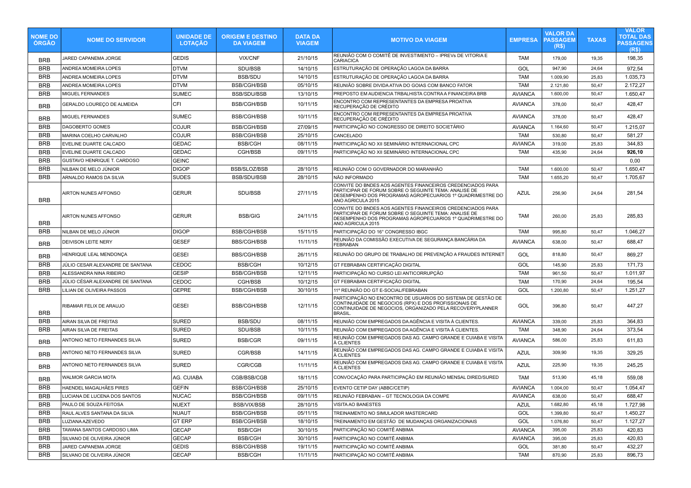| <b>NOME DO</b><br><b>ORGAO</b> | <b>NOME DO SERVIDOR</b>          | <b>UNIDADE DE</b><br><b>LOTAÇÃO</b> | <b>ORIGEM E DESTINO</b><br><b>DA VIAGEM</b> | <b>DATA DA</b><br><b>VIAGEM</b> | <b>MOTIVO DA VIAGEM</b>                                                                                                                                                                               | <b>EMPRESA</b> | <b>VALOR DA</b><br><b>PASSAGEM</b><br>(R\$) | <b>TAXAS</b> | <b>VALOR</b><br>TOTAL DAS<br><b>PASSAGENS</b><br>(R <sub>s</sub> ) |
|--------------------------------|----------------------------------|-------------------------------------|---------------------------------------------|---------------------------------|-------------------------------------------------------------------------------------------------------------------------------------------------------------------------------------------------------|----------------|---------------------------------------------|--------------|--------------------------------------------------------------------|
| <b>BRB</b>                     | JARED CAPANEMA JORGE             | <b>GEDIS</b>                        | <b>VIX/CNF</b>                              | 21/10/15                        | REUNIÃO COM O COMITÊ DE INVESTIMENTO – IPREVS DE VITORIA E<br><b>CARIACICA</b>                                                                                                                        | <b>TAM</b>     | 179,00                                      | 19,35        | 198,35                                                             |
| <b>BRB</b>                     | ANDREA MOMEIRA LOPES             | <b>DTVM</b>                         | SDU/BSB                                     | 14/10/15                        | ESTRUTURAÇÃO DE OPERAÇÃO LAGOA DA BARRA                                                                                                                                                               | GOL            | 947,90                                      | 24,64        | 972,54                                                             |
| <b>BRB</b>                     | ANDREA MOMEIRA LOPES             | <b>DTVM</b>                         | <b>BSB/SDU</b>                              | 14/10/15                        | ESTRUTURAÇÃO DE OPERAÇÃO LAGOA DA BARRA                                                                                                                                                               | <b>TAM</b>     | 1.009,90                                    | 25,83        | 1.035,73                                                           |
| <b>BRB</b>                     | ANDREA MOMEIRA LOPES             | <b>DTVM</b>                         | <b>BSB/CGH/BSB</b>                          | 05/10/15                        | REUNIÃO SOBRE DIVIDA ATIVA DO GOIAS COM BANCO FATOR                                                                                                                                                   | <b>TAM</b>     | 2.121,80                                    | 50,47        | 2.172,27                                                           |
| <b>BRB</b>                     | <b>MIGUEL FERNANDES</b>          | <b>SUMEC</b>                        | <b>BSB/SDU/BSB</b>                          | 13/10/15                        | PREPOSTO EM AUDIENCIA TRBALHISTA CONTRA A FINANCEIRA BRB                                                                                                                                              | <b>AVIANCA</b> | 1.600,00                                    | 50,47        | 1.650,47                                                           |
| <b>BRB</b>                     | GERALDO LOUREÇO DE ALMEIDA       | CFI                                 | <b>BSB/CGH/BSB</b>                          | 10/11/15                        | ENCONTRO COM REPRESENTANTES DA EMPRESA PROATIVA<br>RECUPERAÇÃO DE CRÉDITO                                                                                                                             | <b>AVIANCA</b> | 378,00                                      | 50,47        | 428,47                                                             |
| <b>BRB</b>                     | MIGUEL FERNANDES                 | <b>SUMEC</b>                        | <b>BSB/CGH/BSB</b>                          | 10/11/15                        | ENCONTRO COM REPRESENTANTES DA EMPRESA PROATIVA<br>RECUPERAÇÃO DE CRÉDITO                                                                                                                             | <b>AVIANCA</b> | 378,00                                      | 50,47        | 428,47                                                             |
| <b>BRB</b>                     | DAGOBERTO GOMES                  | <b>COJUR</b>                        | <b>BSB/CGH/BSB</b>                          | 27/09/15                        | PARTICIPAÇÃO NO CONGRESSO DE DIREITO SOCIETÁRIO                                                                                                                                                       | <b>AVIANCA</b> | 1.164,60                                    | 50,47        | 1.215,07                                                           |
| <b>BRB</b>                     | MARINA COELHO CARVALHO           | <b>COJUR</b>                        | <b>BSB/CGH/BSB</b>                          | 25/10/15                        | CANCELADO                                                                                                                                                                                             | <b>TAM</b>     | 530,80                                      | 50,47        | 581,27                                                             |
| <b>BRB</b>                     | <b>EVELINE DUARTE CALCADO</b>    | <b>GEDAC</b>                        | <b>BSB/CGH</b>                              | 08/11/15                        | PARTICIPAÇÃO NO XII SEMINÁRIO INTERNACIONAL CPC                                                                                                                                                       | <b>AVIANCA</b> | 319,00                                      | 25,83        | 344,83                                                             |
| <b>BRB</b>                     | EVELINE DUARTE CALCADO           | <b>GEDAC</b>                        | CGH/BSB                                     | 09/11/15                        | PARTICIPAÇÃO NO XII SEMINÁRIO INTERNACIONAL CPC                                                                                                                                                       | TAM            | 435,90                                      | 24,64        | 926,10                                                             |
| <b>BRB</b>                     | GUSTAVO HENRIQUE T. CARDOSO      | <b>GEINC</b>                        |                                             |                                 |                                                                                                                                                                                                       |                |                                             |              | 0,00                                                               |
| <b>BRB</b>                     | NILBAN DE MELO JÚNIOR            | <b>DIGOP</b>                        | <b>BSB/SLOZ/BSB</b>                         | 28/10/15                        | REUNIÃO COM O GOVERNADOR DO MARANHÃO                                                                                                                                                                  | <b>TAM</b>     | 1.600,00                                    | 50,47        | 1.650,47                                                           |
| <b>BRB</b>                     | ARNALDO RAMOS DA SILVA           | <b>SUDES</b>                        | <b>BSB/SDU/BSB</b>                          | 28/10/15                        | NÃO INFORMADO                                                                                                                                                                                         | <b>TAM</b>     | 1.655,20                                    | 50,47        | 1.705,67                                                           |
| <b>BRB</b>                     | AIRTON NUNES AFFONSO             | <b>GERUR</b>                        | SDU/BSB                                     | 27/11/15                        | CONVITE DO BNDES AOS AGENTES FINANCEIROS CREDENCIADOS PARA<br>PARTICIPAR DE FORUM SOBRE O SEGUINTE TEMA: ANALISE DE<br>DESEMPENHO DOS PROGRAMAS AGROPECUARIOS 1º QUADRIMESTRE DO<br>ANO AGRICULA 2015 | <b>AZUL</b>    | 256,90                                      | 24,64        | 281,54                                                             |
| <b>BRB</b>                     | AIRTON NUNES AFFONSO             | <b>GERUR</b>                        | <b>BSB/GIG</b>                              | 24/11/15                        | CONVITE DO BNDES AOS AGENTES FINANCEIROS CREDENCIADOS PARA<br>PARTICIPAR DE FORUM SOBRE O SEGUINTE TEMA: ANALISE DE<br>DESEMPENHO DOS PROGRAMAS AGROPECUARIOS 1º QUADRIMESTRE DO<br>ANO AGRICULA 2015 | TAM            | 260,00                                      | 25,83        | 285,83                                                             |
| <b>BRB</b>                     | NILBAN DE MELO JÚNIOR            | <b>DIGOP</b>                        | <b>BSB/CGH/BSB</b>                          | 15/11/15                        | PARTICIPAÇÃO DO 16° CONGRESSO IBGC                                                                                                                                                                    | <b>TAM</b>     | 995,80                                      | 50,47        | 1.046,27                                                           |
| <b>BRB</b>                     | DEIVISON LEITE NERY              | <b>GESEF</b>                        | <b>BBS/CGH/BSB</b>                          | 11/11/15                        | REUNIÃO DA COMISSÃO EXECUTIVA DE SEGURANÇA BANCÁRIA DA<br><b>FEBRABAN</b>                                                                                                                             | <b>AVIANCA</b> | 638,00                                      | 50,47        | 688,47                                                             |
| <b>BRB</b>                     | HENRIQUE LEAL MENDONCA           | <b>GESEI</b>                        | <b>BBS/CGH/BSB</b>                          | 26/11/15                        | REUNIÃO DO GRUPO DE TRABALHO DE PREVENÇÃO A FRAUDES INTERNET                                                                                                                                          | GOL            | 818,80                                      | 50,47        | 869,27                                                             |
| <b>BRB</b>                     | JÚLIO CESAR ALEXANDRE DE SANTANA | CEDOC                               | <b>BSB/CGH</b>                              | 10/12/15                        | GT FEBRABAN CERTIFICAÇÃO DIGITAL                                                                                                                                                                      | GOL            | 145,90                                      | 25,83        | 171,73                                                             |
| <b>BRB</b>                     | ALESSANDRA NINA RIBEIRO          | <b>GESIP</b>                        | <b>BSB/CGH/BSB</b>                          | 12/11/15                        | PARTICIPAÇÃO NO CURSO LEI ANTICORRUPÇÃO                                                                                                                                                               | <b>TAM</b>     | 961,50                                      | 50,47        | 1.011,97                                                           |
| <b>BRB</b>                     | JÚLIO CÉSAR ALEXANDRE DE SANTANA | <b>CEDOC</b>                        | CGH/BSB                                     | 10/12/15                        | <b>GT FEBRABAN CERTIFICAÇÃO DIGITAL</b>                                                                                                                                                               | <b>TAM</b>     | 170,90                                      | 24,64        | 195,54                                                             |
| <b>BRB</b>                     | LILIAN DE OLIVEIRA PASSOS        | <b>GEPRE</b>                        | <b>BSB/CGH/BSB</b>                          | 30/10/15                        | 11° REUNIÃO DO GT E-SOCIAL/FEBRABAN                                                                                                                                                                   | GOL            | 1.200,80                                    | 50,47        | 1.251,27                                                           |
| <b>BRB</b>                     | RIBAMAR FELIX DE ARAUJO          | <b>GESEI</b>                        | <b>BSB/CGH/BSB</b>                          | 12/11/15                        | PARTICIPAÇÃO NO ENCONTRO DE USUARIOS DO SISTEMA DE GESTÃO DE<br>CONTINUIDADE DE NEGOCIOS (RPX) E DOS PROFISSIONAIS DE<br>CONTINUIDADE DE NEGOCIOS, ORGANIZADO PELA RECOVERYPLANNER<br><b>BRASIL</b>   | GOL            | 396,80                                      | 50,47        | 447,27                                                             |
| <b>BRB</b>                     | AIRAN SILVA DE FREITAS           | <b>SURED</b>                        | <b>BSB/SDU</b>                              | 08/11/15                        | REUNIÃO COM EMPREGADOS DA AGÊNCIA E VISITA À CLIENTES.                                                                                                                                                | <b>AVIANCA</b> | 339,00                                      | 25,83        | 364,83                                                             |
| <b>BRB</b>                     | AIRAN SILVA DE FREITAS           | <b>SURED</b>                        | SDU/BSB                                     | 10/11/15                        | REUNIÃO COM EMPREGADOS DA AGÊNCIA E VISITA À CLIENTES.                                                                                                                                                | TAM            | 348,90                                      | 24,64        | 373,54                                                             |
| <b>BRB</b>                     | ANTONIO NETO FERNANDES SILVA     | <b>SURED</b>                        | BSB/CGR                                     | 09/11/15                        | REUNIÃO COM EMPREGADOS DAS AG. CAMPO GRANDE E CUIABA E VISITA<br>À CLIENTES                                                                                                                           | <b>AVIANCA</b> | 586,00                                      | 25,83        | 611,83                                                             |
| <b>BRB</b>                     | ANTONIO NETO FERNANDES SILVA     | <b>SURED</b>                        | CGR/BSB                                     | 14/11/15                        | REUNIÃO COM EMPREGADOS DAS AG. CAMPO GRANDE E CUIABA E VISITA<br>À CLIENTES                                                                                                                           | <b>AZUL</b>    | 309,90                                      | 19,35        | 329,25                                                             |
| <b>BRB</b>                     | ANTONIO NETO FERNANDES SILVA     | <b>SURED</b>                        | <b>CGR/CGB</b>                              | 11/11/15                        | REUNIÃO COM EMPREGADOS DAS AG. CAMPO GRANDE E CUIABA E VISITA<br>À CLIENTES                                                                                                                           | <b>AZUL</b>    | 225,90                                      | 19,35        | 245,25                                                             |
| <b>BRB</b>                     | <b>WALMOR GARCIA MOTA</b>        | AG. CUIABA                          | CGB/BSB/CGB                                 | 18/11/15                        | CONVOCAÇÃO PARA PARTICIPAÇÃO EM REUNIÃO MENSAL DIRED/SURED                                                                                                                                            | <b>TAM</b>     | 513,90                                      | 45,18        | 559,08                                                             |
| <b>BRB</b>                     | HAENDEL MAGALHÃES PIRES          | <b>GEFIN</b>                        | <b>BSB/CGH/BSB</b>                          | 25/10/15                        | EVENTO CETIP DAY (ABBC/CETIP)                                                                                                                                                                         | <b>AVIANCA</b> | 1.004,00                                    | 50,47        | 1.054,47                                                           |
| <b>BRB</b>                     | LUCIANA DE LUCENA DOS SANTOS     | <b>NUCAC</b>                        | BSB/CGH/BSB                                 | 09/11/15                        | REUNIÃO FEBRABAN - GT TECNOLOGIA DA COMPE                                                                                                                                                             | <b>AVIANCA</b> | 638,00                                      | 50,47        | 688,47                                                             |
| <b>BRB</b>                     | PAULO DE SOUZA FEITOSA           | <b>NUEXT</b>                        | BSB/VIX/BSB                                 | 28/10/15                        | VISITA AO BANESTES                                                                                                                                                                                    | <b>AZUL</b>    | 1.682,80                                    | 45,18        | 1.727,98                                                           |
| <b>BRB</b>                     | RAUL ALVES SANTANA DA SILVA      | <b>NUAUT</b>                        | <b>BSB/CGH/BSB</b>                          | 05/11/15                        | TREINAMENTO NO SIMULADOR MASTERCARD                                                                                                                                                                   | GOL            | 1.399,80                                    | 50,47        | 1.450,27                                                           |
| <b>BRB</b>                     | LUZIANA AZEVEDO                  | <b>GT ERP</b>                       | BSB/CGH/BSB                                 | 18/10/15                        | TREINAMENTO EM GESTÃO DE MUDANÇAS ORGANIZACIONAIS                                                                                                                                                     | GOL            | 1.076,80                                    | 50,47        | 1.127,27                                                           |
| <b>BRB</b>                     | TAWANA SANTOS CARDOSO LIMA       | <b>GECAP</b>                        | BSB/CGH                                     | 30/10/15                        | PARTICIPAÇÃO NO COMITÊ ANBIMA                                                                                                                                                                         | <b>AVIANCA</b> | 395,00                                      | 25,83        | 420,83                                                             |
| <b>BRB</b>                     | SILVANO DE OLIVEIRA JÚNIOR       | <b>GECAP</b>                        | <b>BSB/CGH</b>                              | 30/10/15                        | PARTICIPAÇÃO NO COMITÊ ANBIMA                                                                                                                                                                         | <b>AVIANCA</b> | 395,00                                      | 25,83        | 420,83                                                             |
| <b>BRB</b>                     | JARED CAPANEMA JORGE             | GEDIS                               | <b>BSB/CGH/BSB</b>                          | 19/11/15                        | PARTICIPAÇÃO NO COMITÊ ANBIMA                                                                                                                                                                         | GOL            | 381,80                                      | 50,47        | 432,27                                                             |
| <b>BRB</b>                     | SILVANO DE OLIVEIRA JÚNIOR       | <b>GECAP</b>                        | BSB/CGH                                     | 11/11/15                        | PARTICIPAÇÃO NO COMITÊ ANBIMA                                                                                                                                                                         | TAM            | 870,90                                      | 25,83        | 896,73                                                             |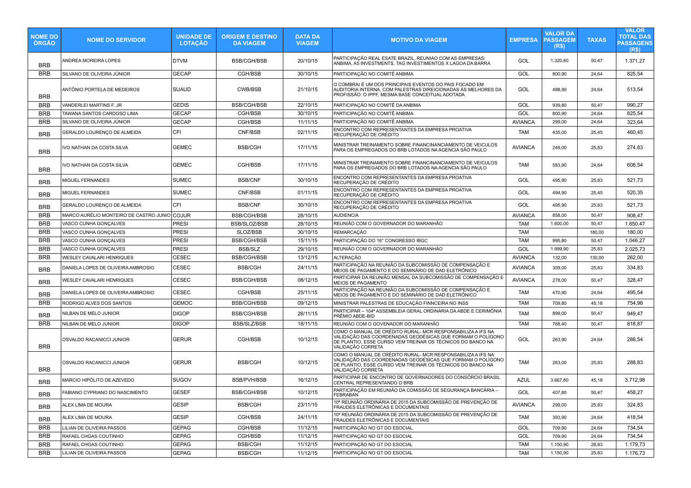| <b>NOME DO</b><br><b>ORGAO</b> | <b>NOME DO SERVIDOR</b>                      | <b>UNIDADE DE</b><br><b>LOTAÇÃO</b> | <b>ORIGEM E DESTINO</b><br><b>DA VIAGEM</b> | <b>DATA DA</b><br><b>VIAGEM</b> | <b>MOTIVO DA VIAGEM</b>                                                                                                                                                                                     | <b>EMPRESA</b> | <b>VALOR DA</b><br><b>PASSAGEM</b><br>(R\$) | <b>TAXAS</b> | <b>VALOR</b><br><b>TOTAL DAS</b><br><b>PASSAGENS</b><br>(R <sub>s</sub> ) |
|--------------------------------|----------------------------------------------|-------------------------------------|---------------------------------------------|---------------------------------|-------------------------------------------------------------------------------------------------------------------------------------------------------------------------------------------------------------|----------------|---------------------------------------------|--------------|---------------------------------------------------------------------------|
| <b>BRB</b>                     | ANDREA MOREIRA LOPES                         | <b>DTVM</b>                         | <b>BSB/CGH/BSB</b>                          | 20/10/15                        | PARTICIPAÇÃO REAL ESATE BRAZIL, REUNIAO COM AS EMPRESAS:<br>ANBIMA, A5 INVESTMENTS, TAG INVESTIMENTOS X LAGOA DA BARRA                                                                                      | GOL            | 1.320,80                                    | 50,47        | 1.371,27                                                                  |
| <b>BRB</b>                     | SILVANO DE OLIVEIRA JÚNIOR                   | <b>GECAP</b>                        | CGH/BSB                                     | 30/10/15                        | PARTICIPAÇÃO NO COMITÊ ANBIMA                                                                                                                                                                               | GOL            | 800,90                                      | 24,64        | 825,54                                                                    |
| <b>BRB</b>                     | ANTÔNIO PORTELA DE MEDEIROS                  | SUAUD                               | CWB/BSB                                     | 21/10/15                        | O COMBRAI É UM DOS PRINCIPAIS EVENTOS DO PAIS FOCADO EM<br>AUDITORIA INTERNA, COM PALESTRAS DIREICIONADAS ÁS MELHORES DA<br>PROFISSÃO: O IPPF, MESMA BASE CONCEITUAL ADOTADA                                | GOL            | 488,90                                      | 24,64        | 513,54                                                                    |
| <b>BRB</b>                     | VANDERLEI MARTINS F. JR                      | <b>GEDIS</b>                        | <b>BSB/CGH/BSB</b>                          | 22/10/15                        | PARTICIPAÇÃO NO COMITÊ DA ANBIMA                                                                                                                                                                            | GOL            | 939,80                                      | 50,47        | 990,27                                                                    |
| <b>BRB</b>                     | TAWANA SANTOS CARDOSO LIMA                   | <b>GECAP</b>                        | CGH/BSB                                     | 30/10/15                        | PARTICIPAÇÃO NO COMITÊ ANBIMA                                                                                                                                                                               | GOL            | 800,90                                      | 24,64        | 825,54                                                                    |
| <b>BRB</b>                     | SILVANO DE OLIVEIRA JÚNIOR                   | <b>GECAP</b>                        | CGH/BSB                                     | 11/11/15                        | PARTICIPAÇÃO NO COMITÊ ANBIMA                                                                                                                                                                               | <b>AVIANCA</b> | 299,00                                      | 24,64        | 323,64                                                                    |
| <b>BRB</b>                     | GERALDO LOURENÇO DE ALMEIDA                  | CFI                                 | CNF/BSB                                     | 02/11/15                        | ENCONTRO COM REPRESENTANTES DA EMPRESA PROATIVA<br>RECUPERAÇÃO DE CRÉDITO                                                                                                                                   | TAM            | 435,00                                      | 25,45        | 460,45                                                                    |
| <b>BRB</b>                     | IVO NATHAN DA COSTA SILVA                    | <b>GEMEC</b>                        | <b>BSB/CGH</b>                              | 17/11/15                        | MINISTRAR TREINAMENTO SOBRE FINANCINANCIAMENTO DE VEICULOS<br>PARA OS EMPREGADOS DO BRB LOTADOS NA AGENCIA SÃO PAULO                                                                                        | <b>AVIANCA</b> | 249,00                                      | 25,83        | 274,83                                                                    |
| <b>BRB</b>                     | IVO NATHAN DA COSTA SILVA                    | GEMEC                               | CGH/BSB                                     | 17/11/15                        | MINISTRAR TREINAMENTO SOBRE FINANCINANCIAMENTO DE VEICULOS<br>PARA OS EMPREGADOS DO BRB LOTADOS NA AGENCIA SÃO PAULO                                                                                        | TAM            | 583,90                                      | 24,64        | 608,54                                                                    |
| <b>BRB</b>                     | MIGUEL FERNANDES                             | <b>SUMEC</b>                        | <b>BSB/CNF</b>                              | 30/10/15                        | ENCONTRO COM REPRESENTANTES DA EMPRESA PROATIVA<br>RECUPERAÇÃO DE CRÉDITO                                                                                                                                   | GOL            | 495,90                                      | 25,83        | 521,73                                                                    |
| <b>BRB</b>                     | MIGUEL FERNANDES                             | <b>SUMEC</b>                        | CNF/BSB                                     | 01/11/15                        | ENCONTRO COM REPRESENTANTES DA EMPRESA PROATIVA<br>RECUPERAÇÃO DE CRÉDITO                                                                                                                                   | GOL            | 494,90                                      | 25,45        | 520,35                                                                    |
| <b>BRB</b>                     | GERALDO LOURENÇO DE ALMEIDA                  | CFI                                 | <b>BSB/CNF</b>                              | 30/10/15                        | ENCONTRO COM REPRESENTANTES DA EMPRESA PROATIVA<br>RECUPERAÇÃO DE CRÉDITO                                                                                                                                   | GOL            | 495,90                                      | 25,83        | 521,73                                                                    |
| <b>BRB</b>                     | MARCO AURÉLIO MONTEIRO DE CASTRO JUNIO COJUR |                                     | <b>BSB/CGH/BSB</b>                          | 28/10/15                        | <b>AUDIENCIA</b>                                                                                                                                                                                            | <b>AVIANCA</b> | 858,00                                      | 50,47        | 908,47                                                                    |
| <b>BRB</b>                     | VASCO CUNHA GONÇALVES                        | <b>PRESI</b>                        | BSB/SLOZ/BSB                                | 28/10/15                        | REUNIÃO COM O GOVERNADOR DO MARANHÃO                                                                                                                                                                        | <b>TAM</b>     | 1.600,00                                    | 50,47        | 1.650,47                                                                  |
| <b>BRB</b>                     | VASCO CUNHA GONÇALVES                        | PRESI                               | SLOZ/BSB                                    | 30/10/15                        | <b>REMARCAÇÃO</b>                                                                                                                                                                                           | <b>TAM</b>     |                                             | 180,00       | 180,00                                                                    |
| <b>BRB</b>                     | VASCO CUNHA GONÇALVES                        | PRESI                               | <b>BSB/CGH/BSB</b>                          | 15/11/15                        | PARTICIPAÇÃO DO 16° CONGRESSO IBGC                                                                                                                                                                          | <b>TAM</b>     | 995,80                                      | 50,47        | 1.046,27                                                                  |
| <b>BRB</b>                     | VASCO CUNHA GONÇALVES                        | PRESI                               | <b>BSB/SLZ</b>                              | 29/10/15                        | REUNIÃO COM O GOVERNADOR DO MARANHÃO                                                                                                                                                                        | GOL            | 1.999,90                                    | 25,83        | 2.025,73                                                                  |
| <b>BRB</b>                     | WESLEY CAVALARI HENRIQUES                    | CESEC                               | <b>BSB/CGH/BSB</b>                          | 13/12/15                        | <b>ALTERAÇÃO</b>                                                                                                                                                                                            | <b>AVIANCA</b> | 132,00                                      | 130,00       | 262,00                                                                    |
| <b>BRB</b>                     | DANIELA LOPES DE OLIVEIRA AMBROSIO           | CESEC                               | <b>BSB/CGH</b>                              | 24/11/15                        | PARTICIPAÇÃO NA REUNIÃO DA SUBCOMISSÃO DE COMPENSAÇÃO E<br>MEIOS DE PAGAMENTO E DO SEMINÁRIO DE DAD ELETRÔNICO                                                                                              | <b>AVIANCA</b> | 309,00                                      | 25,83        | 334,83                                                                    |
| <b>BRB</b>                     | WESLEY CAVALARI HENRIQUES                    | CESEC                               | <b>BSB/CGH/BSB</b>                          | 08/12/15                        | PARTICIPAR DA REUNIÃO MENSAL DA SUBCOMISSÃO DE COMPENSAÇÃO E<br>MEIOS DE PAGAMENTO                                                                                                                          | <b>AVIANCA</b> | 278,00                                      | 50,47        | 328,47                                                                    |
| <b>BRB</b>                     | DANIELA LOPES DE OLIVEIRA AMBROSIO           | CESEC                               | CGH/BSB                                     | 25/11/15                        | PARTICIPAÇÃO NA REUNIÃO DA SUBCOMISSÃO DE COMPENSAÇÃO E<br>MEIOS DE PAGAMENTO E DO SEMINÁRIO DE DAD ELETRÔNICO                                                                                              | TAM            | 470,90                                      | 24,64        | 495,54                                                                    |
| <b>BRB</b>                     | RODRIGO ALVES DOS SANTOS                     | <b>GEMOC</b>                        | <b>BSB/CGH/BSB</b>                          | 09/12/15                        | MINISTRAR PALESTRAS DE EDUCAÇÃO FINNCEIRA NO INSS                                                                                                                                                           | <b>TAM</b>     | 709,80                                      | 45,18        | 754,98                                                                    |
| <b>BRB</b>                     | NILBAN DE MELO JUNIOR                        | <b>DIGOP</b>                        | <b>BSB/CGH/BSB</b>                          | 26/11/15                        | PARTICIPAR - 104ª ASSEMBLEIA GERAL ORDINÁRIA DA ABDE E CERIMÔNIA<br>PRÊMIO ABDE-BID                                                                                                                         | <b>TAM</b>     | 899,00                                      | 50,47        | 949,47                                                                    |
| <b>BRB</b>                     | NILBAN DE MELO JUNIOR                        | <b>DIGOP</b>                        | <b>BSB/SLZ/BSB</b>                          | 18/11/15                        | REUNIÃO COM O GOVENADOR DO MARANHÃO                                                                                                                                                                         | <b>TAM</b>     | 768,40                                      | 50,47        | 818,87                                                                    |
| <b>BRB</b>                     | OSVALDO RACANICCI JUNIOR                     | <b>GERUR</b>                        | CGH/BSB                                     | 10/12/15                        | COMO O MANUAL DE CRÉDITO RURAL-MCR RESPONSABILIZA A IFS NA<br>VALIDAÇÃO DAS COORDENADAS GEODÉSICAS QUE FORMAM O POLÍGONO<br>DE PLANTIO, ESSE CURSO VEM TREINAR OS TÉCNICOS DO BANCO NA<br>VALIDAÇÃO CORRETA | GOL            | 263,90                                      | 24,64        | 288,54                                                                    |
| <b>BRB</b>                     | OSVALDO RACANICCI JUNIOR                     | <b>GERUR</b>                        | <b>BSB/CGH</b>                              | 10/12/15                        | COMO O MANUAL DE CRÉDITO RURAL-MCR RESPONSABILIZA A IFS NA<br>VALIDAÇÃO DAS COORDENADAS GEODÉSICAS QUE FORMAM O POLÍGONO<br>DE PLANTIO, ESSE CURSO VEM TREINAR OS TÉCNICOS DO BANCO NA<br>VALIDAÇÃO CORRETA | TAM            | 263,00                                      | 25,83        | 288,83                                                                    |
| BRB                            | MARCIO HIPÓLITO DE AZEVEDO                   | <b>SUGOV</b>                        | <b>BSB/PVH/BSB</b>                          | 16/12/15                        | PARTICIPAR DE ENCONTRO DE GOVERNADORES DO CONSÓRCIO BRASIL<br>CENTRAL REPRESENTANDO O BRB                                                                                                                   | <b>AZUL</b>    | 3.667,80                                    | 45,18        | 3.712,98                                                                  |
| <b>BRB</b>                     | FABIANO CYPRIANO DO NASCIMENTO               | <b>GESEF</b>                        | <b>BSB/CGH/BSB</b>                          | 10/12/15                        | PARTICIPAÇÃO EM REUNIÃO DA COMISSÃO DE SEGURANÇA BANCÁRIA -<br>FEBRABAN                                                                                                                                     | GOL            | 407.80                                      | 50.47        | 458,27                                                                    |
| <b>BRB</b>                     | ALEX LIMA DE MOURA                           | <b>GESIP</b>                        | <b>BSB/CGH</b>                              | 23/11/15                        | ∣10ª REUNIÃO ORDINÁRIA DE 2015 DA SUBCOMISSÃO DE PREVENÇÃO DE<br>∣FRAUDES ELETRÔNICAS E DOCUMENTAIS                                                                                                         | <b>AVIANCA</b> | 299,00                                      | 25,83        | 324,83                                                                    |
| <b>BRB</b>                     | ALEX LIMA DE MOURA                           | <b>GESIP</b>                        | CGH/BSB                                     | 24/11/15                        | 10ª REUNIÃO ORDINÁRIA DE 2015 DA SUBCOMISSÃO DE PREVENÇÃO DE<br>FRAUDES ELETRÔNICAS E DOCUMENTAIS                                                                                                           | TAM            | 393,90                                      | 24,64        | 418,54                                                                    |
| <b>BRB</b>                     | LILIAN DE OLIVEIRA PASSOS                    | <b>GEPAG</b>                        | CGH/BSB                                     | 11/12/15                        | PARTICIPACÃO NO GT DO ESOCIAL                                                                                                                                                                               | GOL            | 709,90                                      | 24,64        | 734,54                                                                    |
| BRB                            | RAFAEL CHGAS COUTINHO                        | <b>GEPAG</b>                        | CGH/BSB                                     | 11/12/15                        | PARTICIPAÇÃO NO GT DO ESOCIAL                                                                                                                                                                               | GOL            | 709,90                                      | 24,64        | 734,54                                                                    |
| <b>BRB</b>                     | RAFAEL CHGAS COUTINHO                        | <b>GEPAG</b>                        | BSB/CGH                                     | 11/12/15                        | PARTICIPAÇÃO NO GT DO ESOCIAL                                                                                                                                                                               | <b>TAM</b>     | 1.150,90                                    | 28,83        | 1.179,73                                                                  |
| <b>BRB</b>                     | LILIAN DE OLIVEIRA PASSOS                    | <b>GEPAG</b>                        | <b>BSB/CGH</b>                              | 11/12/15                        | PARTICIPACÃO NO GT DO ESOCIAL                                                                                                                                                                               | <b>TAM</b>     | 1.150,90                                    | 25,83        | 1.176,73                                                                  |